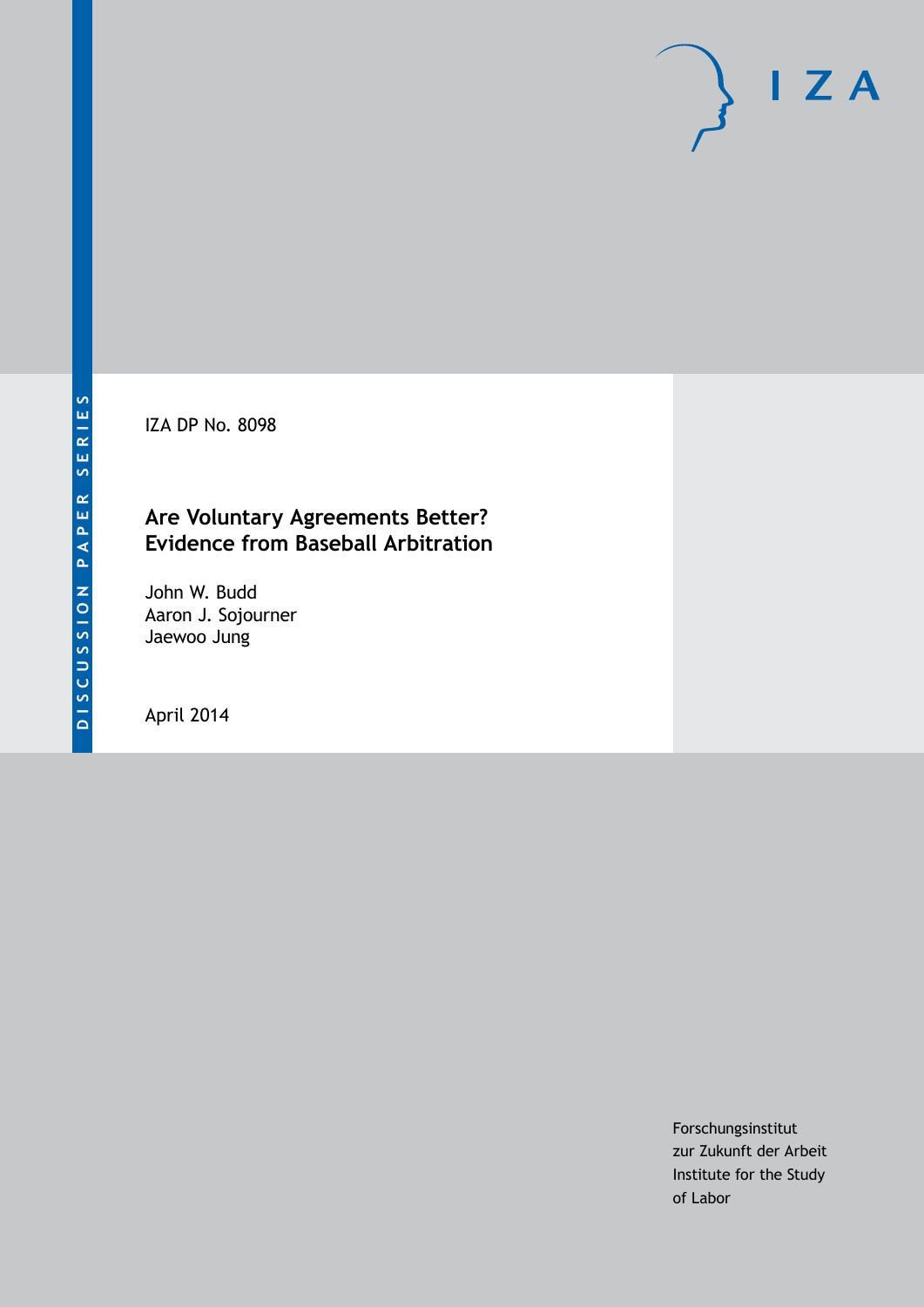IZA DP No. 8098

## **Are Voluntary Agreements Better? Evidence from Baseball Arbitration**

John W. Budd Aaron J. Sojourner Jaewoo Jung

April 2014

Forschungsinstitut zur Zukunft der Arbeit Institute for the Study of Labor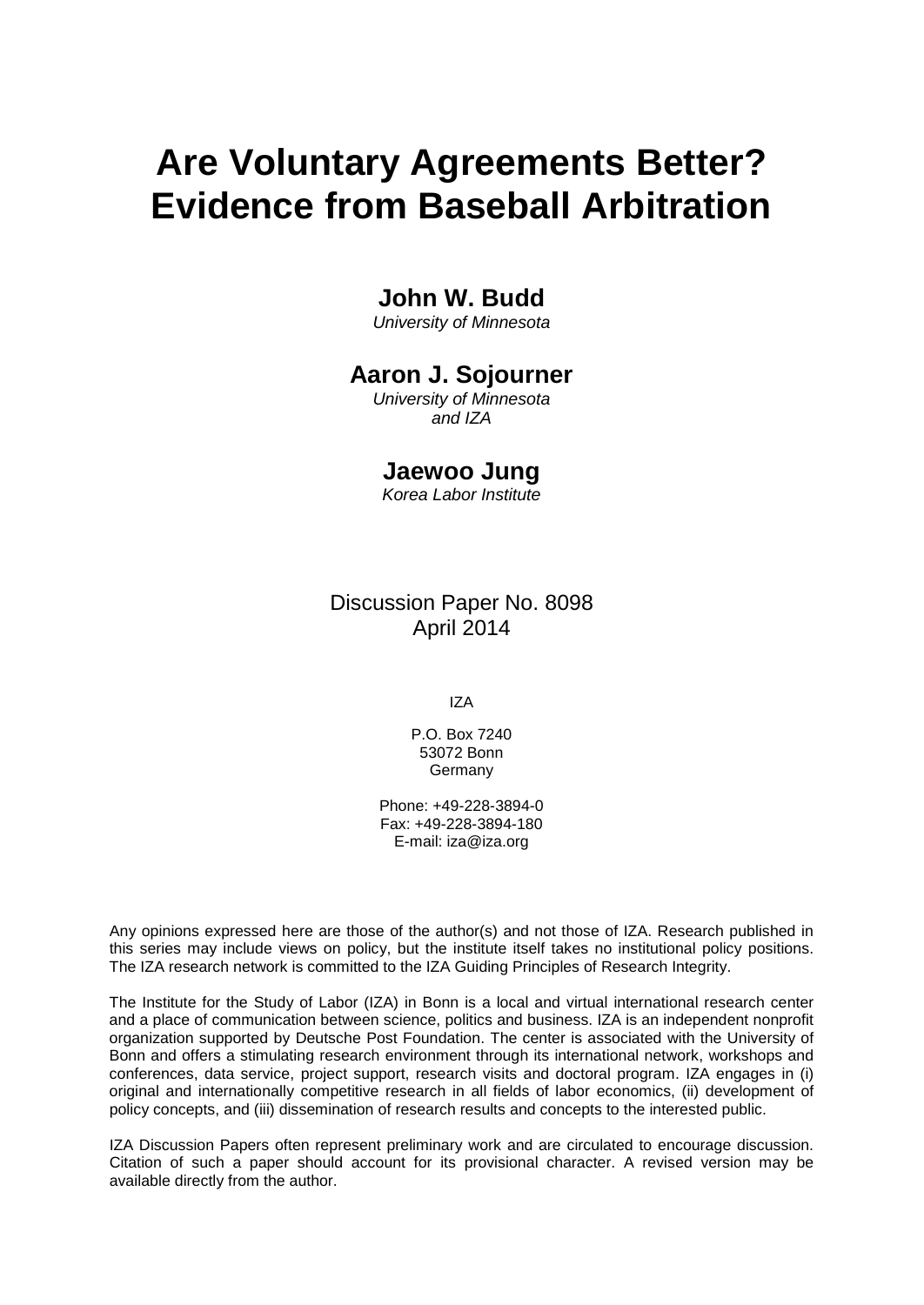# **Are Voluntary Agreements Better? Evidence from Baseball Arbitration**

### **John W. Budd**

*University of Minnesota*

### **Aaron J. Sojourner**

*University of Minnesota and IZA*

### **Jaewoo Jung**

*Korea Labor Institute*

Discussion Paper No. 8098 April 2014

IZA

P.O. Box 7240 53072 Bonn **Germany** 

Phone: +49-228-3894-0 Fax: +49-228-3894-180 E-mail: [iza@iza.org](mailto:iza@iza.org)

Any opinions expressed here are those of the author(s) and not those of IZA. Research published in this series may include views on policy, but the institute itself takes no institutional policy positions. The IZA research network is committed to the IZA Guiding Principles of Research Integrity.

The Institute for the Study of Labor (IZA) in Bonn is a local and virtual international research center and a place of communication between science, politics and business. IZA is an independent nonprofit organization supported by Deutsche Post Foundation. The center is associated with the University of Bonn and offers a stimulating research environment through its international network, workshops and conferences, data service, project support, research visits and doctoral program. IZA engages in (i) original and internationally competitive research in all fields of labor economics, (ii) development of policy concepts, and (iii) dissemination of research results and concepts to the interested public.

<span id="page-1-0"></span>IZA Discussion Papers often represent preliminary work and are circulated to encourage discussion. Citation of such a paper should account for its provisional character. A revised version may be available directly from the author.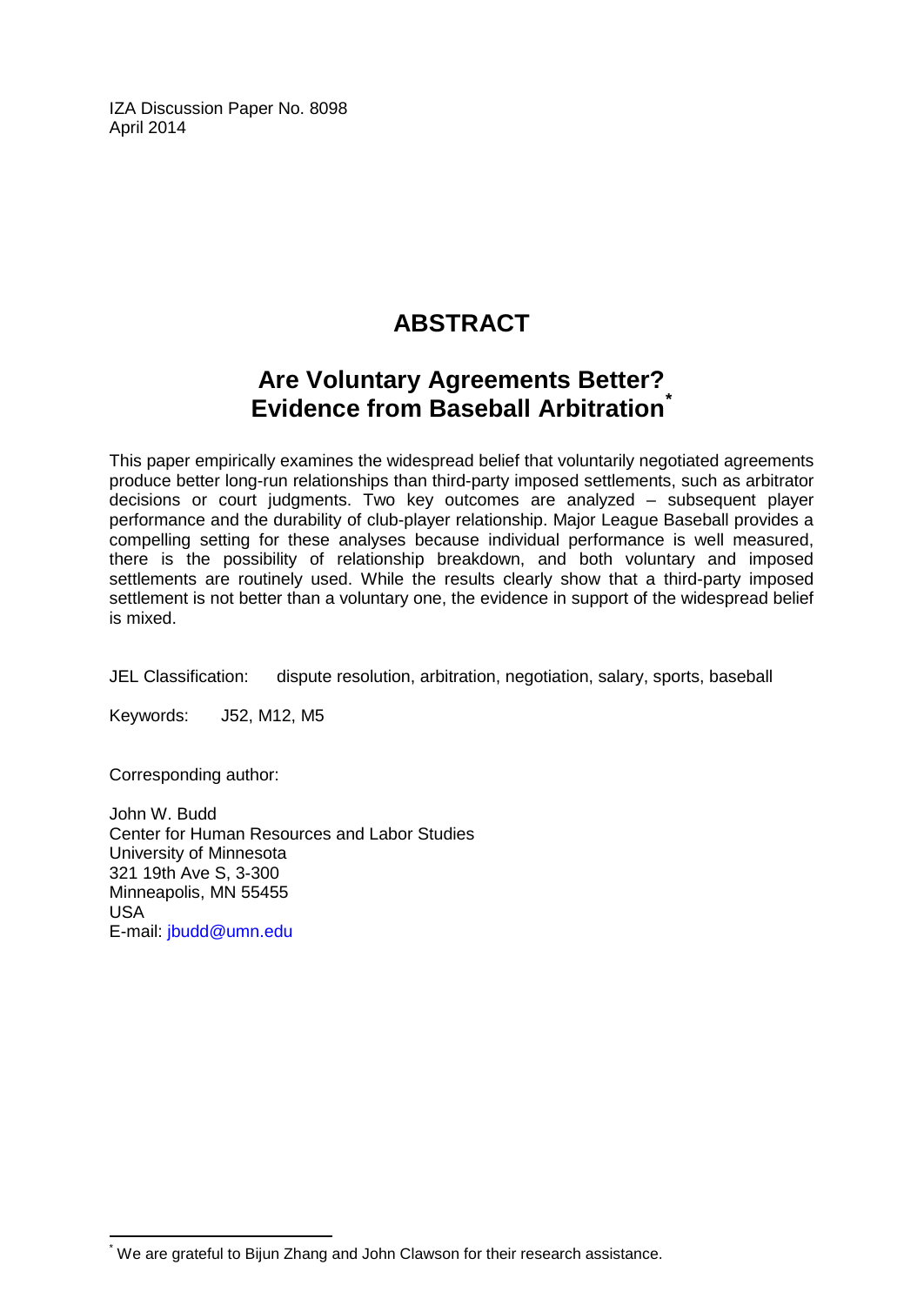IZA Discussion Paper No. 8098 April 2014

# **ABSTRACT**

# **Are Voluntary Agreements Better? Evidence from Baseball Arbitration[\\*](#page-1-0)**

This paper empirically examines the widespread belief that voluntarily negotiated agreements produce better long-run relationships than third-party imposed settlements, such as arbitrator decisions or court judgments. Two key outcomes are analyzed – subsequent player performance and the durability of club-player relationship. Major League Baseball provides a compelling setting for these analyses because individual performance is well measured, there is the possibility of relationship breakdown, and both voluntary and imposed settlements are routinely used. While the results clearly show that a third-party imposed settlement is not better than a voluntary one, the evidence in support of the widespread belief is mixed.

JEL Classification: dispute resolution, arbitration, negotiation, salary, sports, baseball

Keywords: J52, M12, M5

Corresponding author:

John W. Budd Center for Human Resources and Labor Studies University of Minnesota 321 19th Ave S, 3-300 Minneapolis, MN 55455 USA E-mail: [jbudd@umn.edu](mailto:jbudd@umn.edu)

\* We are grateful to Bijun Zhang and John Clawson for their research assistance.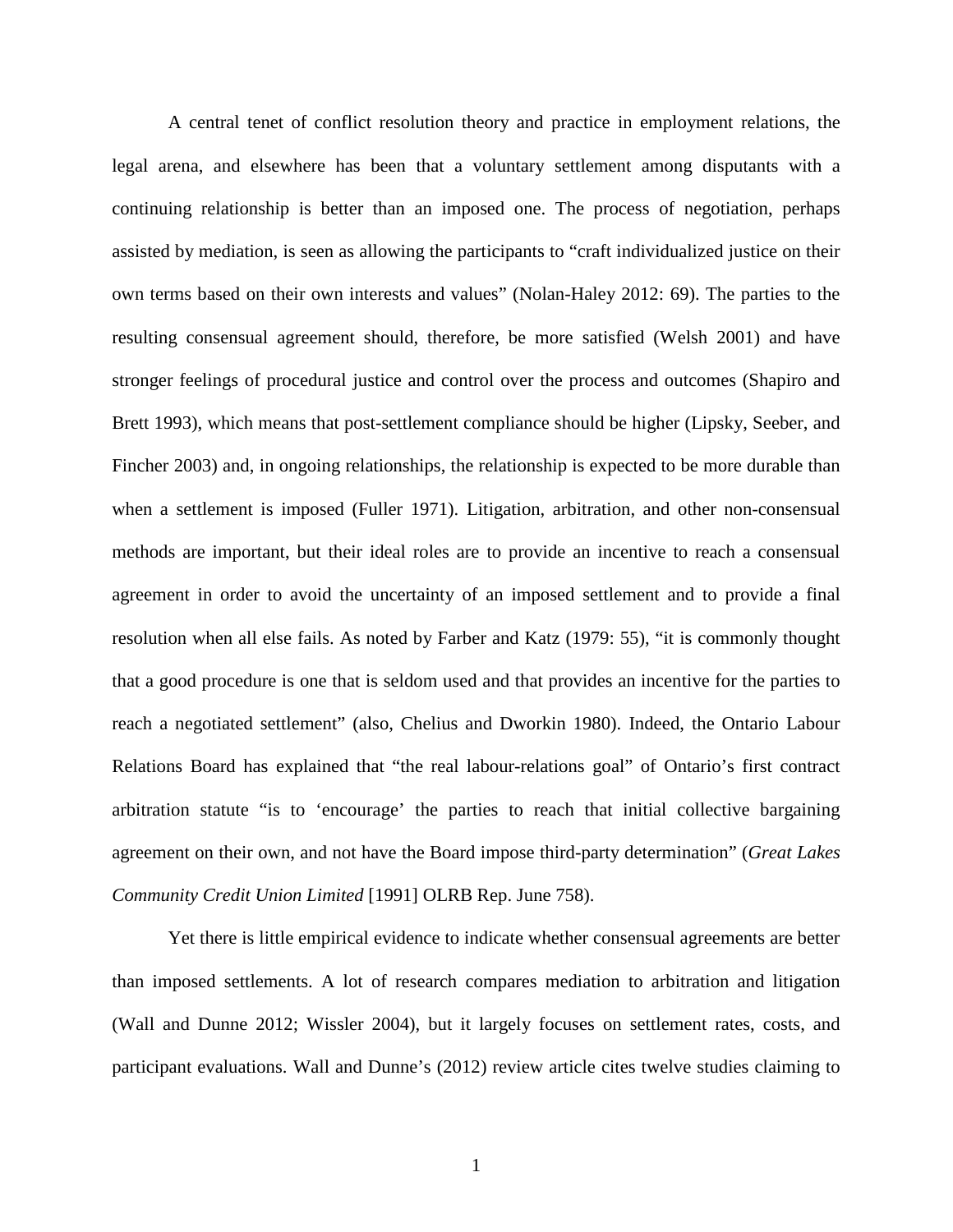A central tenet of conflict resolution theory and practice in employment relations, the legal arena, and elsewhere has been that a voluntary settlement among disputants with a continuing relationship is better than an imposed one. The process of negotiation, perhaps assisted by mediation, is seen as allowing the participants to "craft individualized justice on their own terms based on their own interests and values" (Nolan-Haley 2012: 69). The parties to the resulting consensual agreement should, therefore, be more satisfied (Welsh 2001) and have stronger feelings of procedural justice and control over the process and outcomes (Shapiro and Brett 1993), which means that post-settlement compliance should be higher (Lipsky, Seeber, and Fincher 2003) and, in ongoing relationships, the relationship is expected to be more durable than when a settlement is imposed (Fuller 1971). Litigation, arbitration, and other non-consensual methods are important, but their ideal roles are to provide an incentive to reach a consensual agreement in order to avoid the uncertainty of an imposed settlement and to provide a final resolution when all else fails. As noted by Farber and Katz (1979: 55), "it is commonly thought that a good procedure is one that is seldom used and that provides an incentive for the parties to reach a negotiated settlement" (also, Chelius and Dworkin 1980). Indeed, the Ontario Labour Relations Board has explained that "the real labour-relations goal" of Ontario's first contract arbitration statute "is to 'encourage' the parties to reach that initial collective bargaining agreement on their own, and not have the Board impose third-party determination" (*Great Lakes Community Credit Union Limited* [1991] OLRB Rep. June 758).

Yet there is little empirical evidence to indicate whether consensual agreements are better than imposed settlements. A lot of research compares mediation to arbitration and litigation (Wall and Dunne 2012; Wissler 2004), but it largely focuses on settlement rates, costs, and participant evaluations. Wall and Dunne's (2012) review article cites twelve studies claiming to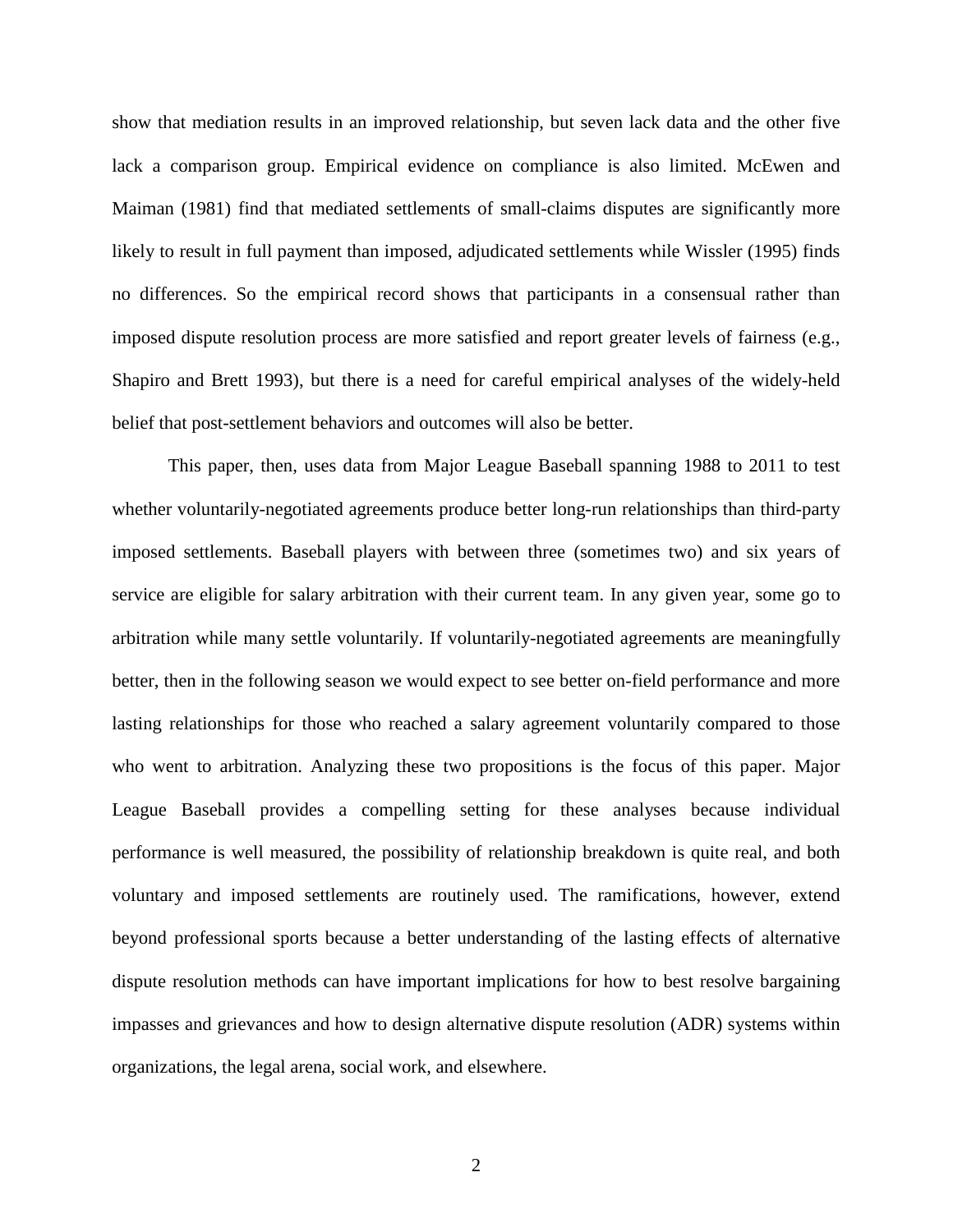show that mediation results in an improved relationship, but seven lack data and the other five lack a comparison group. Empirical evidence on compliance is also limited. McEwen and Maiman (1981) find that mediated settlements of small-claims disputes are significantly more likely to result in full payment than imposed, adjudicated settlements while Wissler (1995) finds no differences. So the empirical record shows that participants in a consensual rather than imposed dispute resolution process are more satisfied and report greater levels of fairness (e.g., Shapiro and Brett 1993), but there is a need for careful empirical analyses of the widely-held belief that post-settlement behaviors and outcomes will also be better.

This paper, then, uses data from Major League Baseball spanning 1988 to 2011 to test whether voluntarily-negotiated agreements produce better long-run relationships than third-party imposed settlements. Baseball players with between three (sometimes two) and six years of service are eligible for salary arbitration with their current team. In any given year, some go to arbitration while many settle voluntarily. If voluntarily-negotiated agreements are meaningfully better, then in the following season we would expect to see better on-field performance and more lasting relationships for those who reached a salary agreement voluntarily compared to those who went to arbitration. Analyzing these two propositions is the focus of this paper. Major League Baseball provides a compelling setting for these analyses because individual performance is well measured, the possibility of relationship breakdown is quite real, and both voluntary and imposed settlements are routinely used. The ramifications, however, extend beyond professional sports because a better understanding of the lasting effects of alternative dispute resolution methods can have important implications for how to best resolve bargaining impasses and grievances and how to design alternative dispute resolution (ADR) systems within organizations, the legal arena, social work, and elsewhere.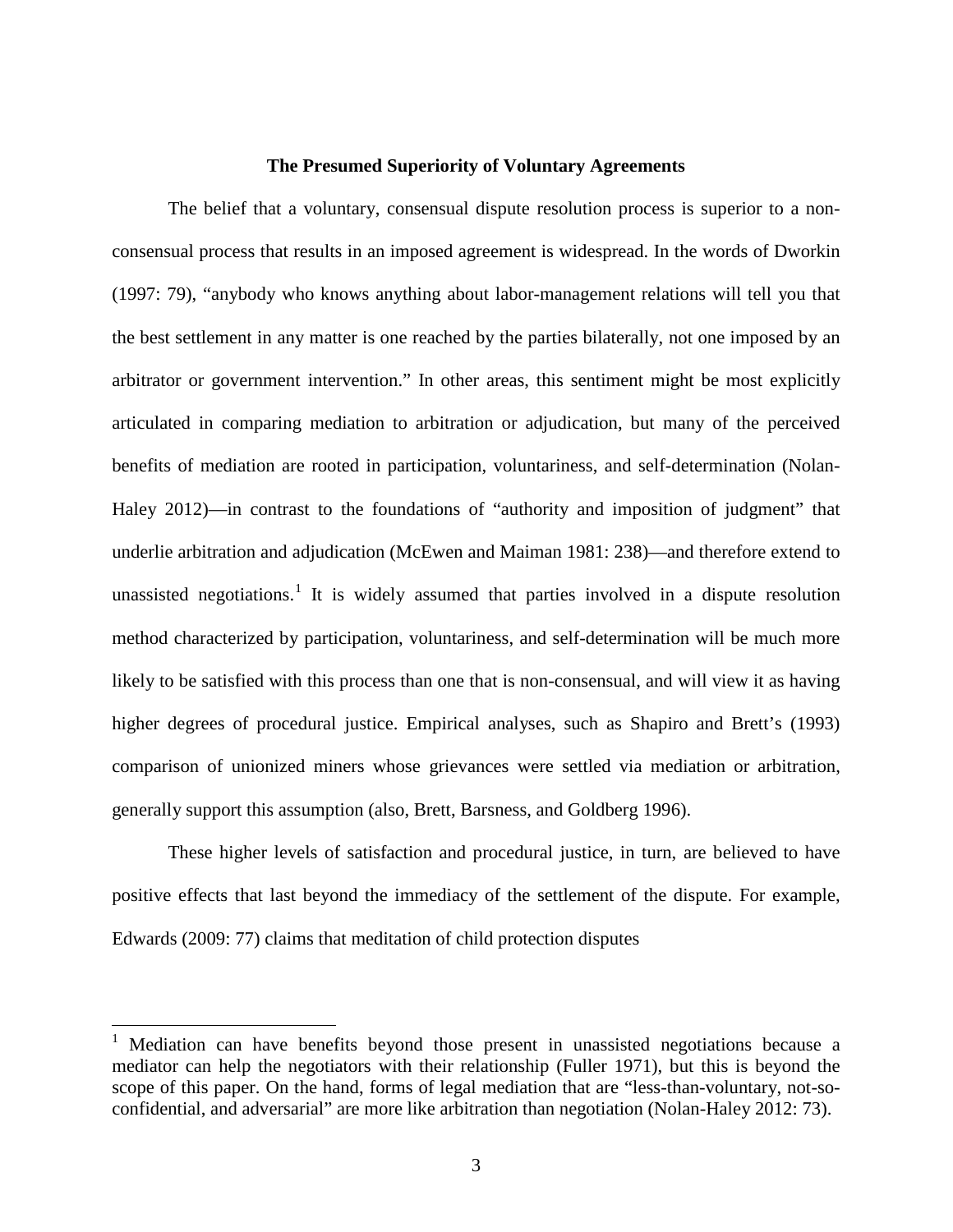#### **The Presumed Superiority of Voluntary Agreements**

The belief that a voluntary, consensual dispute resolution process is superior to a nonconsensual process that results in an imposed agreement is widespread. In the words of Dworkin (1997: 79), "anybody who knows anything about labor-management relations will tell you that the best settlement in any matter is one reached by the parties bilaterally, not one imposed by an arbitrator or government intervention." In other areas, this sentiment might be most explicitly articulated in comparing mediation to arbitration or adjudication, but many of the perceived benefits of mediation are rooted in participation, voluntariness, and self-determination (Nolan-Haley 2012)—in contrast to the foundations of "authority and imposition of judgment" that underlie arbitration and adjudication (McEwen and Maiman 1981: 238)—and therefore extend to unassisted negotiations.<sup>1</sup> It is widely assumed that parties involved in a dispute resolution method characterized by participation, voluntariness, and self-determination will be much more likely to be satisfied with this process than one that is non-consensual, and will view it as having higher degrees of procedural justice. Empirical analyses, such as Shapiro and Brett's (1993) comparison of unionized miners whose grievances were settled via mediation or arbitration, generally support this assumption (also, Brett, Barsness, and Goldberg 1996).

These higher levels of satisfaction and procedural justice, in turn, are believed to have positive effects that last beyond the immediacy of the settlement of the dispute. For example, Edwards (2009: 77) claims that meditation of child protection disputes

<span id="page-5-0"></span> <sup>1</sup> Mediation can have benefits beyond those present in unassisted negotiations because a mediator can help the negotiators with their relationship (Fuller 1971), but this is beyond the scope of this paper. On the hand, forms of legal mediation that are "less-than-voluntary, not-soconfidential, and adversarial" are more like arbitration than negotiation (Nolan-Haley 2012: 73).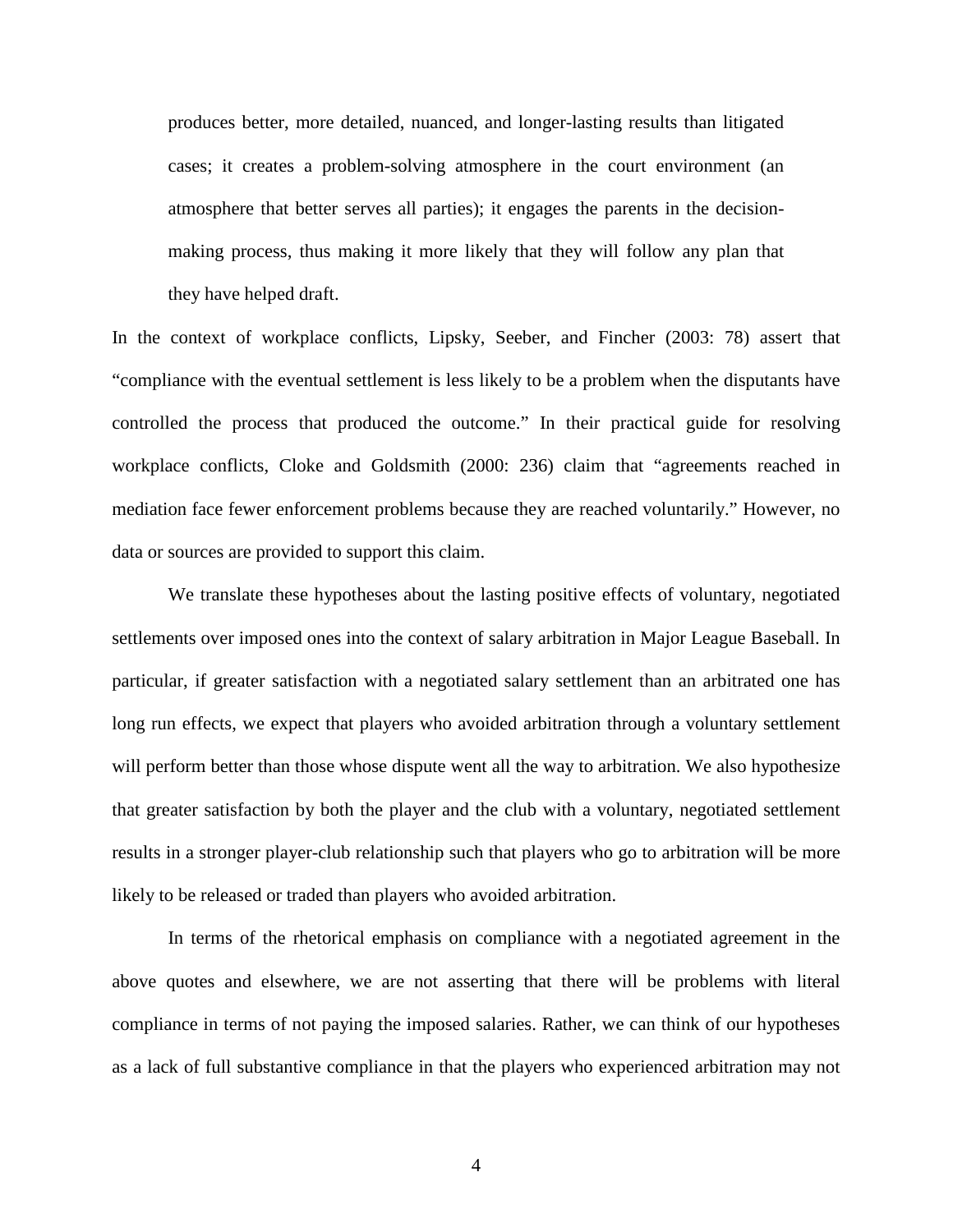produces better, more detailed, nuanced, and longer-lasting results than litigated cases; it creates a problem-solving atmosphere in the court environment (an atmosphere that better serves all parties); it engages the parents in the decisionmaking process, thus making it more likely that they will follow any plan that they have helped draft.

In the context of workplace conflicts, Lipsky, Seeber, and Fincher (2003: 78) assert that "compliance with the eventual settlement is less likely to be a problem when the disputants have controlled the process that produced the outcome." In their practical guide for resolving workplace conflicts, Cloke and Goldsmith (2000: 236) claim that "agreements reached in mediation face fewer enforcement problems because they are reached voluntarily." However, no data or sources are provided to support this claim.

We translate these hypotheses about the lasting positive effects of voluntary, negotiated settlements over imposed ones into the context of salary arbitration in Major League Baseball. In particular, if greater satisfaction with a negotiated salary settlement than an arbitrated one has long run effects, we expect that players who avoided arbitration through a voluntary settlement will perform better than those whose dispute went all the way to arbitration. We also hypothesize that greater satisfaction by both the player and the club with a voluntary, negotiated settlement results in a stronger player-club relationship such that players who go to arbitration will be more likely to be released or traded than players who avoided arbitration.

In terms of the rhetorical emphasis on compliance with a negotiated agreement in the above quotes and elsewhere, we are not asserting that there will be problems with literal compliance in terms of not paying the imposed salaries. Rather, we can think of our hypotheses as a lack of full substantive compliance in that the players who experienced arbitration may not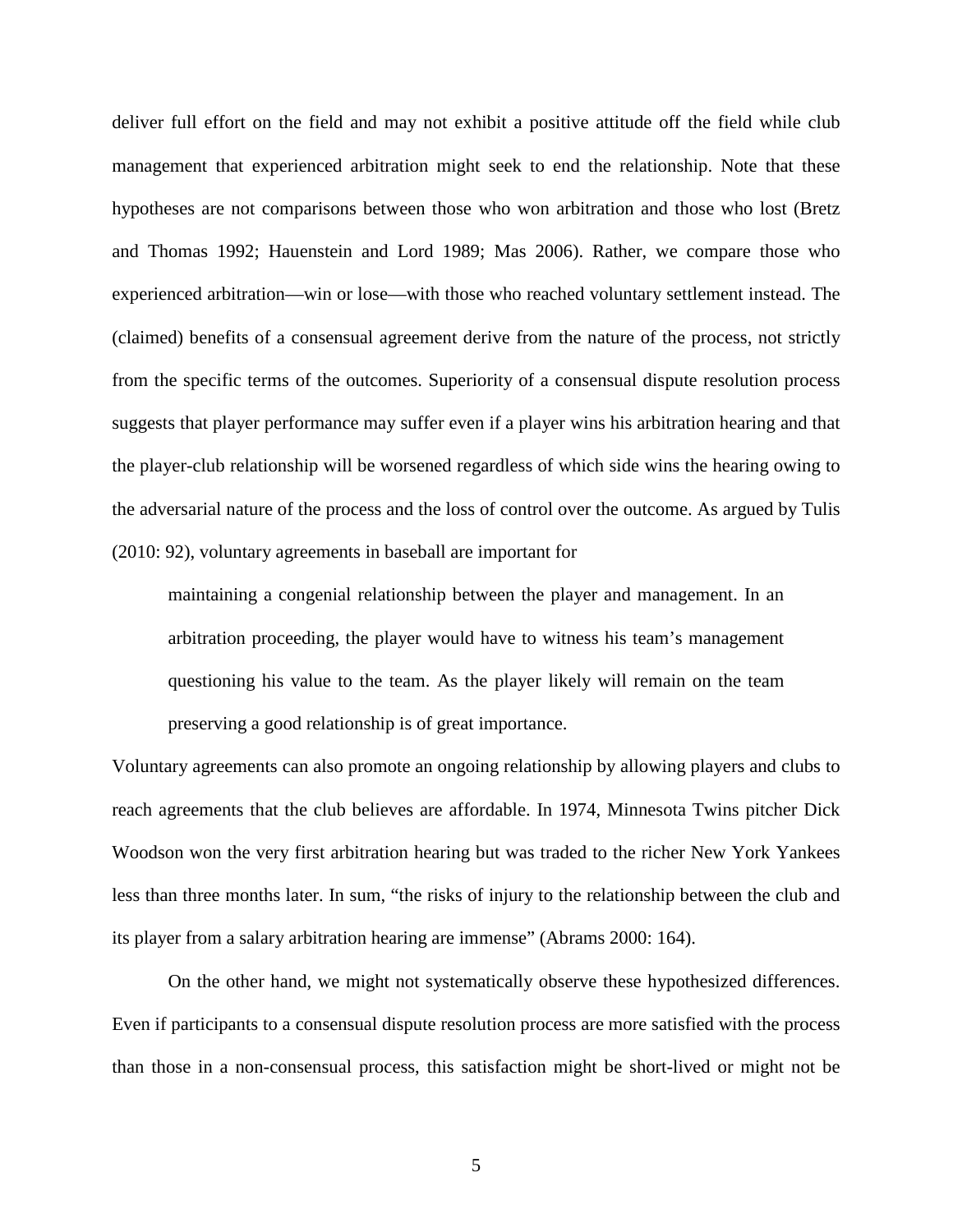deliver full effort on the field and may not exhibit a positive attitude off the field while club management that experienced arbitration might seek to end the relationship. Note that these hypotheses are not comparisons between those who won arbitration and those who lost (Bretz and Thomas 1992; Hauenstein and Lord 1989; Mas 2006). Rather, we compare those who experienced arbitration—win or lose—with those who reached voluntary settlement instead. The (claimed) benefits of a consensual agreement derive from the nature of the process, not strictly from the specific terms of the outcomes. Superiority of a consensual dispute resolution process suggests that player performance may suffer even if a player wins his arbitration hearing and that the player-club relationship will be worsened regardless of which side wins the hearing owing to the adversarial nature of the process and the loss of control over the outcome. As argued by Tulis (2010: 92), voluntary agreements in baseball are important for

maintaining a congenial relationship between the player and management. In an arbitration proceeding, the player would have to witness his team's management questioning his value to the team. As the player likely will remain on the team preserving a good relationship is of great importance.

Voluntary agreements can also promote an ongoing relationship by allowing players and clubs to reach agreements that the club believes are affordable. In 1974, Minnesota Twins pitcher Dick Woodson won the very first arbitration hearing but was traded to the richer New York Yankees less than three months later. In sum, "the risks of injury to the relationship between the club and its player from a salary arbitration hearing are immense" (Abrams 2000: 164).

On the other hand, we might not systematically observe these hypothesized differences. Even if participants to a consensual dispute resolution process are more satisfied with the process than those in a non-consensual process, this satisfaction might be short-lived or might not be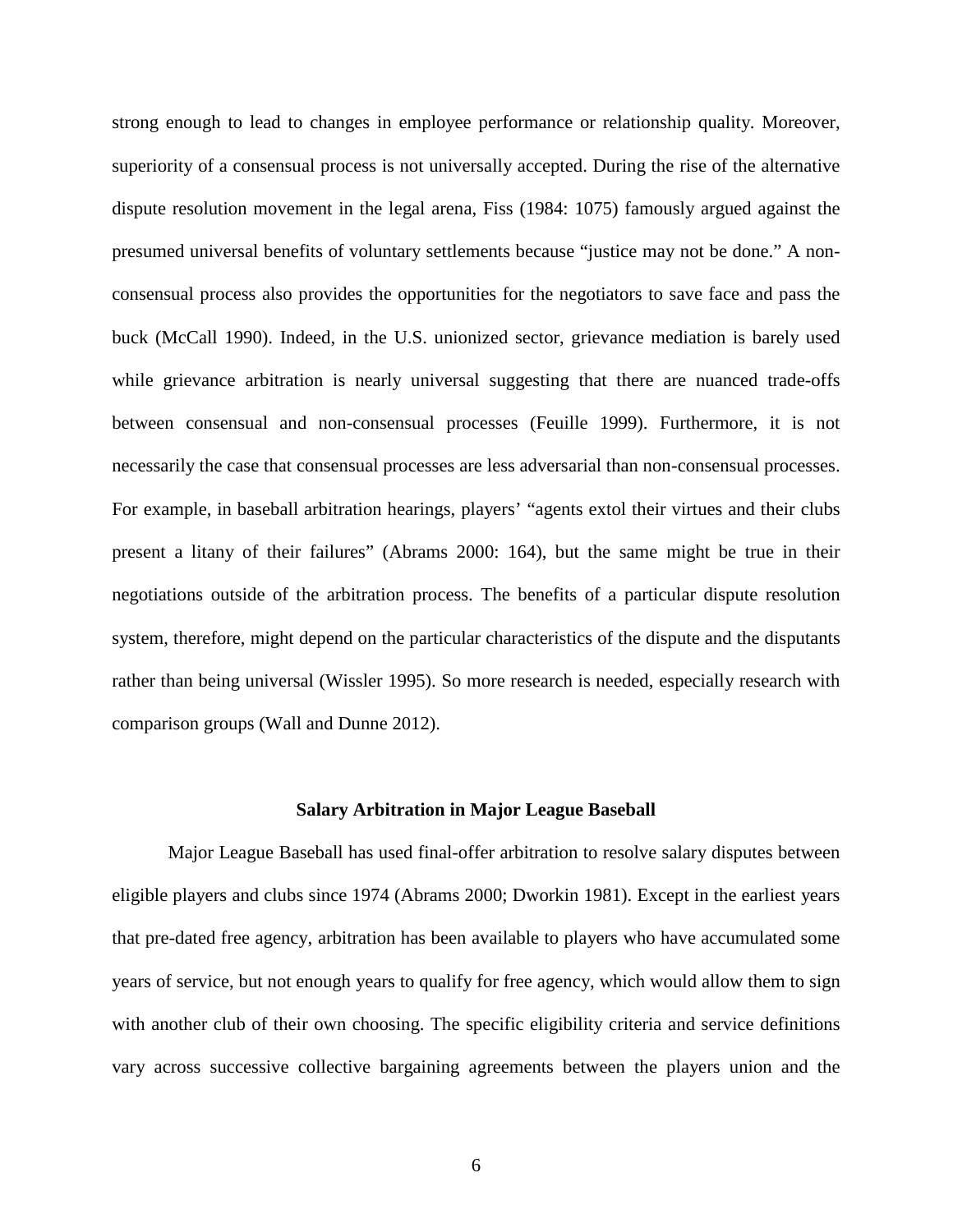strong enough to lead to changes in employee performance or relationship quality. Moreover, superiority of a consensual process is not universally accepted. During the rise of the alternative dispute resolution movement in the legal arena, Fiss (1984: 1075) famously argued against the presumed universal benefits of voluntary settlements because "justice may not be done." A nonconsensual process also provides the opportunities for the negotiators to save face and pass the buck (McCall 1990). Indeed, in the U.S. unionized sector, grievance mediation is barely used while grievance arbitration is nearly universal suggesting that there are nuanced trade-offs between consensual and non-consensual processes (Feuille 1999). Furthermore, it is not necessarily the case that consensual processes are less adversarial than non-consensual processes. For example, in baseball arbitration hearings, players' "agents extol their virtues and their clubs present a litany of their failures" (Abrams 2000: 164), but the same might be true in their negotiations outside of the arbitration process. The benefits of a particular dispute resolution system, therefore, might depend on the particular characteristics of the dispute and the disputants rather than being universal (Wissler 1995). So more research is needed, especially research with comparison groups (Wall and Dunne 2012).

#### **Salary Arbitration in Major League Baseball**

Major League Baseball has used final-offer arbitration to resolve salary disputes between eligible players and clubs since 1974 (Abrams 2000; Dworkin 1981). Except in the earliest years that pre-dated free agency, arbitration has been available to players who have accumulated some years of service, but not enough years to qualify for free agency, which would allow them to sign with another club of their own choosing. The specific eligibility criteria and service definitions vary across successive collective bargaining agreements between the players union and the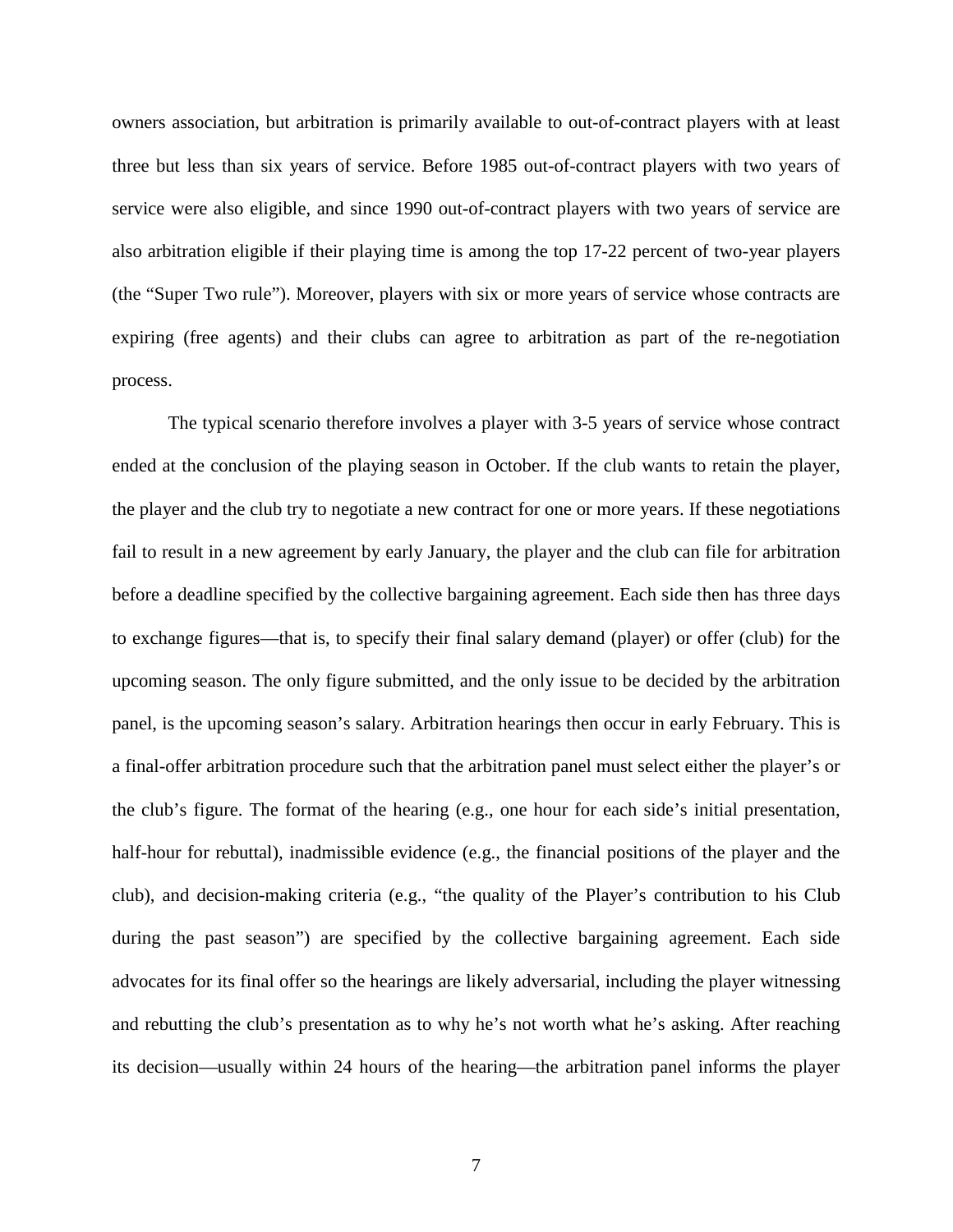owners association, but arbitration is primarily available to out-of-contract players with at least three but less than six years of service. Before 1985 out-of-contract players with two years of service were also eligible, and since 1990 out-of-contract players with two years of service are also arbitration eligible if their playing time is among the top 17-22 percent of two-year players (the "Super Two rule"). Moreover, players with six or more years of service whose contracts are expiring (free agents) and their clubs can agree to arbitration as part of the re-negotiation process.

The typical scenario therefore involves a player with 3-5 years of service whose contract ended at the conclusion of the playing season in October. If the club wants to retain the player, the player and the club try to negotiate a new contract for one or more years. If these negotiations fail to result in a new agreement by early January, the player and the club can file for arbitration before a deadline specified by the collective bargaining agreement. Each side then has three days to exchange figures—that is, to specify their final salary demand (player) or offer (club) for the upcoming season. The only figure submitted, and the only issue to be decided by the arbitration panel, is the upcoming season's salary. Arbitration hearings then occur in early February. This is a final-offer arbitration procedure such that the arbitration panel must select either the player's or the club's figure. The format of the hearing (e.g., one hour for each side's initial presentation, half-hour for rebuttal), inadmissible evidence (e.g., the financial positions of the player and the club), and decision-making criteria (e.g., "the quality of the Player's contribution to his Club during the past season") are specified by the collective bargaining agreement. Each side advocates for its final offer so the hearings are likely adversarial, including the player witnessing and rebutting the club's presentation as to why he's not worth what he's asking. After reaching its decision—usually within 24 hours of the hearing—the arbitration panel informs the player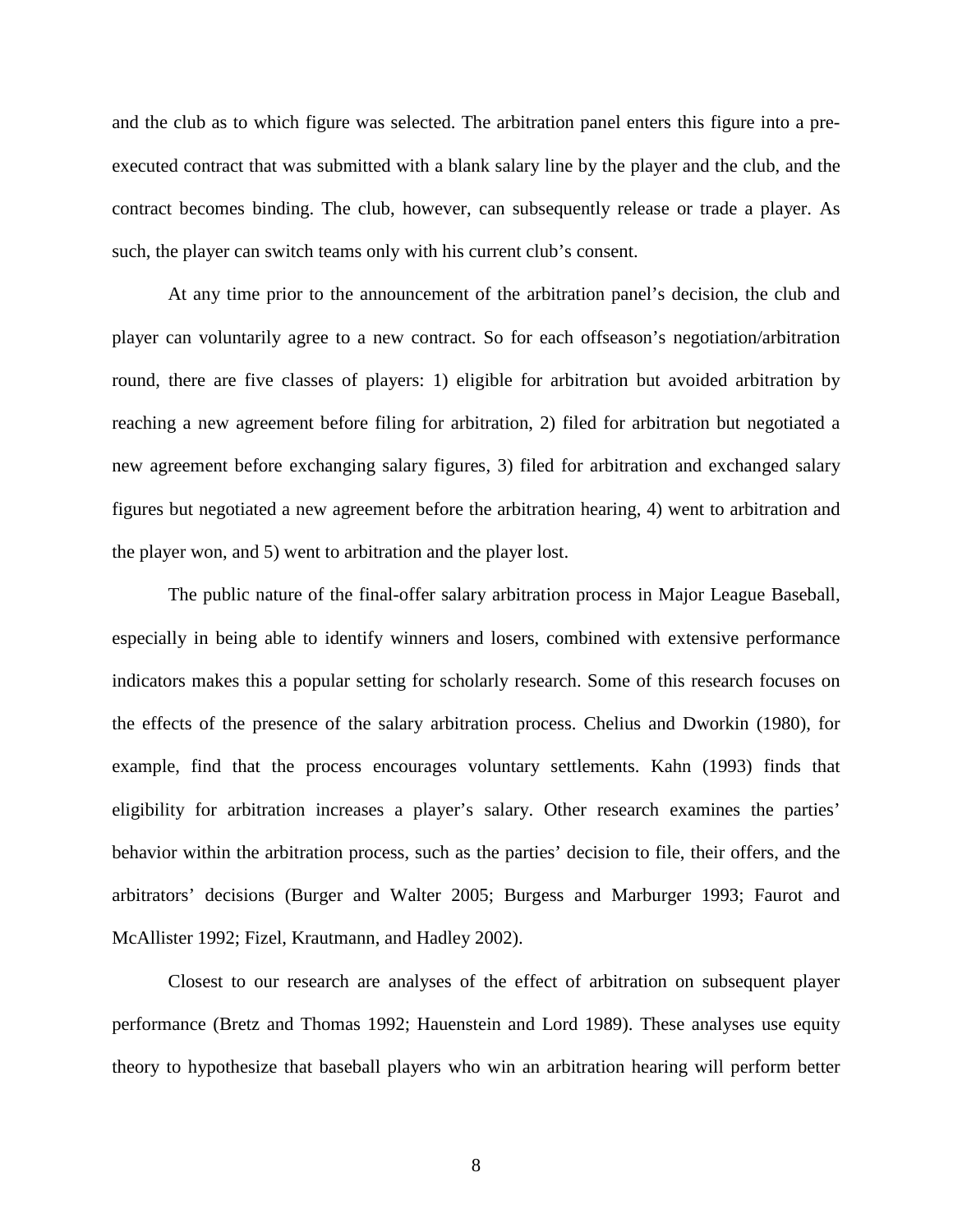and the club as to which figure was selected. The arbitration panel enters this figure into a preexecuted contract that was submitted with a blank salary line by the player and the club, and the contract becomes binding. The club, however, can subsequently release or trade a player. As such, the player can switch teams only with his current club's consent.

At any time prior to the announcement of the arbitration panel's decision, the club and player can voluntarily agree to a new contract. So for each offseason's negotiation/arbitration round, there are five classes of players: 1) eligible for arbitration but avoided arbitration by reaching a new agreement before filing for arbitration, 2) filed for arbitration but negotiated a new agreement before exchanging salary figures, 3) filed for arbitration and exchanged salary figures but negotiated a new agreement before the arbitration hearing, 4) went to arbitration and the player won, and 5) went to arbitration and the player lost.

The public nature of the final-offer salary arbitration process in Major League Baseball, especially in being able to identify winners and losers, combined with extensive performance indicators makes this a popular setting for scholarly research. Some of this research focuses on the effects of the presence of the salary arbitration process. Chelius and Dworkin (1980), for example, find that the process encourages voluntary settlements. Kahn (1993) finds that eligibility for arbitration increases a player's salary. Other research examines the parties' behavior within the arbitration process, such as the parties' decision to file, their offers, and the arbitrators' decisions (Burger and Walter 2005; Burgess and Marburger 1993; Faurot and McAllister 1992; Fizel, Krautmann, and Hadley 2002).

Closest to our research are analyses of the effect of arbitration on subsequent player performance (Bretz and Thomas 1992; Hauenstein and Lord 1989). These analyses use equity theory to hypothesize that baseball players who win an arbitration hearing will perform better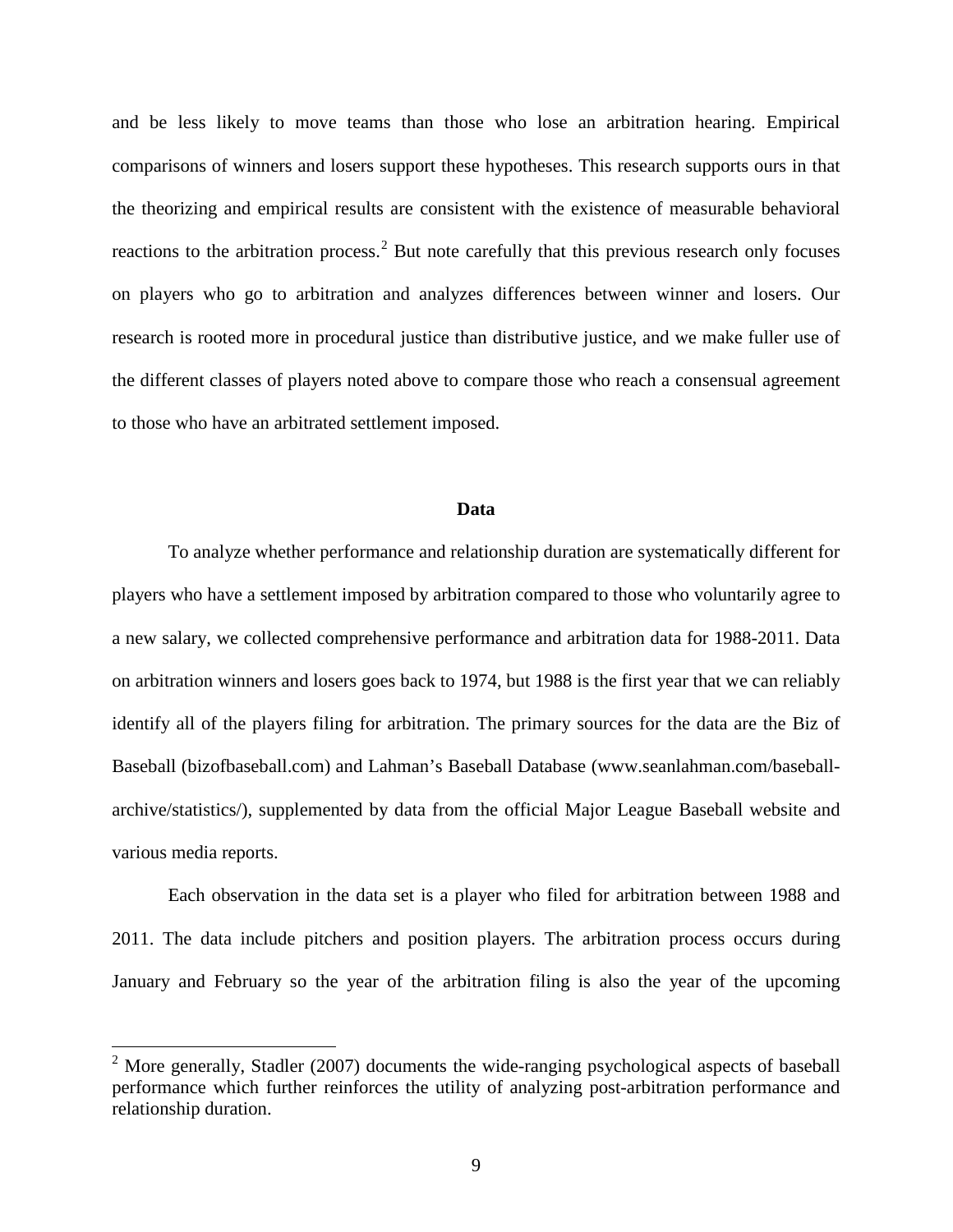and be less likely to move teams than those who lose an arbitration hearing. Empirical comparisons of winners and losers support these hypotheses. This research supports ours in that the theorizing and empirical results are consistent with the existence of measurable behavioral reactions to the arbitration process.<sup>[2](#page-5-0)</sup> But note carefully that this previous research only focuses on players who go to arbitration and analyzes differences between winner and losers. Our research is rooted more in procedural justice than distributive justice, and we make fuller use of the different classes of players noted above to compare those who reach a consensual agreement to those who have an arbitrated settlement imposed.

#### **Data**

To analyze whether performance and relationship duration are systematically different for players who have a settlement imposed by arbitration compared to those who voluntarily agree to a new salary, we collected comprehensive performance and arbitration data for 1988-2011. Data on arbitration winners and losers goes back to 1974, but 1988 is the first year that we can reliably identify all of the players filing for arbitration. The primary sources for the data are the Biz of Baseball (bizofbaseball.com) and Lahman's Baseball Database (www.seanlahman.com/baseballarchive/statistics/), supplemented by data from the official Major League Baseball website and various media reports.

<span id="page-11-0"></span>Each observation in the data set is a player who filed for arbitration between 1988 and 2011. The data include pitchers and position players. The arbitration process occurs during January and February so the year of the arbitration filing is also the year of the upcoming

 $2 \text{ More generally, Stadler (2007) documents the wide-ranging psychological aspects of baseball.}$ performance which further reinforces the utility of analyzing post-arbitration performance and relationship duration.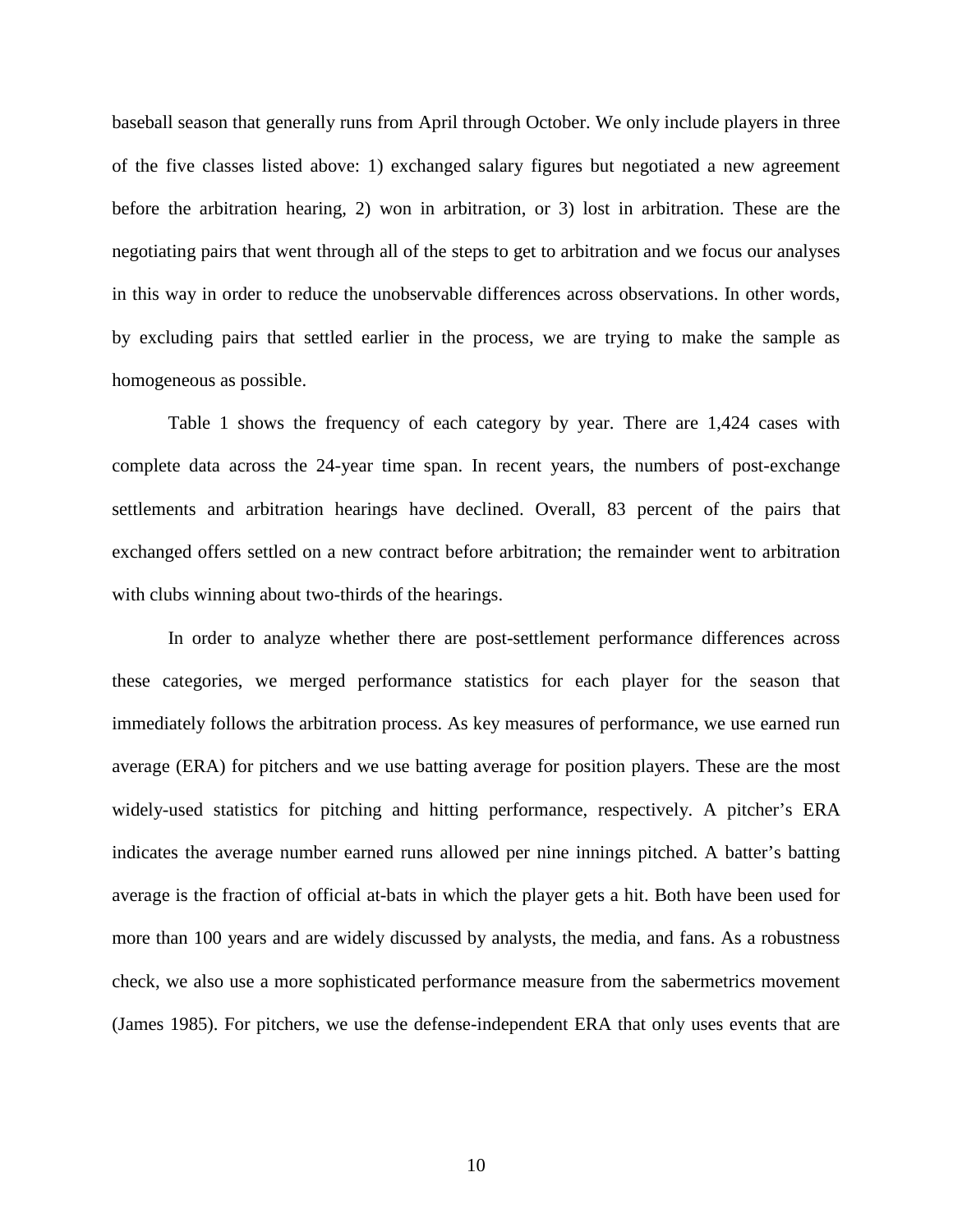baseball season that generally runs from April through October. We only include players in three of the five classes listed above: 1) exchanged salary figures but negotiated a new agreement before the arbitration hearing, 2) won in arbitration, or 3) lost in arbitration. These are the negotiating pairs that went through all of the steps to get to arbitration and we focus our analyses in this way in order to reduce the unobservable differences across observations. In other words, by excluding pairs that settled earlier in the process, we are trying to make the sample as homogeneous as possible.

Table 1 shows the frequency of each category by year. There are 1,424 cases with complete data across the 24-year time span. In recent years, the numbers of post-exchange settlements and arbitration hearings have declined. Overall, 83 percent of the pairs that exchanged offers settled on a new contract before arbitration; the remainder went to arbitration with clubs winning about two-thirds of the hearings.

In order to analyze whether there are post-settlement performance differences across these categories, we merged performance statistics for each player for the season that immediately follows the arbitration process. As key measures of performance, we use earned run average (ERA) for pitchers and we use batting average for position players. These are the most widely-used statistics for pitching and hitting performance, respectively. A pitcher's ERA indicates the average number earned runs allowed per nine innings pitched. A batter's batting average is the fraction of official at-bats in which the player gets a hit. Both have been used for more than 100 years and are widely discussed by analysts, the media, and fans. As a robustness check, we also use a more sophisticated performance measure from the sabermetrics movement (James 1985). For pitchers, we use the defense-independent ERA that only uses events that are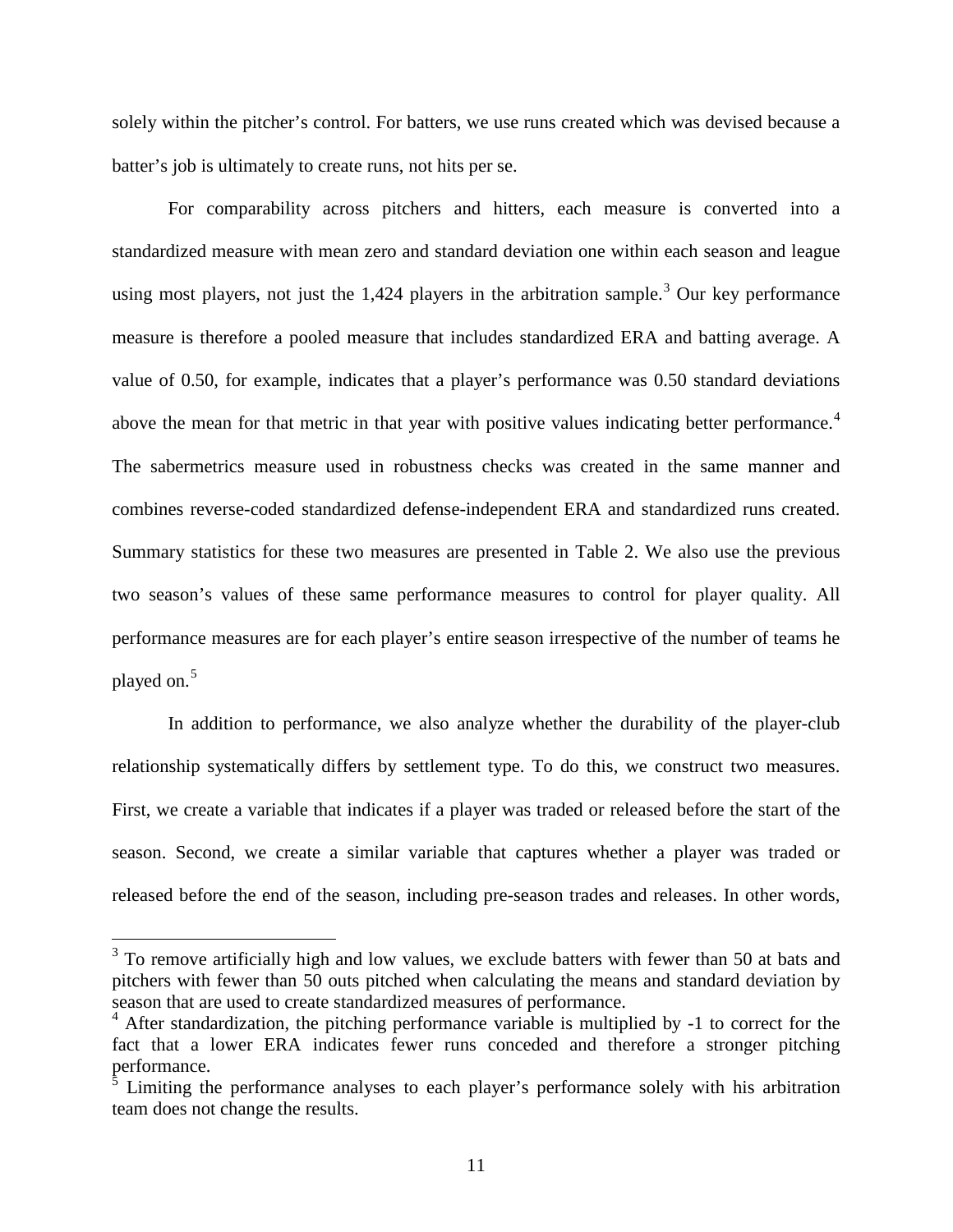solely within the pitcher's control. For batters, we use runs created which was devised because a batter's job is ultimately to create runs, not hits per se.

For comparability across pitchers and hitters, each measure is converted into a standardized measure with mean zero and standard deviation one within each season and league using most players, not just the 1,424 players in the arbitration sample.<sup>[3](#page-11-0)</sup> Our key performance measure is therefore a pooled measure that includes standardized ERA and batting average. A value of 0.50, for example, indicates that a player's performance was 0.50 standard deviations above the mean for that metric in that year with positive values indicating better performance.<sup>[4](#page-13-0)</sup> The sabermetrics measure used in robustness checks was created in the same manner and combines reverse-coded standardized defense-independent ERA and standardized runs created. Summary statistics for these two measures are presented in Table 2. We also use the previous two season's values of these same performance measures to control for player quality. All performance measures are for each player's entire season irrespective of the number of teams he played on.<sup>[5](#page-13-1)</sup>

In addition to performance, we also analyze whether the durability of the player-club relationship systematically differs by settlement type. To do this, we construct two measures. First, we create a variable that indicates if a player was traded or released before the start of the season. Second, we create a similar variable that captures whether a player was traded or released before the end of the season, including pre-season trades and releases. In other words,

<sup>&</sup>lt;sup>3</sup> To remove artificially high and low values, we exclude batters with fewer than 50 at bats and pitchers with fewer than 50 outs pitched when calculating the means and standard deviation by

<span id="page-13-0"></span> $4$  After standardization, the pitching performance variable is multiplied by  $-1$  to correct for the fact that a lower ERA indicates fewer runs conceded and therefore a stronger pitching performance.

<span id="page-13-1"></span><sup>5</sup> Limiting the performance analyses to each player's performance solely with his arbitration team does not change the results.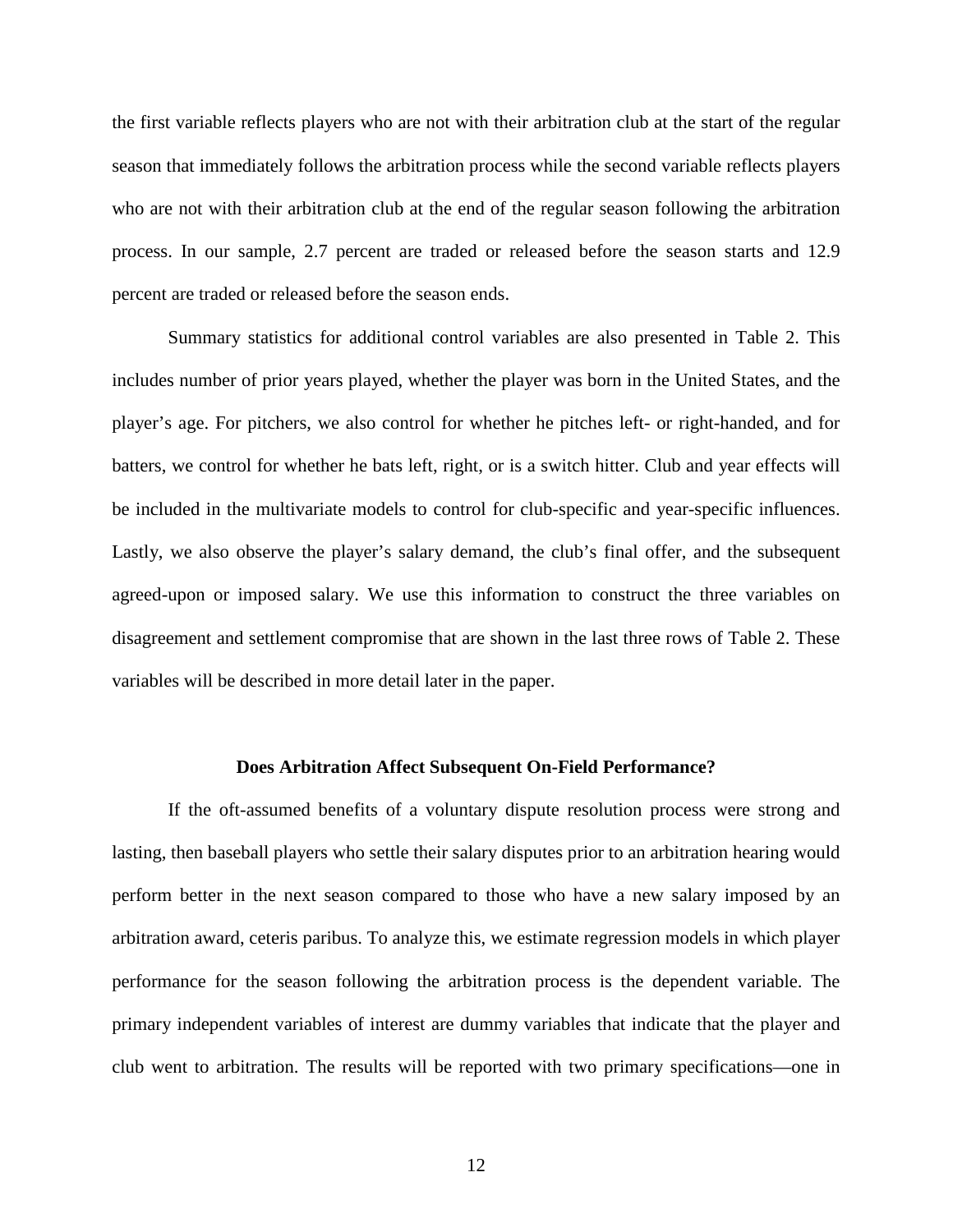the first variable reflects players who are not with their arbitration club at the start of the regular season that immediately follows the arbitration process while the second variable reflects players who are not with their arbitration club at the end of the regular season following the arbitration process. In our sample, 2.7 percent are traded or released before the season starts and 12.9 percent are traded or released before the season ends.

Summary statistics for additional control variables are also presented in Table 2. This includes number of prior years played, whether the player was born in the United States, and the player's age. For pitchers, we also control for whether he pitches left- or right-handed, and for batters, we control for whether he bats left, right, or is a switch hitter. Club and year effects will be included in the multivariate models to control for club-specific and year-specific influences. Lastly, we also observe the player's salary demand, the club's final offer, and the subsequent agreed-upon or imposed salary. We use this information to construct the three variables on disagreement and settlement compromise that are shown in the last three rows of Table 2. These variables will be described in more detail later in the paper.

#### **Does Arbitration Affect Subsequent On-Field Performance?**

If the oft-assumed benefits of a voluntary dispute resolution process were strong and lasting, then baseball players who settle their salary disputes prior to an arbitration hearing would perform better in the next season compared to those who have a new salary imposed by an arbitration award, ceteris paribus. To analyze this, we estimate regression models in which player performance for the season following the arbitration process is the dependent variable. The primary independent variables of interest are dummy variables that indicate that the player and club went to arbitration. The results will be reported with two primary specifications—one in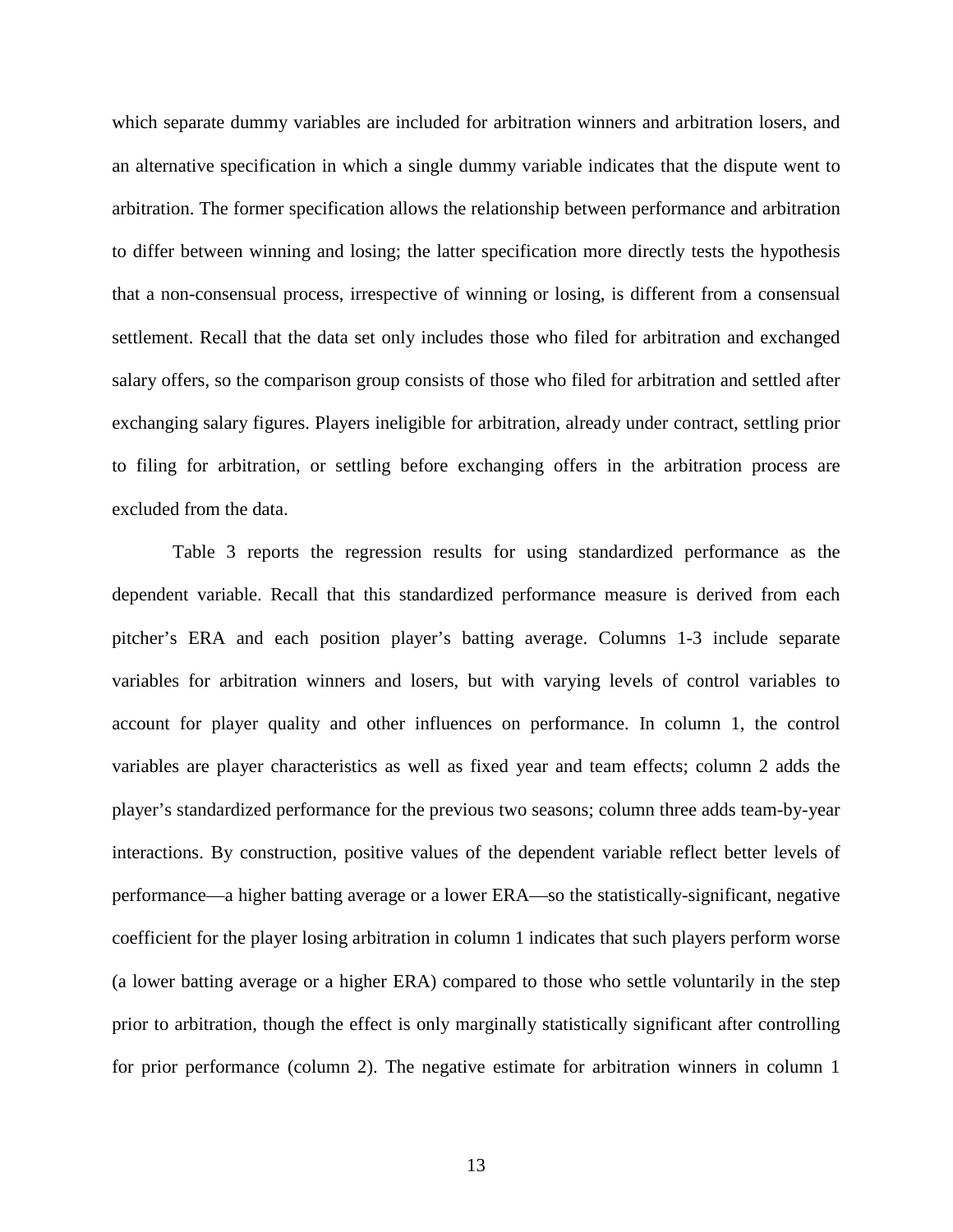which separate dummy variables are included for arbitration winners and arbitration losers, and an alternative specification in which a single dummy variable indicates that the dispute went to arbitration. The former specification allows the relationship between performance and arbitration to differ between winning and losing; the latter specification more directly tests the hypothesis that a non-consensual process, irrespective of winning or losing, is different from a consensual settlement. Recall that the data set only includes those who filed for arbitration and exchanged salary offers, so the comparison group consists of those who filed for arbitration and settled after exchanging salary figures. Players ineligible for arbitration, already under contract, settling prior to filing for arbitration, or settling before exchanging offers in the arbitration process are excluded from the data.

Table 3 reports the regression results for using standardized performance as the dependent variable. Recall that this standardized performance measure is derived from each pitcher's ERA and each position player's batting average. Columns 1-3 include separate variables for arbitration winners and losers, but with varying levels of control variables to account for player quality and other influences on performance. In column 1, the control variables are player characteristics as well as fixed year and team effects; column 2 adds the player's standardized performance for the previous two seasons; column three adds team-by-year interactions. By construction, positive values of the dependent variable reflect better levels of performance—a higher batting average or a lower ERA—so the statistically-significant, negative coefficient for the player losing arbitration in column 1 indicates that such players perform worse (a lower batting average or a higher ERA) compared to those who settle voluntarily in the step prior to arbitration, though the effect is only marginally statistically significant after controlling for prior performance (column 2). The negative estimate for arbitration winners in column 1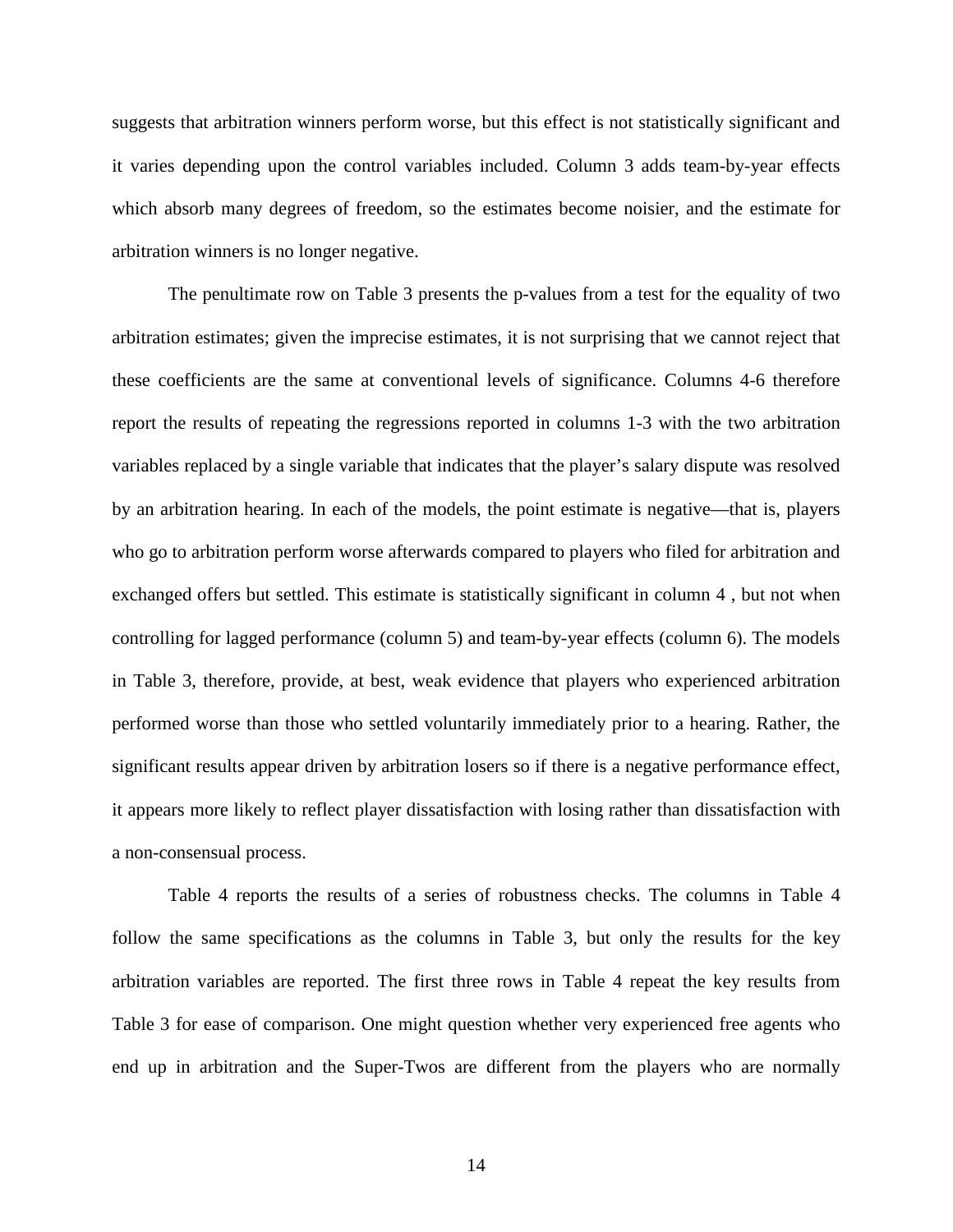suggests that arbitration winners perform worse, but this effect is not statistically significant and it varies depending upon the control variables included. Column 3 adds team-by-year effects which absorb many degrees of freedom, so the estimates become noisier, and the estimate for arbitration winners is no longer negative.

The penultimate row on Table 3 presents the p-values from a test for the equality of two arbitration estimates; given the imprecise estimates, it is not surprising that we cannot reject that these coefficients are the same at conventional levels of significance. Columns 4-6 therefore report the results of repeating the regressions reported in columns 1-3 with the two arbitration variables replaced by a single variable that indicates that the player's salary dispute was resolved by an arbitration hearing. In each of the models, the point estimate is negative—that is, players who go to arbitration perform worse afterwards compared to players who filed for arbitration and exchanged offers but settled. This estimate is statistically significant in column 4 , but not when controlling for lagged performance (column 5) and team-by-year effects (column 6). The models in Table 3, therefore, provide, at best, weak evidence that players who experienced arbitration performed worse than those who settled voluntarily immediately prior to a hearing. Rather, the significant results appear driven by arbitration losers so if there is a negative performance effect, it appears more likely to reflect player dissatisfaction with losing rather than dissatisfaction with a non-consensual process.

Table 4 reports the results of a series of robustness checks. The columns in Table 4 follow the same specifications as the columns in Table 3, but only the results for the key arbitration variables are reported. The first three rows in Table 4 repeat the key results from Table 3 for ease of comparison. One might question whether very experienced free agents who end up in arbitration and the Super-Twos are different from the players who are normally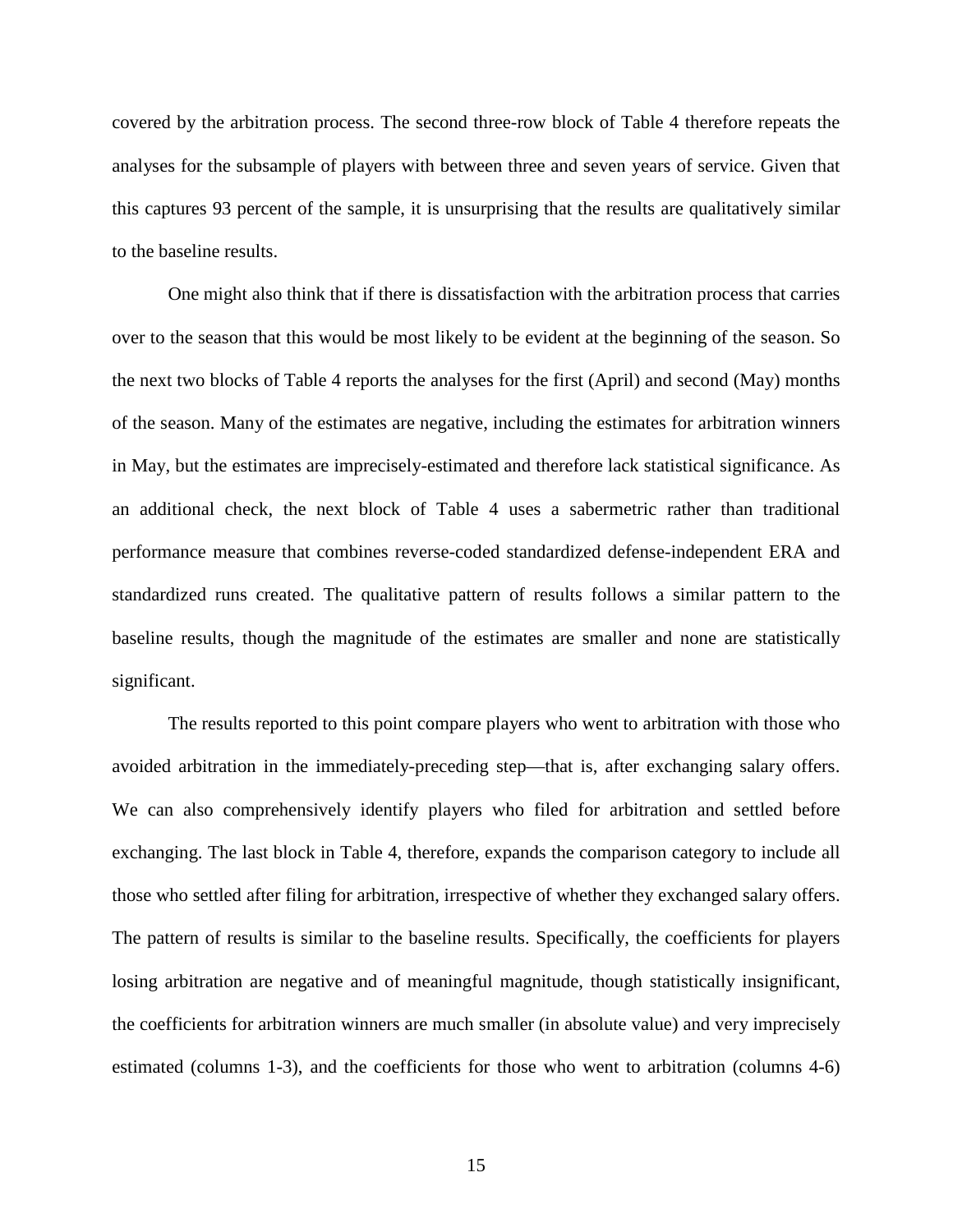covered by the arbitration process. The second three-row block of Table 4 therefore repeats the analyses for the subsample of players with between three and seven years of service. Given that this captures 93 percent of the sample, it is unsurprising that the results are qualitatively similar to the baseline results.

One might also think that if there is dissatisfaction with the arbitration process that carries over to the season that this would be most likely to be evident at the beginning of the season. So the next two blocks of Table 4 reports the analyses for the first (April) and second (May) months of the season. Many of the estimates are negative, including the estimates for arbitration winners in May, but the estimates are imprecisely-estimated and therefore lack statistical significance. As an additional check, the next block of Table 4 uses a sabermetric rather than traditional performance measure that combines reverse-coded standardized defense-independent ERA and standardized runs created. The qualitative pattern of results follows a similar pattern to the baseline results, though the magnitude of the estimates are smaller and none are statistically significant.

The results reported to this point compare players who went to arbitration with those who avoided arbitration in the immediately-preceding step—that is, after exchanging salary offers. We can also comprehensively identify players who filed for arbitration and settled before exchanging. The last block in Table 4, therefore, expands the comparison category to include all those who settled after filing for arbitration, irrespective of whether they exchanged salary offers. The pattern of results is similar to the baseline results. Specifically, the coefficients for players losing arbitration are negative and of meaningful magnitude, though statistically insignificant, the coefficients for arbitration winners are much smaller (in absolute value) and very imprecisely estimated (columns 1-3), and the coefficients for those who went to arbitration (columns 4-6)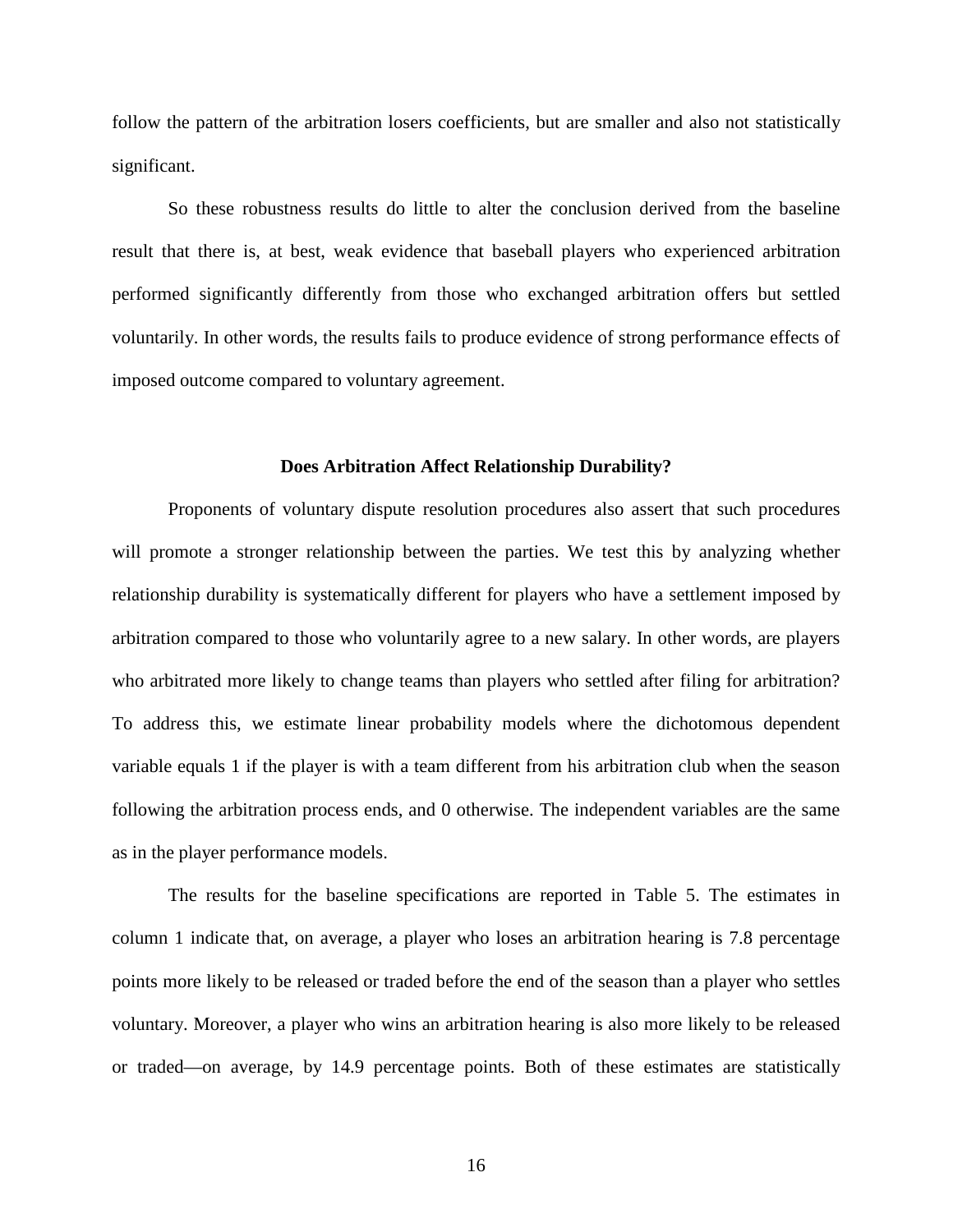follow the pattern of the arbitration losers coefficients, but are smaller and also not statistically significant.

So these robustness results do little to alter the conclusion derived from the baseline result that there is, at best, weak evidence that baseball players who experienced arbitration performed significantly differently from those who exchanged arbitration offers but settled voluntarily. In other words, the results fails to produce evidence of strong performance effects of imposed outcome compared to voluntary agreement.

#### **Does Arbitration Affect Relationship Durability?**

Proponents of voluntary dispute resolution procedures also assert that such procedures will promote a stronger relationship between the parties. We test this by analyzing whether relationship durability is systematically different for players who have a settlement imposed by arbitration compared to those who voluntarily agree to a new salary. In other words, are players who arbitrated more likely to change teams than players who settled after filing for arbitration? To address this, we estimate linear probability models where the dichotomous dependent variable equals 1 if the player is with a team different from his arbitration club when the season following the arbitration process ends, and 0 otherwise. The independent variables are the same as in the player performance models.

The results for the baseline specifications are reported in Table 5. The estimates in column 1 indicate that, on average, a player who loses an arbitration hearing is 7.8 percentage points more likely to be released or traded before the end of the season than a player who settles voluntary. Moreover, a player who wins an arbitration hearing is also more likely to be released or traded—on average, by 14.9 percentage points. Both of these estimates are statistically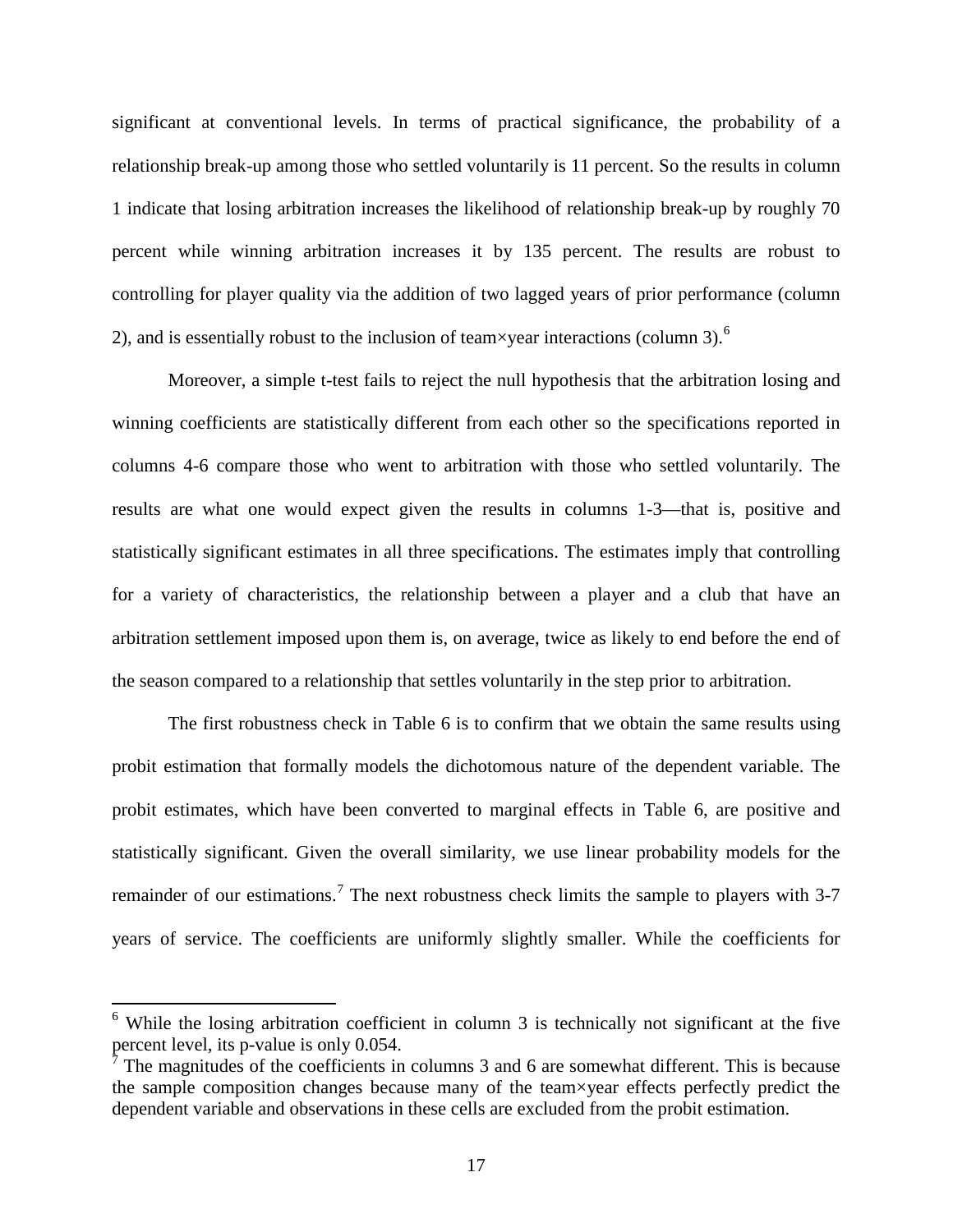significant at conventional levels. In terms of practical significance, the probability of a relationship break-up among those who settled voluntarily is 11 percent. So the results in column 1 indicate that losing arbitration increases the likelihood of relationship break-up by roughly 70 percent while winning arbitration increases it by 135 percent. The results are robust to controlling for player quality via the addition of two lagged years of prior performance (column 2), and is essentially robust to the inclusion of team×year interactions (column 3).<sup>[6](#page-13-0)</sup>

Moreover, a simple t-test fails to reject the null hypothesis that the arbitration losing and winning coefficients are statistically different from each other so the specifications reported in columns 4-6 compare those who went to arbitration with those who settled voluntarily. The results are what one would expect given the results in columns 1-3—that is, positive and statistically significant estimates in all three specifications. The estimates imply that controlling for a variety of characteristics, the relationship between a player and a club that have an arbitration settlement imposed upon them is, on average, twice as likely to end before the end of the season compared to a relationship that settles voluntarily in the step prior to arbitration.

The first robustness check in Table 6 is to confirm that we obtain the same results using probit estimation that formally models the dichotomous nature of the dependent variable. The probit estimates, which have been converted to marginal effects in Table 6, are positive and statistically significant. Given the overall similarity, we use linear probability models for the remainder of our estimations.<sup>[7](#page-19-0)</sup> The next robustness check limits the sample to players with  $3-7$ years of service. The coefficients are uniformly slightly smaller. While the coefficients for

<span id="page-19-1"></span> $6$  While the losing arbitration coefficient in column 3 is technically not significant at the five percent level, its p-value is only 0.054.

<span id="page-19-0"></span>The magnitudes of the coefficients in columns 3 and 6 are somewhat different. This is because the sample composition changes because many of the team×year effects perfectly predict the dependent variable and observations in these cells are excluded from the probit estimation.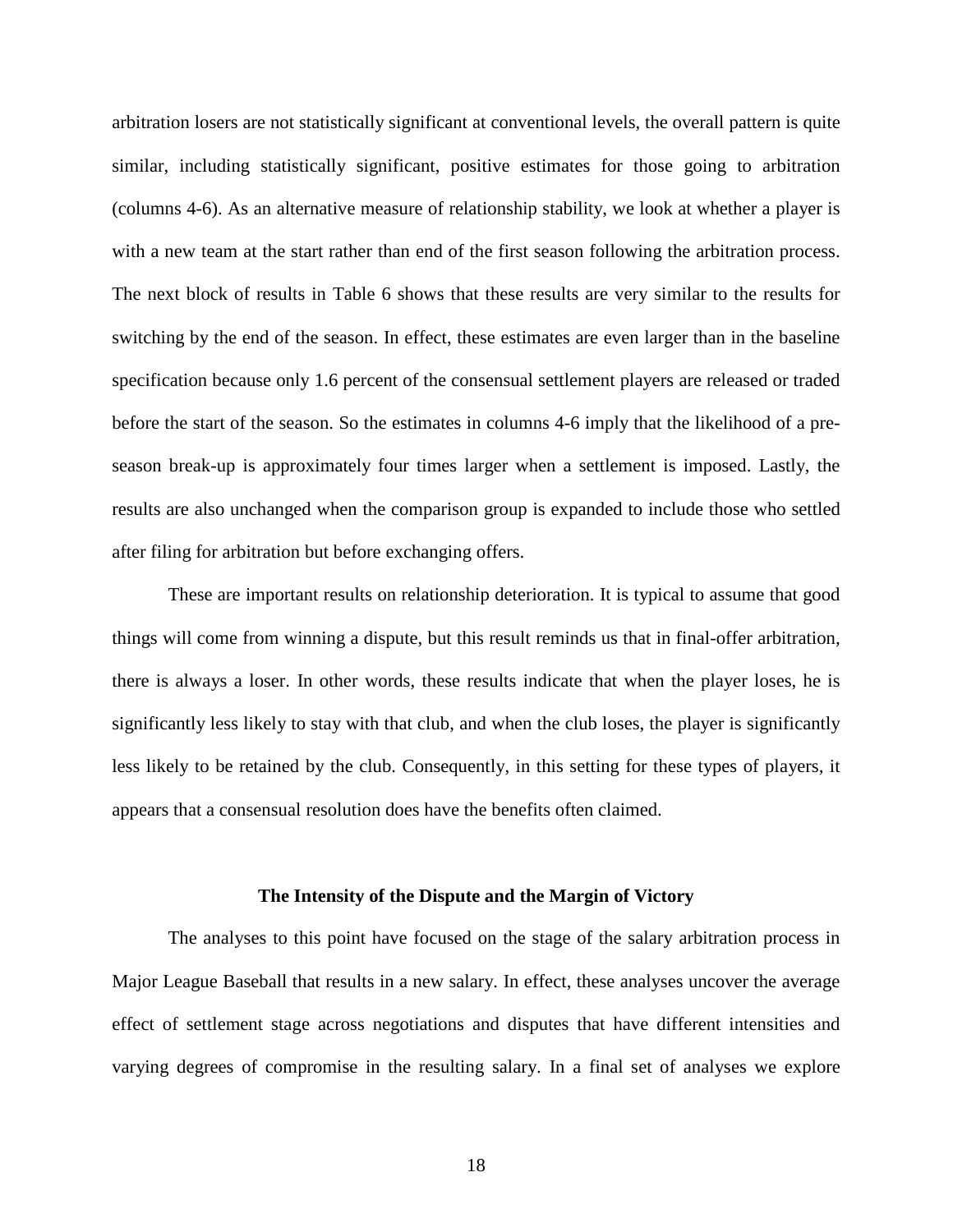arbitration losers are not statistically significant at conventional levels, the overall pattern is quite similar, including statistically significant, positive estimates for those going to arbitration (columns 4-6). As an alternative measure of relationship stability, we look at whether a player is with a new team at the start rather than end of the first season following the arbitration process. The next block of results in Table 6 shows that these results are very similar to the results for switching by the end of the season. In effect, these estimates are even larger than in the baseline specification because only 1.6 percent of the consensual settlement players are released or traded before the start of the season. So the estimates in columns 4-6 imply that the likelihood of a preseason break-up is approximately four times larger when a settlement is imposed. Lastly, the results are also unchanged when the comparison group is expanded to include those who settled after filing for arbitration but before exchanging offers.

These are important results on relationship deterioration. It is typical to assume that good things will come from winning a dispute, but this result reminds us that in final-offer arbitration, there is always a loser. In other words, these results indicate that when the player loses, he is significantly less likely to stay with that club, and when the club loses, the player is significantly less likely to be retained by the club. Consequently, in this setting for these types of players, it appears that a consensual resolution does have the benefits often claimed.

#### **The Intensity of the Dispute and the Margin of Victory**

The analyses to this point have focused on the stage of the salary arbitration process in Major League Baseball that results in a new salary. In effect, these analyses uncover the average effect of settlement stage across negotiations and disputes that have different intensities and varying degrees of compromise in the resulting salary. In a final set of analyses we explore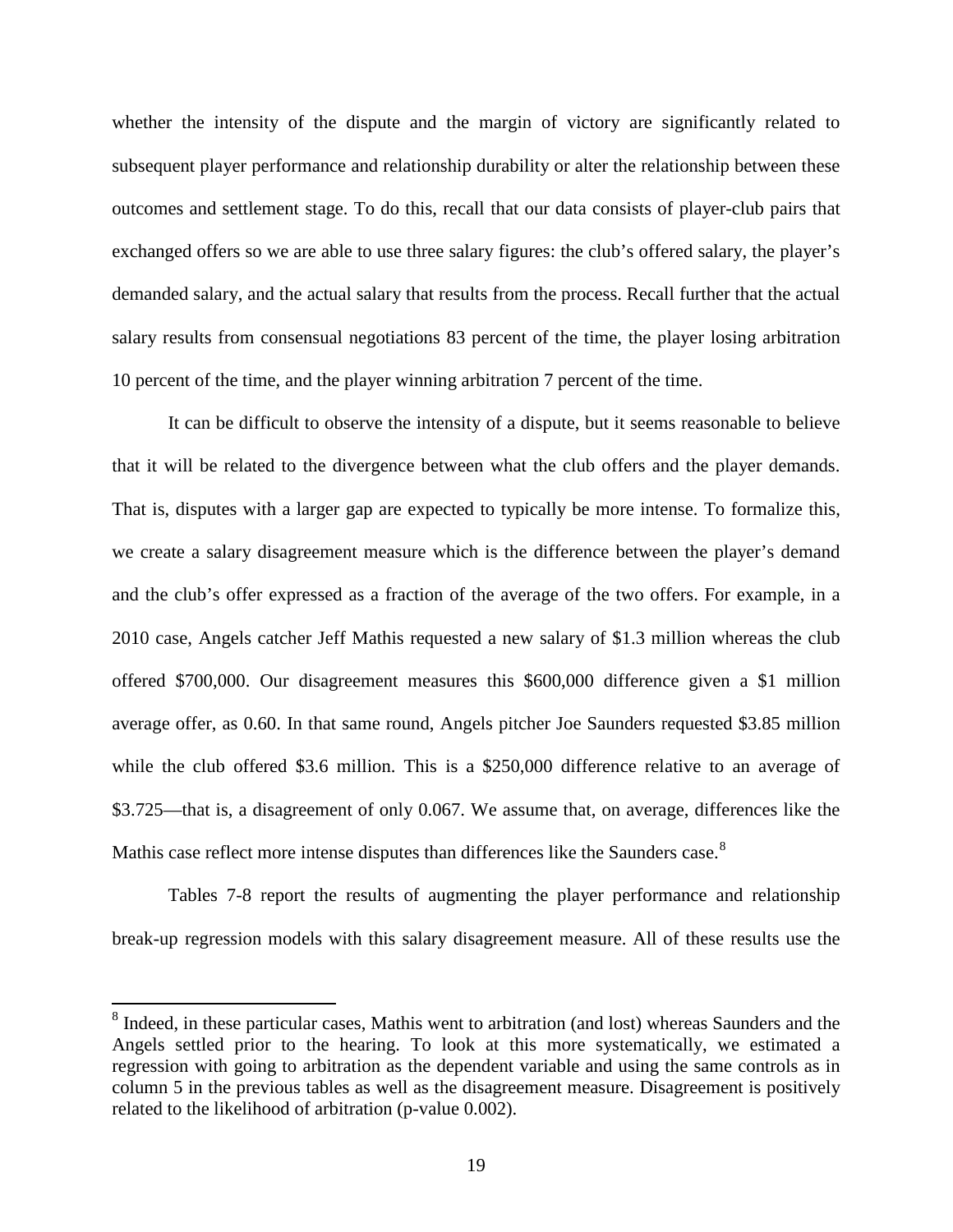whether the intensity of the dispute and the margin of victory are significantly related to subsequent player performance and relationship durability or alter the relationship between these outcomes and settlement stage. To do this, recall that our data consists of player-club pairs that exchanged offers so we are able to use three salary figures: the club's offered salary, the player's demanded salary, and the actual salary that results from the process. Recall further that the actual salary results from consensual negotiations 83 percent of the time, the player losing arbitration 10 percent of the time, and the player winning arbitration 7 percent of the time.

It can be difficult to observe the intensity of a dispute, but it seems reasonable to believe that it will be related to the divergence between what the club offers and the player demands. That is, disputes with a larger gap are expected to typically be more intense. To formalize this, we create a salary disagreement measure which is the difference between the player's demand and the club's offer expressed as a fraction of the average of the two offers. For example, in a 2010 case, Angels catcher Jeff Mathis requested a new salary of \$1.3 million whereas the club offered \$700,000. Our disagreement measures this \$600,000 difference given a \$1 million average offer, as 0.60. In that same round, Angels pitcher Joe Saunders requested \$3.85 million while the club offered \$3.6 million. This is a \$250,000 difference relative to an average of \$3.725—that is, a disagreement of only 0.067. We assume that, on average, differences like the Mathis case reflect more intense disputes than differences like the Saunders case.<sup>[8](#page-19-1)</sup>

Tables 7-8 report the results of augmenting the player performance and relationship break-up regression models with this salary disagreement measure. All of these results use the

<span id="page-21-0"></span><sup>&</sup>lt;sup>8</sup> Indeed, in these particular cases, Mathis went to arbitration (and lost) whereas Saunders and the Angels settled prior to the hearing. To look at this more systematically, we estimated a regression with going to arbitration as the dependent variable and using the same controls as in column 5 in the previous tables as well as the disagreement measure. Disagreement is positively related to the likelihood of arbitration (p-value 0.002).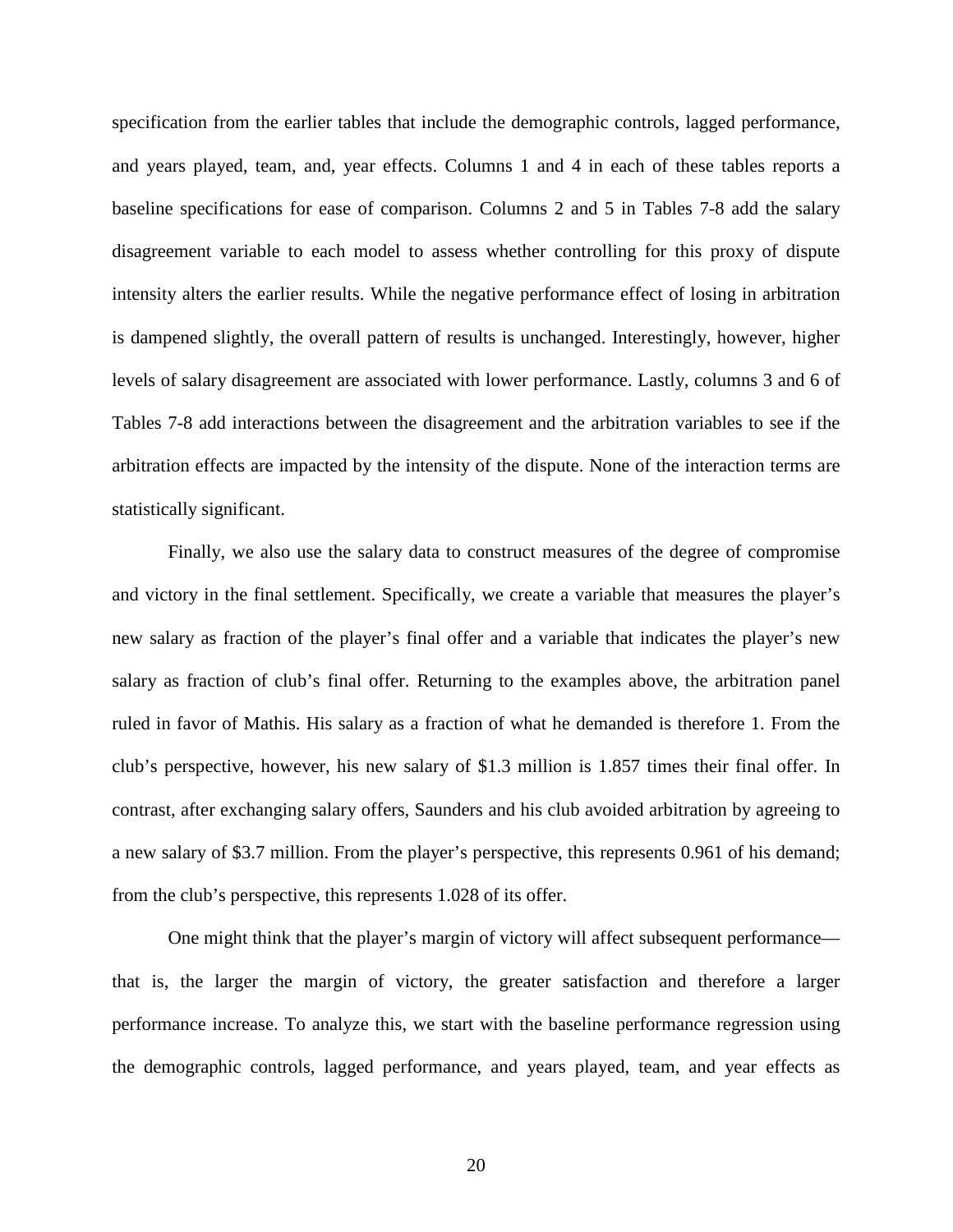specification from the earlier tables that include the demographic controls, lagged performance, and years played, team, and, year effects. Columns 1 and 4 in each of these tables reports a baseline specifications for ease of comparison. Columns 2 and 5 in Tables 7-8 add the salary disagreement variable to each model to assess whether controlling for this proxy of dispute intensity alters the earlier results. While the negative performance effect of losing in arbitration is dampened slightly, the overall pattern of results is unchanged. Interestingly, however, higher levels of salary disagreement are associated with lower performance. Lastly, columns 3 and 6 of Tables 7-8 add interactions between the disagreement and the arbitration variables to see if the arbitration effects are impacted by the intensity of the dispute. None of the interaction terms are statistically significant.

Finally, we also use the salary data to construct measures of the degree of compromise and victory in the final settlement. Specifically, we create a variable that measures the player's new salary as fraction of the player's final offer and a variable that indicates the player's new salary as fraction of club's final offer. Returning to the examples above, the arbitration panel ruled in favor of Mathis. His salary as a fraction of what he demanded is therefore 1. From the club's perspective, however, his new salary of \$1.3 million is 1.857 times their final offer. In contrast, after exchanging salary offers, Saunders and his club avoided arbitration by agreeing to a new salary of \$3.7 million. From the player's perspective, this represents 0.961 of his demand; from the club's perspective, this represents 1.028 of its offer.

One might think that the player's margin of victory will affect subsequent performance that is, the larger the margin of victory, the greater satisfaction and therefore a larger performance increase. To analyze this, we start with the baseline performance regression using the demographic controls, lagged performance, and years played, team, and year effects as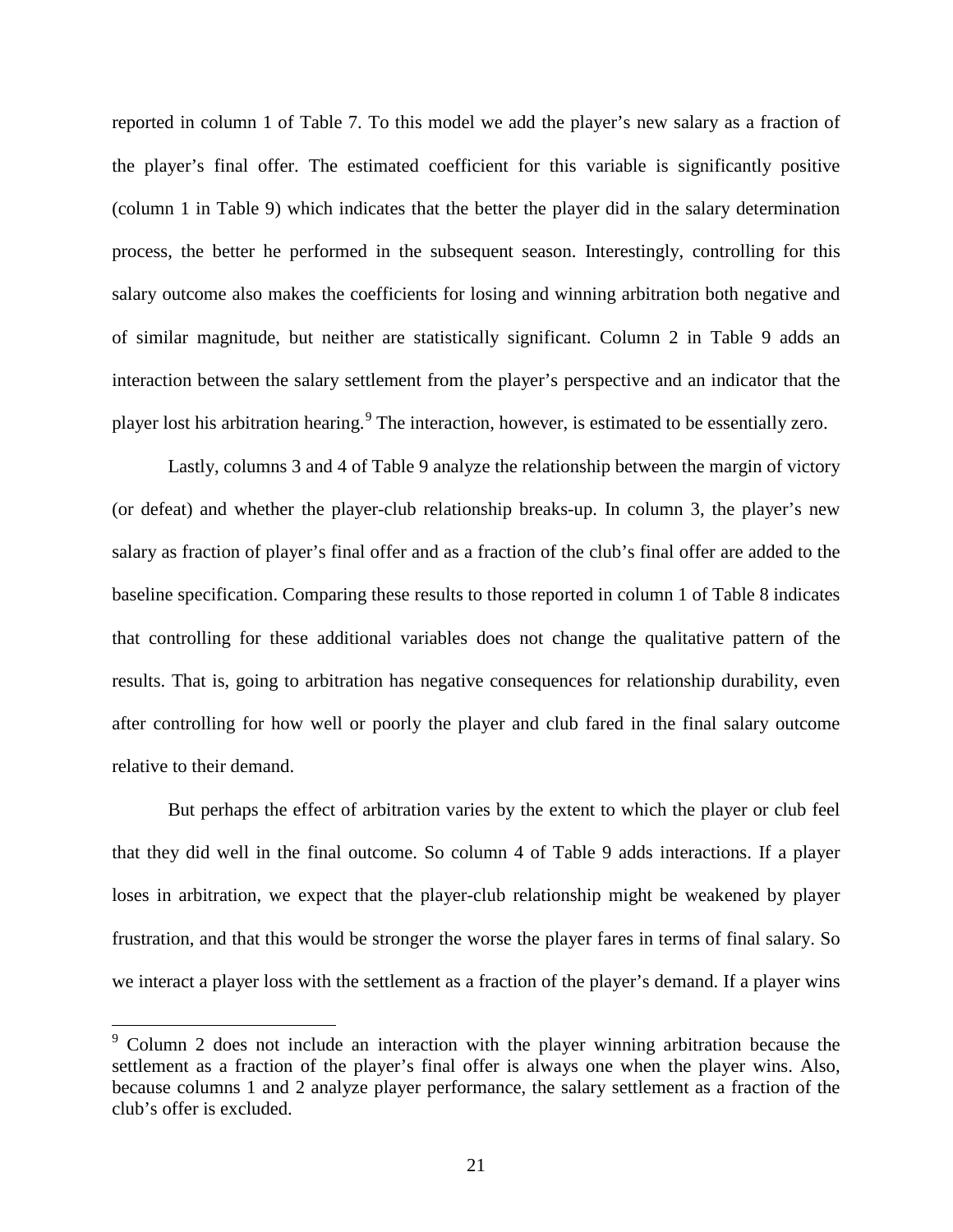reported in column 1 of Table 7. To this model we add the player's new salary as a fraction of the player's final offer. The estimated coefficient for this variable is significantly positive (column 1 in Table 9) which indicates that the better the player did in the salary determination process, the better he performed in the subsequent season. Interestingly, controlling for this salary outcome also makes the coefficients for losing and winning arbitration both negative and of similar magnitude, but neither are statistically significant. Column 2 in Table 9 adds an interaction between the salary settlement from the player's perspective and an indicator that the player lost his arbitration hearing.<sup>[9](#page-21-0)</sup> The interaction, however, is estimated to be essentially zero.

Lastly, columns 3 and 4 of Table 9 analyze the relationship between the margin of victory (or defeat) and whether the player-club relationship breaks-up. In column 3, the player's new salary as fraction of player's final offer and as a fraction of the club's final offer are added to the baseline specification. Comparing these results to those reported in column 1 of Table 8 indicates that controlling for these additional variables does not change the qualitative pattern of the results. That is, going to arbitration has negative consequences for relationship durability, even after controlling for how well or poorly the player and club fared in the final salary outcome relative to their demand.

But perhaps the effect of arbitration varies by the extent to which the player or club feel that they did well in the final outcome. So column 4 of Table 9 adds interactions. If a player loses in arbitration, we expect that the player-club relationship might be weakened by player frustration, and that this would be stronger the worse the player fares in terms of final salary. So we interact a player loss with the settlement as a fraction of the player's demand. If a player wins

 <sup>9</sup> Column 2 does not include an interaction with the player winning arbitration because the settlement as a fraction of the player's final offer is always one when the player wins. Also, because columns 1 and 2 analyze player performance, the salary settlement as a fraction of the club's offer is excluded.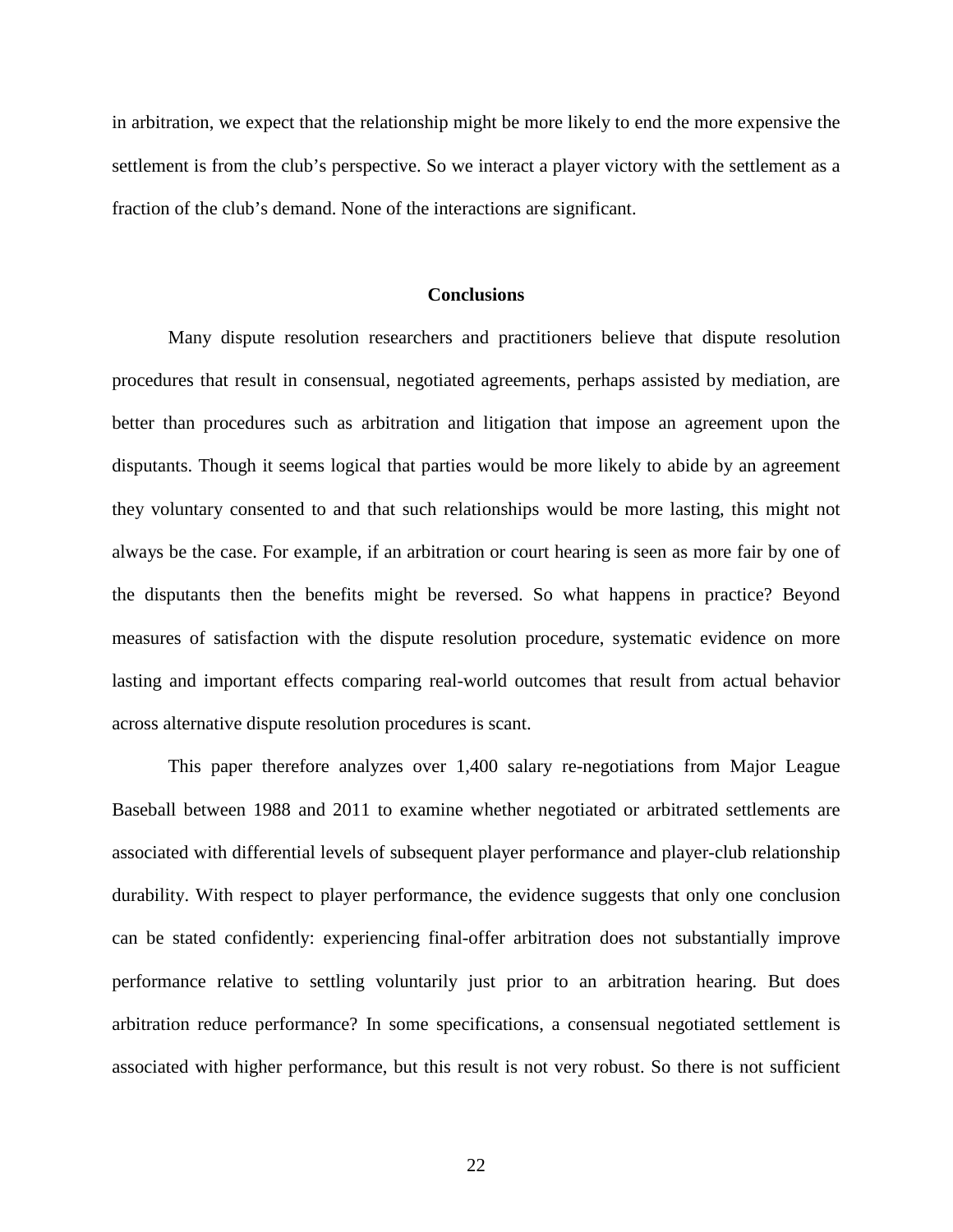in arbitration, we expect that the relationship might be more likely to end the more expensive the settlement is from the club's perspective. So we interact a player victory with the settlement as a fraction of the club's demand. None of the interactions are significant.

#### **Conclusions**

Many dispute resolution researchers and practitioners believe that dispute resolution procedures that result in consensual, negotiated agreements, perhaps assisted by mediation, are better than procedures such as arbitration and litigation that impose an agreement upon the disputants. Though it seems logical that parties would be more likely to abide by an agreement they voluntary consented to and that such relationships would be more lasting, this might not always be the case. For example, if an arbitration or court hearing is seen as more fair by one of the disputants then the benefits might be reversed. So what happens in practice? Beyond measures of satisfaction with the dispute resolution procedure, systematic evidence on more lasting and important effects comparing real-world outcomes that result from actual behavior across alternative dispute resolution procedures is scant.

This paper therefore analyzes over 1,400 salary re-negotiations from Major League Baseball between 1988 and 2011 to examine whether negotiated or arbitrated settlements are associated with differential levels of subsequent player performance and player-club relationship durability. With respect to player performance, the evidence suggests that only one conclusion can be stated confidently: experiencing final-offer arbitration does not substantially improve performance relative to settling voluntarily just prior to an arbitration hearing. But does arbitration reduce performance? In some specifications, a consensual negotiated settlement is associated with higher performance, but this result is not very robust. So there is not sufficient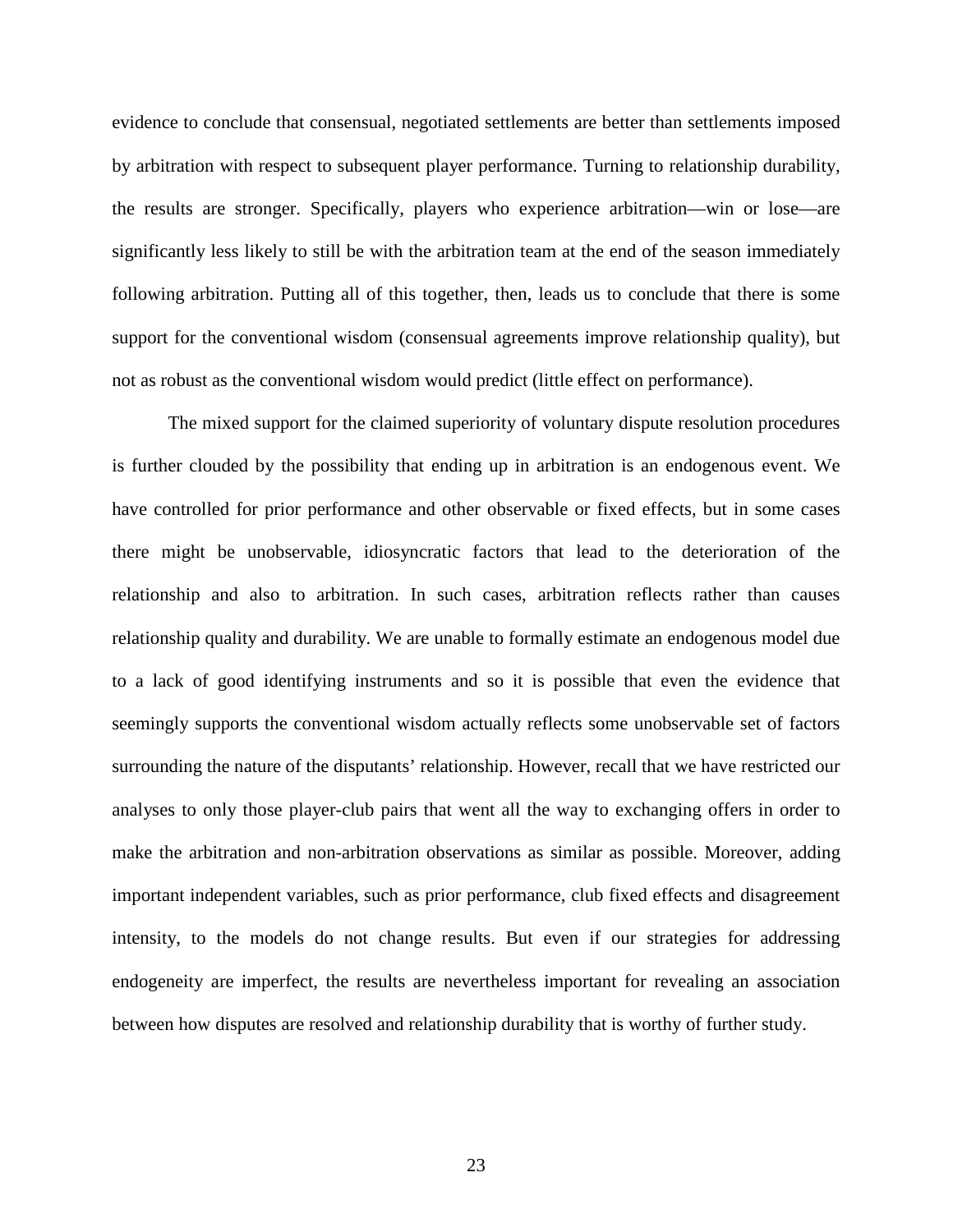evidence to conclude that consensual, negotiated settlements are better than settlements imposed by arbitration with respect to subsequent player performance. Turning to relationship durability, the results are stronger. Specifically, players who experience arbitration—win or lose—are significantly less likely to still be with the arbitration team at the end of the season immediately following arbitration. Putting all of this together, then, leads us to conclude that there is some support for the conventional wisdom (consensual agreements improve relationship quality), but not as robust as the conventional wisdom would predict (little effect on performance).

The mixed support for the claimed superiority of voluntary dispute resolution procedures is further clouded by the possibility that ending up in arbitration is an endogenous event. We have controlled for prior performance and other observable or fixed effects, but in some cases there might be unobservable, idiosyncratic factors that lead to the deterioration of the relationship and also to arbitration. In such cases, arbitration reflects rather than causes relationship quality and durability. We are unable to formally estimate an endogenous model due to a lack of good identifying instruments and so it is possible that even the evidence that seemingly supports the conventional wisdom actually reflects some unobservable set of factors surrounding the nature of the disputants' relationship. However, recall that we have restricted our analyses to only those player-club pairs that went all the way to exchanging offers in order to make the arbitration and non-arbitration observations as similar as possible. Moreover, adding important independent variables, such as prior performance, club fixed effects and disagreement intensity, to the models do not change results. But even if our strategies for addressing endogeneity are imperfect, the results are nevertheless important for revealing an association between how disputes are resolved and relationship durability that is worthy of further study.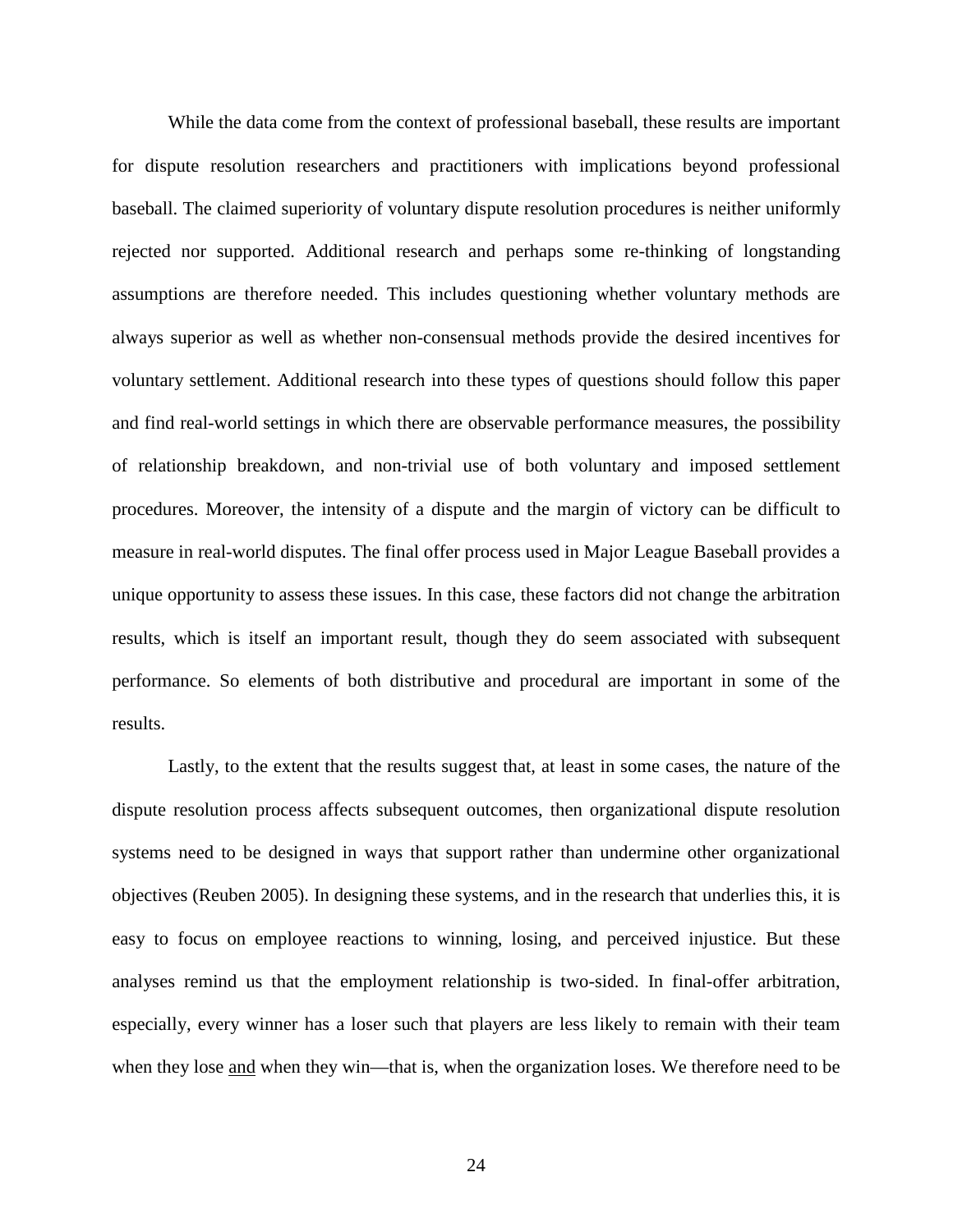While the data come from the context of professional baseball, these results are important for dispute resolution researchers and practitioners with implications beyond professional baseball. The claimed superiority of voluntary dispute resolution procedures is neither uniformly rejected nor supported. Additional research and perhaps some re-thinking of longstanding assumptions are therefore needed. This includes questioning whether voluntary methods are always superior as well as whether non-consensual methods provide the desired incentives for voluntary settlement. Additional research into these types of questions should follow this paper and find real-world settings in which there are observable performance measures, the possibility of relationship breakdown, and non-trivial use of both voluntary and imposed settlement procedures. Moreover, the intensity of a dispute and the margin of victory can be difficult to measure in real-world disputes. The final offer process used in Major League Baseball provides a unique opportunity to assess these issues. In this case, these factors did not change the arbitration results, which is itself an important result, though they do seem associated with subsequent performance. So elements of both distributive and procedural are important in some of the results.

Lastly, to the extent that the results suggest that, at least in some cases, the nature of the dispute resolution process affects subsequent outcomes, then organizational dispute resolution systems need to be designed in ways that support rather than undermine other organizational objectives (Reuben 2005). In designing these systems, and in the research that underlies this, it is easy to focus on employee reactions to winning, losing, and perceived injustice. But these analyses remind us that the employment relationship is two-sided. In final-offer arbitration, especially, every winner has a loser such that players are less likely to remain with their team when they lose and when they win—that is, when the organization loses. We therefore need to be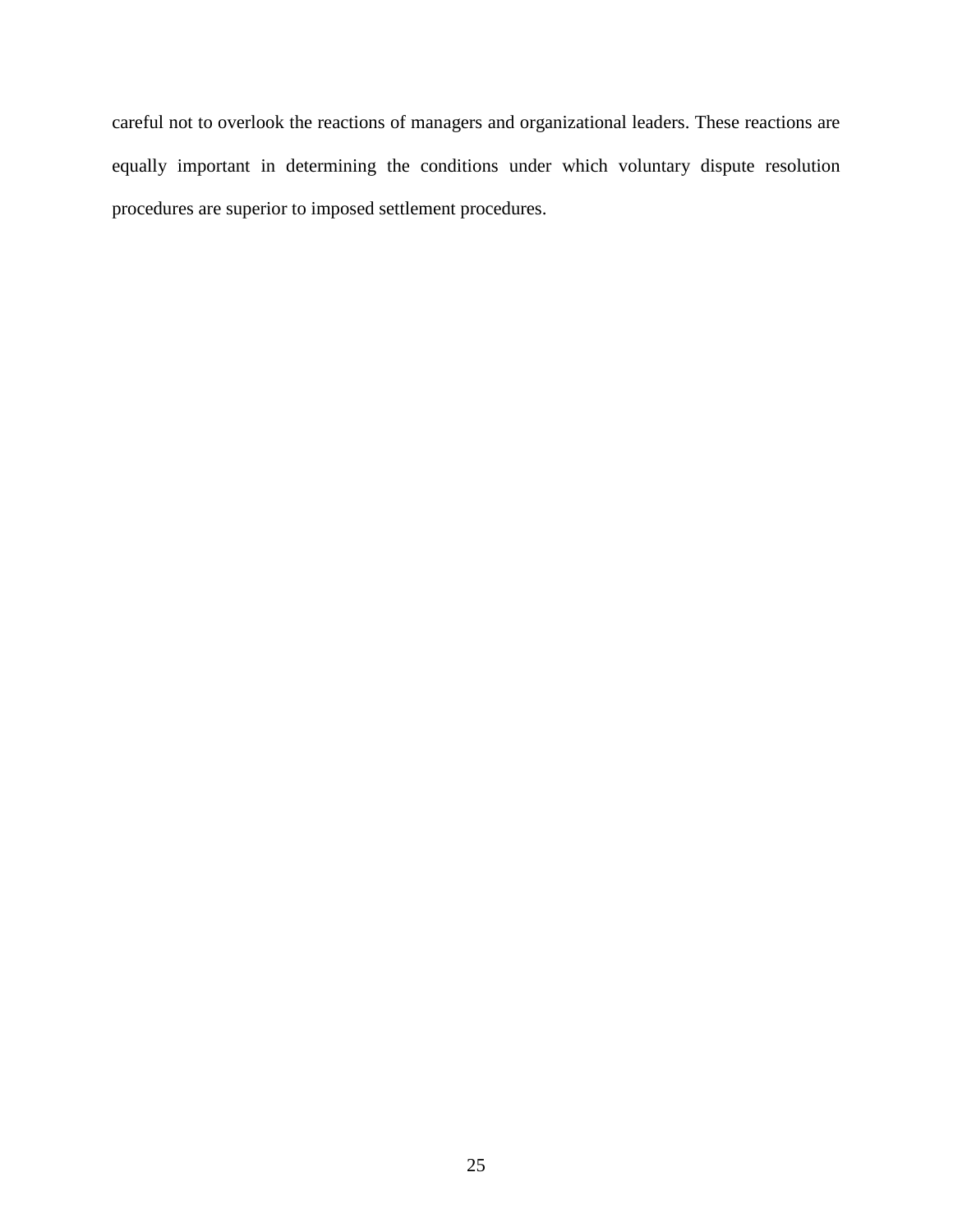careful not to overlook the reactions of managers and organizational leaders. These reactions are equally important in determining the conditions under which voluntary dispute resolution procedures are superior to imposed settlement procedures.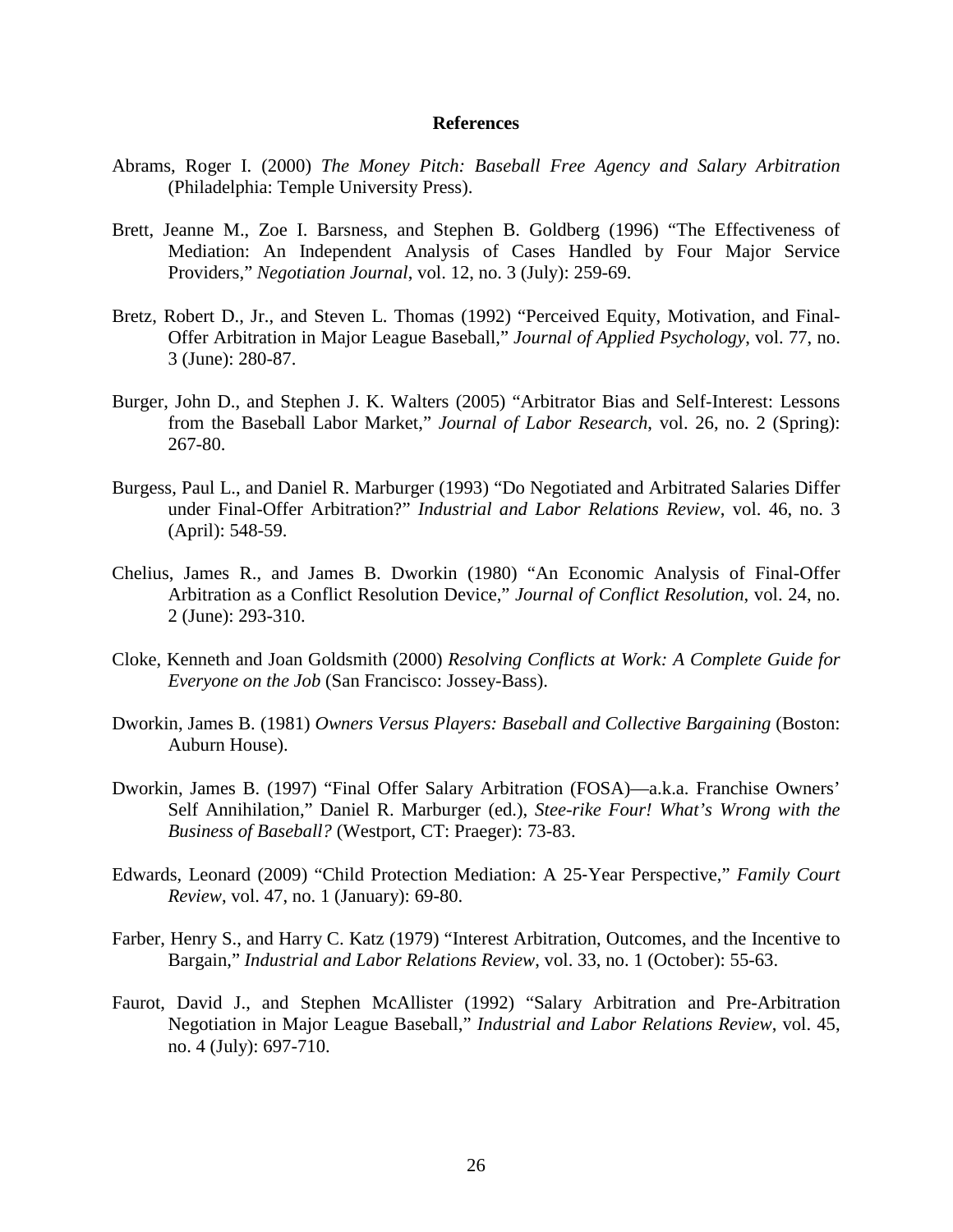#### **References**

- Abrams, Roger I. (2000) *The Money Pitch: Baseball Free Agency and Salary Arbitration* (Philadelphia: Temple University Press).
- Brett, Jeanne M., Zoe I. Barsness, and Stephen B. Goldberg (1996) "The Effectiveness of Mediation: An Independent Analysis of Cases Handled by Four Major Service Providers," *Negotiation Journal*, vol. 12, no. 3 (July): 259-69.
- Bretz, Robert D., Jr., and Steven L. Thomas (1992) "Perceived Equity, Motivation, and Final-Offer Arbitration in Major League Baseball," *Journal of Applied Psychology*, vol. 77, no. 3 (June): 280-87.
- Burger, John D., and Stephen J. K. Walters (2005) "Arbitrator Bias and Self-Interest: Lessons from the Baseball Labor Market," *Journal of Labor Research*, vol. 26, no. 2 (Spring): 267-80.
- Burgess, Paul L., and Daniel R. Marburger (1993) "Do Negotiated and Arbitrated Salaries Differ under Final-Offer Arbitration?" *Industrial and Labor Relations Review*, vol. 46, no. 3 (April): 548-59.
- Chelius, James R., and James B. Dworkin (1980) "An Economic Analysis of Final-Offer Arbitration as a Conflict Resolution Device," *Journal of Conflict Resolution*, vol. 24, no. 2 (June): 293-310.
- Cloke, Kenneth and Joan Goldsmith (2000) *Resolving Conflicts at Work: A Complete Guide for Everyone on the Job* (San Francisco: Jossey-Bass).
- Dworkin, James B. (1981) *Owners Versus Players: Baseball and Collective Bargaining* (Boston: Auburn House).
- Dworkin, James B. (1997) "Final Offer Salary Arbitration (FOSA)—a.k.a. Franchise Owners' Self Annihilation," Daniel R. Marburger (ed.), *Stee-rike Four! What's Wrong with the Business of Baseball?* (Westport, CT: Praeger): 73-83.
- Edwards, Leonard (2009) "Child Protection Mediation: A 25‐Year Perspective," *Family Court Review*, vol. 47, no. 1 (January): 69-80.
- Farber, Henry S., and Harry C. Katz (1979) "Interest Arbitration, Outcomes, and the Incentive to Bargain," *Industrial and Labor Relations Review*, vol. 33, no. 1 (October): 55-63.
- Faurot, David J., and Stephen McAllister (1992) "Salary Arbitration and Pre-Arbitration Negotiation in Major League Baseball," *Industrial and Labor Relations Review*, vol. 45, no. 4 (July): 697-710.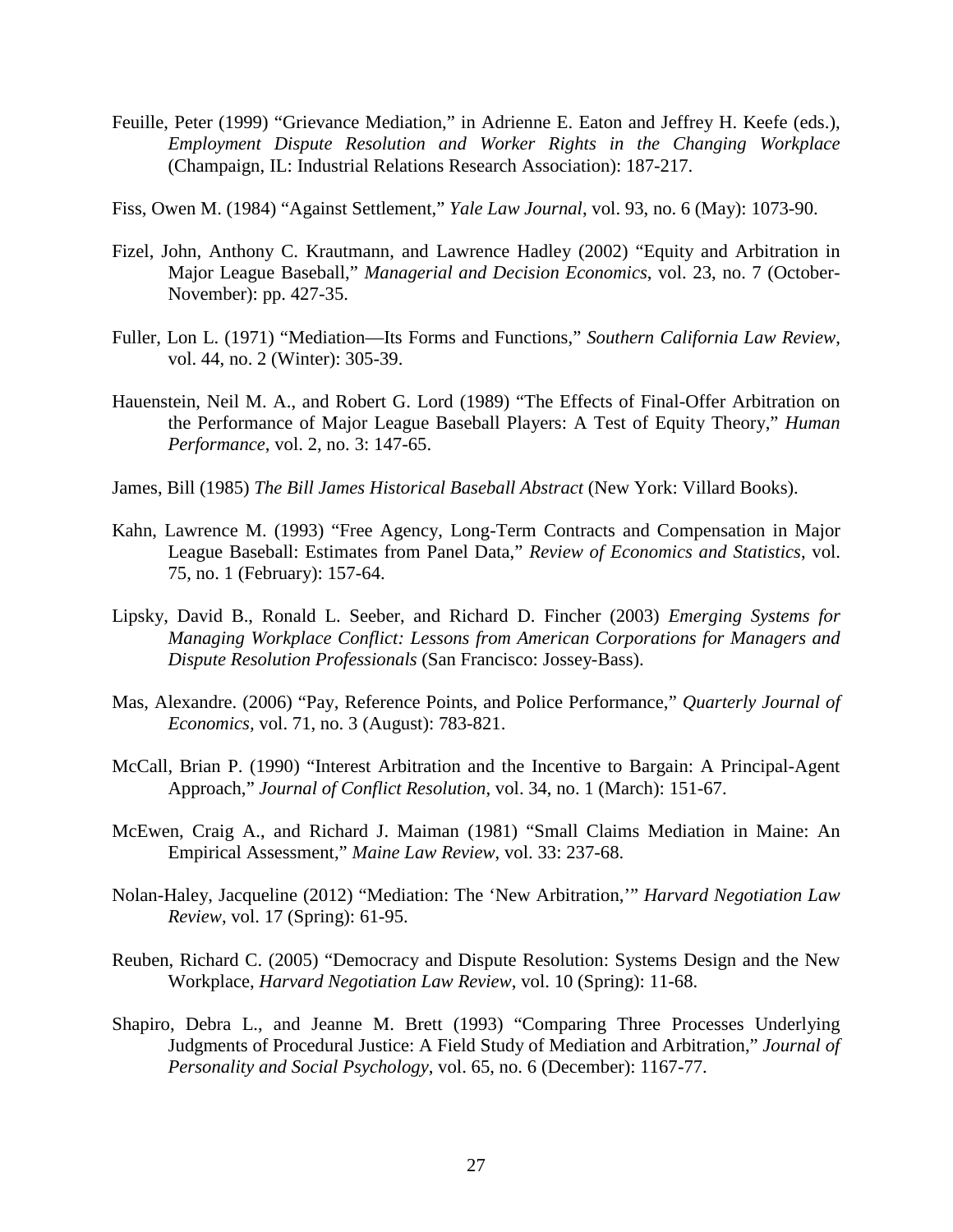- Feuille, Peter (1999) "Grievance Mediation," in Adrienne E. Eaton and Jeffrey H. Keefe (eds.), *Employment Dispute Resolution and Worker Rights in the Changing Workplace* (Champaign, IL: Industrial Relations Research Association): 187-217.
- Fiss, Owen M. (1984) "Against Settlement," *Yale Law Journal*, vol. 93, no. 6 (May): 1073-90.
- Fizel, John, Anthony C. Krautmann, and Lawrence Hadley (2002) "Equity and Arbitration in Major League Baseball," *Managerial and Decision Economics*, vol. 23, no. 7 (October-November): pp. 427-35.
- Fuller, Lon L. (1971) "Mediation—Its Forms and Functions," *Southern California Law Review*, vol. 44, no. 2 (Winter): 305-39.
- Hauenstein, Neil M. A., and Robert G. Lord (1989) "The Effects of Final-Offer Arbitration on the Performance of Major League Baseball Players: A Test of Equity Theory," *Human Performance*, vol. 2, no. 3: 147-65.
- James, Bill (1985) *The Bill James Historical Baseball Abstract* (New York: Villard Books).
- Kahn, Lawrence M. (1993) "Free Agency, Long-Term Contracts and Compensation in Major League Baseball: Estimates from Panel Data," *Review of Economics and Statistics*, vol. 75, no. 1 (February): 157-64.
- Lipsky, David B., Ronald L. Seeber, and Richard D. Fincher (2003) *Emerging Systems for Managing Workplace Conflict: Lessons from American Corporations for Managers and Dispute Resolution Professionals* (San Francisco: Jossey-Bass).
- Mas, Alexandre. (2006) "Pay, Reference Points, and Police Performance," *Quarterly Journal of Economics,* vol. 71, no. 3 (August): 783-821.
- McCall, Brian P. (1990) "Interest Arbitration and the Incentive to Bargain: A Principal-Agent Approach," *Journal of Conflict Resolution*, vol. 34, no. 1 (March): 151-67.
- McEwen, Craig A., and Richard J. Maiman (1981) "Small Claims Mediation in Maine: An Empirical Assessment," *Maine Law Review*, vol. 33: 237-68.
- Nolan-Haley, Jacqueline (2012) "Mediation: The 'New Arbitration,'" *Harvard Negotiation Law Review*, vol. 17 (Spring): 61-95.
- Reuben, Richard C. (2005) "Democracy and Dispute Resolution: Systems Design and the New Workplace, *Harvard Negotiation Law Review*, vol. 10 (Spring): 11-68.
- Shapiro, Debra L., and Jeanne M. Brett (1993) "Comparing Three Processes Underlying Judgments of Procedural Justice: A Field Study of Mediation and Arbitration," *Journal of Personality and Social Psychology*, vol. 65, no. 6 (December): 1167-77.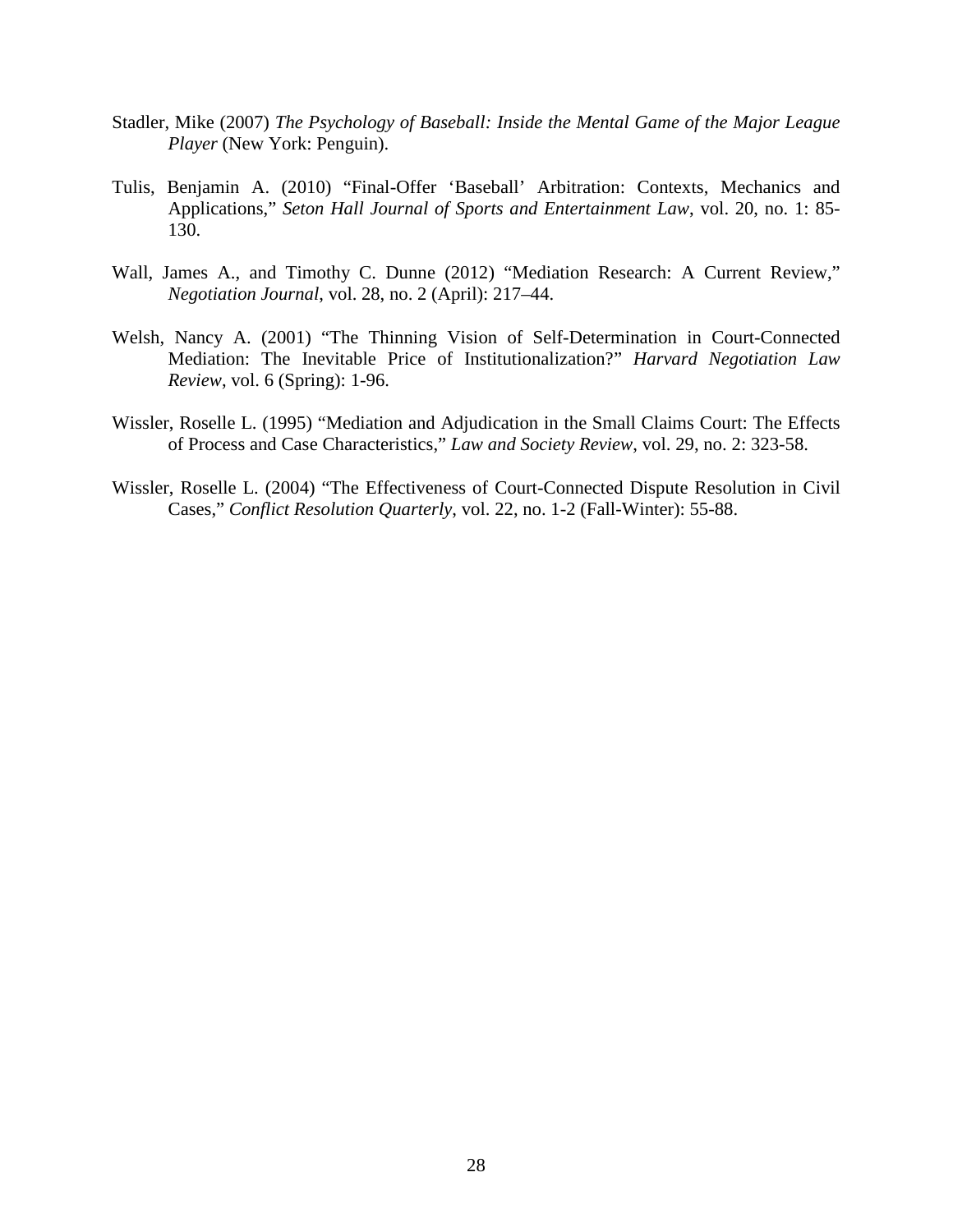- Stadler, Mike (2007) *The Psychology of Baseball: Inside the Mental Game of the Major League Player* (New York: Penguin).
- Tulis, Benjamin A. (2010) "Final-Offer 'Baseball' Arbitration: Contexts, Mechanics and Applications," *Seton Hall Journal of Sports and Entertainment Law*, vol. 20, no. 1: 85- 130.
- Wall, James A., and Timothy C. Dunne (2012) "Mediation Research: A Current Review," *Negotiation Journal*, vol. 28, no. 2 (April): 217–44.
- Welsh, Nancy A. (2001) "The Thinning Vision of Self-Determination in Court-Connected Mediation: The Inevitable Price of Institutionalization?" *Harvard Negotiation Law Review*, vol. 6 (Spring): 1-96.
- Wissler, Roselle L. (1995) "Mediation and Adjudication in the Small Claims Court: The Effects of Process and Case Characteristics," *Law and Society Review*, vol. 29, no. 2: 323-58.
- Wissler, Roselle L. (2004) "The Effectiveness of Court-Connected Dispute Resolution in Civil Cases," *Conflict Resolution Quarterly*, vol. 22, no. 1-2 (Fall-Winter): 55-88.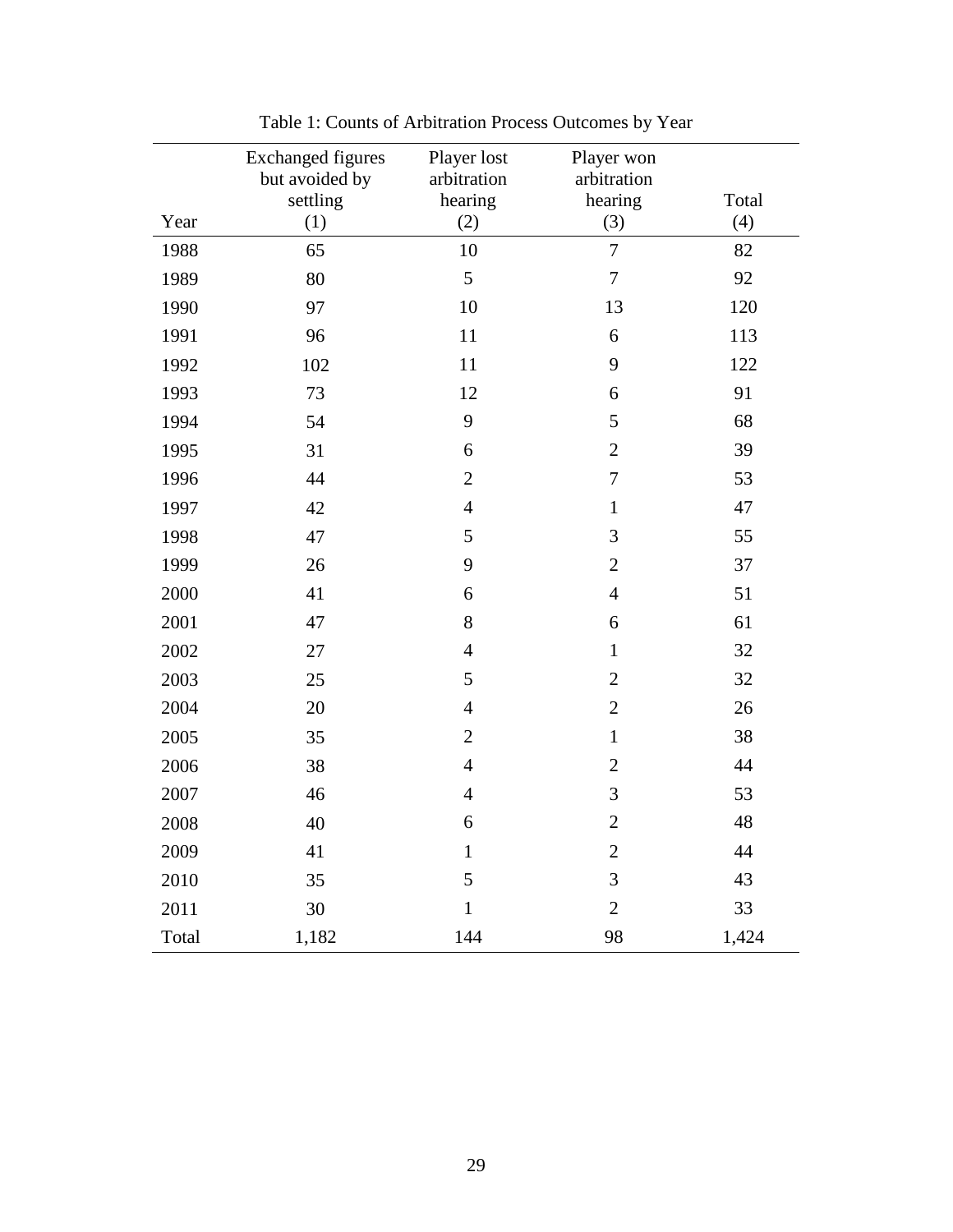|       | <b>Exchanged figures</b><br>but avoided by<br>settling | Player lost<br>arbitration<br>hearing | Player won<br>arbitration<br>hearing | Total |
|-------|--------------------------------------------------------|---------------------------------------|--------------------------------------|-------|
| Year  | (1)                                                    | (2)                                   | (3)                                  | (4)   |
| 1988  | 65                                                     | 10                                    | $\overline{7}$                       | 82    |
| 1989  | 80                                                     | $\mathfrak{S}$                        | $\overline{7}$                       | 92    |
| 1990  | 97                                                     | 10                                    | 13                                   | 120   |
| 1991  | 96                                                     | 11                                    | 6                                    | 113   |
| 1992  | 102                                                    | 11                                    | 9                                    | 122   |
| 1993  | 73                                                     | 12                                    | $\boldsymbol{6}$                     | 91    |
| 1994  | 54                                                     | 9                                     | 5                                    | 68    |
| 1995  | 31                                                     | 6                                     | $\overline{2}$                       | 39    |
| 1996  | 44                                                     | $\overline{2}$                        | $\overline{7}$                       | 53    |
| 1997  | 42                                                     | $\overline{4}$                        | $\mathbf 1$                          | 47    |
| 1998  | 47                                                     | $\sqrt{5}$                            | 3                                    | 55    |
| 1999  | 26                                                     | 9                                     | $\overline{2}$                       | 37    |
| 2000  | 41                                                     | 6                                     | $\overline{4}$                       | 51    |
| 2001  | 47                                                     | $8\,$                                 | 6                                    | 61    |
| 2002  | 27                                                     | $\overline{4}$                        | $\mathbf{1}$                         | 32    |
| 2003  | 25                                                     | 5                                     | $\overline{2}$                       | 32    |
| 2004  | 20                                                     | $\overline{4}$                        | $\overline{2}$                       | 26    |
| 2005  | 35                                                     | $\overline{2}$                        | $\mathbf{1}$                         | 38    |
| 2006  | 38                                                     | $\overline{4}$                        | $\overline{2}$                       | 44    |
| 2007  | 46                                                     | $\overline{4}$                        | 3                                    | 53    |
| 2008  | 40                                                     | 6                                     | $\overline{2}$                       | 48    |
| 2009  | 41                                                     | $\mathbf{1}$                          | $\overline{2}$                       | 44    |
| 2010  | 35                                                     | 5                                     | 3                                    | 43    |
| 2011  | 30                                                     | $\mathbf{1}$                          | $\overline{2}$                       | 33    |
| Total | 1,182                                                  | 144                                   | 98                                   | 1,424 |

Table 1: Counts of Arbitration Process Outcomes by Year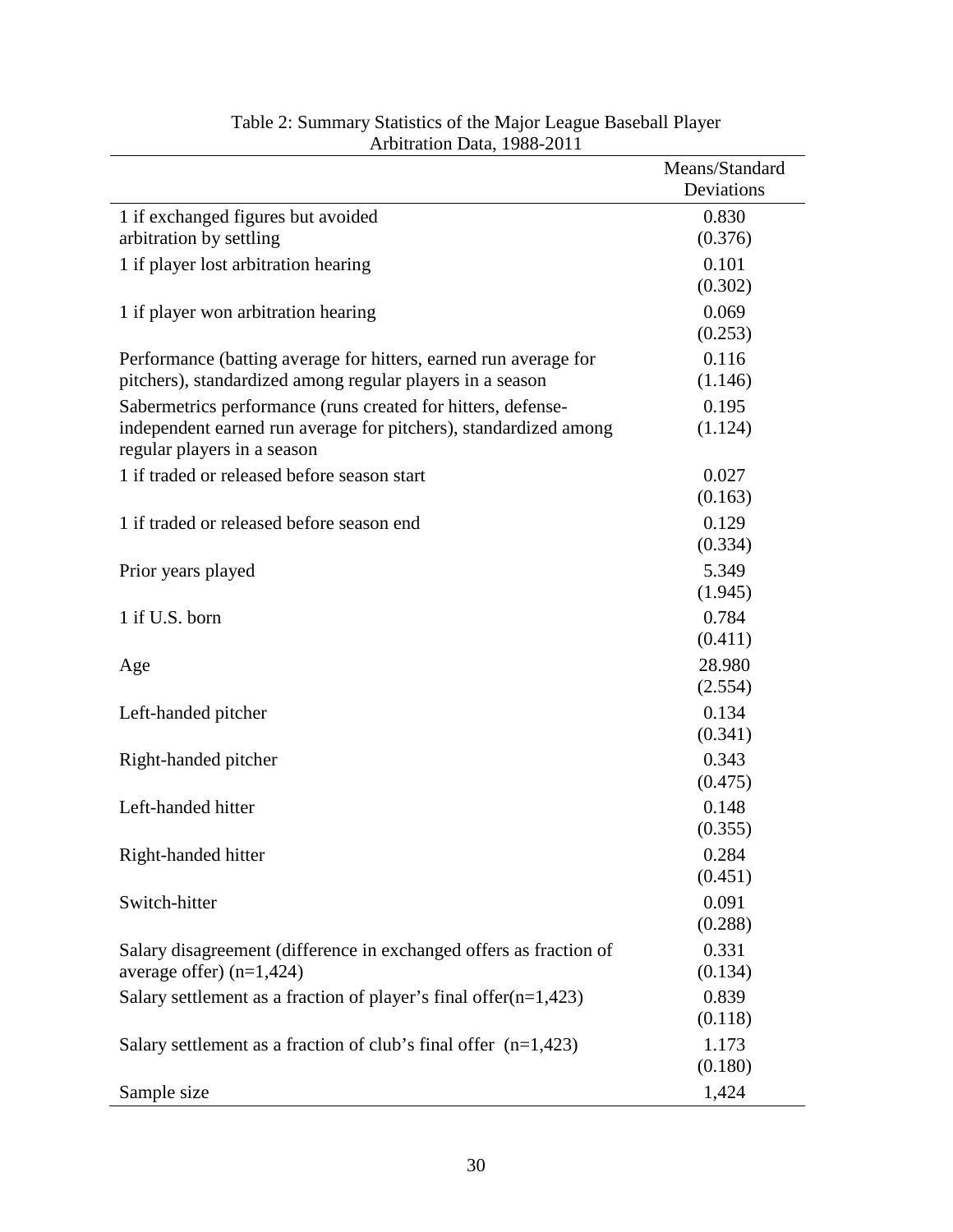|                                                                     | Means/Standard<br>Deviations |
|---------------------------------------------------------------------|------------------------------|
| 1 if exchanged figures but avoided                                  | 0.830                        |
| arbitration by settling                                             | (0.376)                      |
| 1 if player lost arbitration hearing                                | 0.101                        |
|                                                                     | (0.302)                      |
| 1 if player won arbitration hearing                                 | 0.069                        |
|                                                                     | (0.253)                      |
| Performance (batting average for hitters, earned run average for    | 0.116                        |
| pitchers), standardized among regular players in a season           | (1.146)                      |
| Sabermetrics performance (runs created for hitters, defense-        | 0.195                        |
| independent earned run average for pitchers), standardized among    | (1.124)                      |
| regular players in a season                                         |                              |
| 1 if traded or released before season start                         | 0.027                        |
|                                                                     | (0.163)                      |
| 1 if traded or released before season end                           | 0.129                        |
|                                                                     | (0.334)                      |
| Prior years played                                                  | 5.349                        |
|                                                                     | (1.945)                      |
| 1 if U.S. born                                                      | 0.784                        |
|                                                                     | (0.411)                      |
| Age                                                                 | 28.980                       |
|                                                                     | (2.554)                      |
| Left-handed pitcher                                                 | 0.134                        |
|                                                                     | (0.341)                      |
| Right-handed pitcher                                                | 0.343                        |
|                                                                     | (0.475)                      |
| Left-handed hitter                                                  | 0.148                        |
|                                                                     | (0.355)                      |
| Right-handed hitter                                                 | 0.284                        |
|                                                                     | (0.451)                      |
| Switch-hitter                                                       | 0.091                        |
|                                                                     | (0.288)                      |
| Salary disagreement (difference in exchanged offers as fraction of  | 0.331                        |
| average offer) $(n=1,424)$                                          | (0.134)                      |
| Salary settlement as a fraction of player's final offer $(n=1,423)$ | 0.839                        |
|                                                                     | (0.118)                      |
| Salary settlement as a fraction of club's final offer $(n=1,423)$   | 1.173                        |
|                                                                     | (0.180)                      |
| Sample size                                                         | 1,424                        |

### Table 2: Summary Statistics of the Major League Baseball Player Arbitration Data, 1988-2011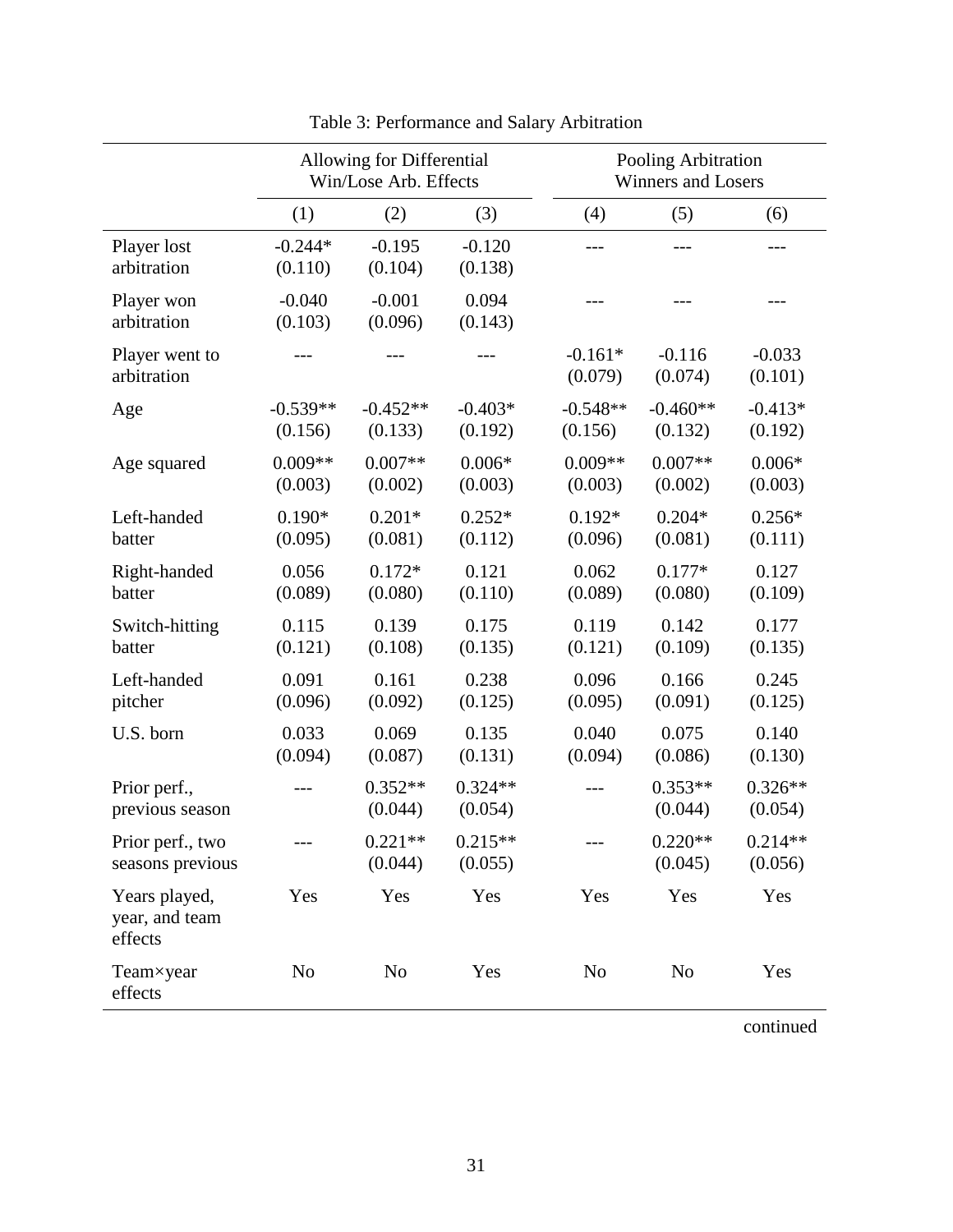|                                            |                       | <b>Allowing for Differential</b><br>Win/Lose Arb. Effects |                      |                       | Pooling Arbitration<br>Winners and Losers |                      |  |  |
|--------------------------------------------|-----------------------|-----------------------------------------------------------|----------------------|-----------------------|-------------------------------------------|----------------------|--|--|
|                                            | (1)                   | (2)                                                       | (3)                  | (4)                   | (5)                                       | (6)                  |  |  |
| Player lost<br>arbitration                 | $-0.244*$<br>(0.110)  | $-0.195$<br>(0.104)                                       | $-0.120$<br>(0.138)  | $---$                 | $---$                                     | ---                  |  |  |
| Player won<br>arbitration                  | $-0.040$<br>(0.103)   | $-0.001$<br>(0.096)                                       | 0.094<br>(0.143)     |                       |                                           |                      |  |  |
| Player went to<br>arbitration              |                       |                                                           |                      | $-0.161*$<br>(0.079)  | $-0.116$<br>(0.074)                       | $-0.033$<br>(0.101)  |  |  |
| Age                                        | $-0.539**$<br>(0.156) | $-0.452**$<br>(0.133)                                     | $-0.403*$<br>(0.192) | $-0.548**$<br>(0.156) | $-0.460**$<br>(0.132)                     | $-0.413*$<br>(0.192) |  |  |
| Age squared                                | $0.009**$<br>(0.003)  | $0.007**$<br>(0.002)                                      | $0.006*$<br>(0.003)  | $0.009**$<br>(0.003)  | $0.007**$<br>(0.002)                      | $0.006*$<br>(0.003)  |  |  |
| Left-handed<br>batter                      | $0.190*$<br>(0.095)   | $0.201*$<br>(0.081)                                       | $0.252*$<br>(0.112)  | $0.192*$<br>(0.096)   | $0.204*$<br>(0.081)                       | $0.256*$<br>(0.111)  |  |  |
| Right-handed<br>batter                     | 0.056<br>(0.089)      | $0.172*$<br>(0.080)                                       | 0.121<br>(0.110)     | 0.062<br>(0.089)      | $0.177*$<br>(0.080)                       | 0.127<br>(0.109)     |  |  |
| Switch-hitting<br>batter                   | 0.115<br>(0.121)      | 0.139<br>(0.108)                                          | 0.175<br>(0.135)     | 0.119<br>(0.121)      | 0.142<br>(0.109)                          | 0.177<br>(0.135)     |  |  |
| Left-handed<br>pitcher                     | 0.091<br>(0.096)      | 0.161<br>(0.092)                                          | 0.238<br>(0.125)     | 0.096<br>(0.095)      | 0.166<br>(0.091)                          | 0.245<br>(0.125)     |  |  |
| U.S. born                                  | 0.033<br>(0.094)      | 0.069<br>(0.087)                                          | 0.135<br>(0.131)     | 0.040<br>(0.094)      | 0.075<br>(0.086)                          | 0.140<br>(0.130)     |  |  |
| Prior perf.,<br>previous season            |                       | $0.352**$<br>(0.044)                                      | $0.324**$<br>(0.054) |                       | $0.353**$<br>(0.044)                      | $0.326**$<br>(0.054) |  |  |
| Prior perf., two<br>seasons previous       |                       | $0.221**$<br>(0.044)                                      | $0.215**$<br>(0.055) |                       | $0.220**$<br>(0.045)                      | $0.214**$<br>(0.056) |  |  |
| Years played,<br>year, and team<br>effects | Yes                   | Yes                                                       | Yes                  | Yes                   | Yes                                       | Yes                  |  |  |
| Team×year<br>effects                       | No                    | N <sub>0</sub>                                            | Yes                  | N <sub>0</sub>        | N <sub>0</sub>                            | Yes                  |  |  |

Table 3: Performance and Salary Arbitration

continued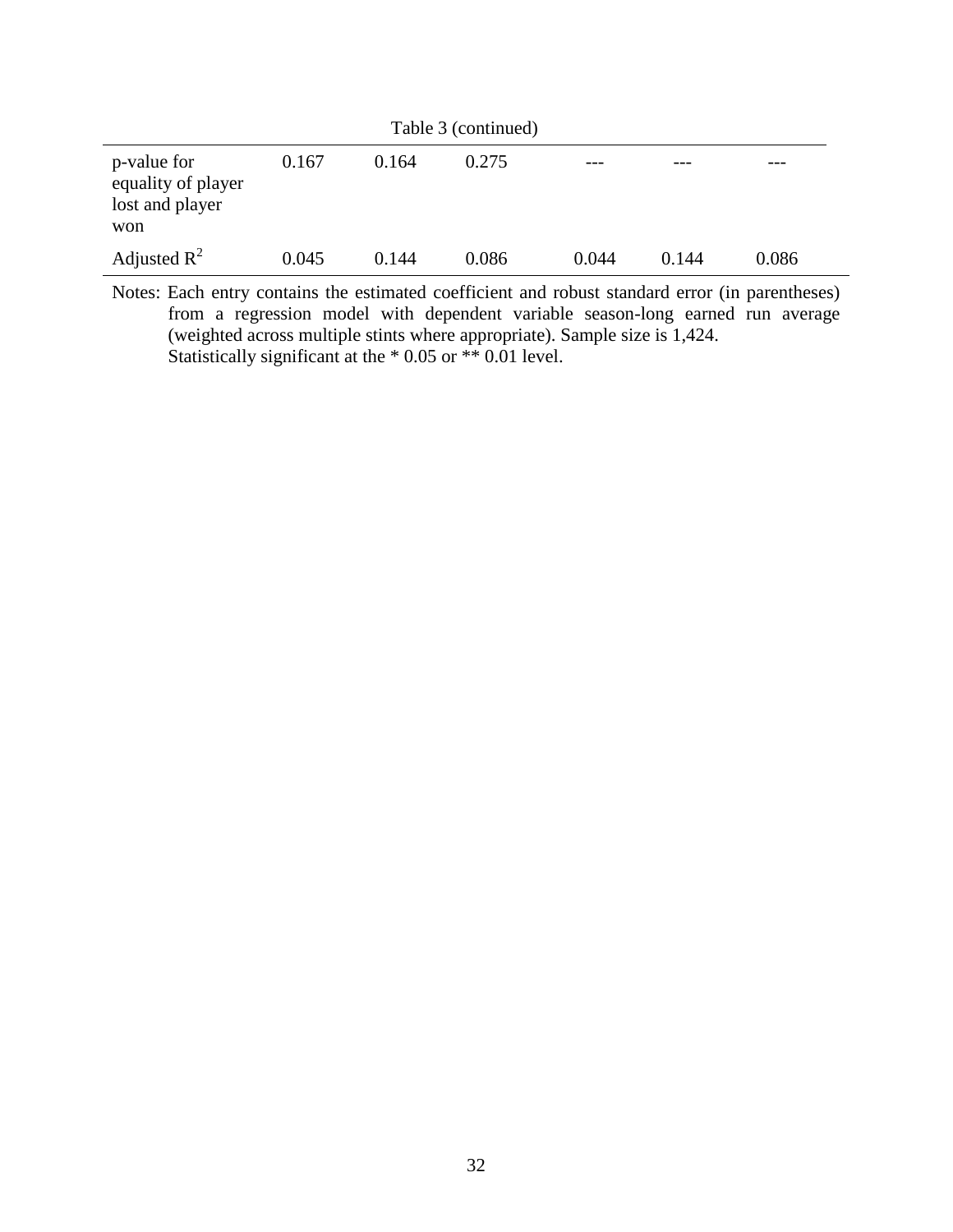| Table 3 (continued)                                         |       |       |       |       |       |       |  |  |  |
|-------------------------------------------------------------|-------|-------|-------|-------|-------|-------|--|--|--|
| p-value for<br>equality of player<br>lost and player<br>won | 0.167 | 0.164 | 0.275 | ---   |       |       |  |  |  |
| Adjusted $\mathbb{R}^2$                                     | 0.045 | 0.144 | 0.086 | 0.044 | 0.144 | 0.086 |  |  |  |

Notes: Each entry contains the estimated coefficient and robust standard error (in parentheses) from a regression model with dependent variable season-long earned run average (weighted across multiple stints where appropriate). Sample size is 1,424. Statistically significant at the \* 0.05 or \*\* 0.01 level.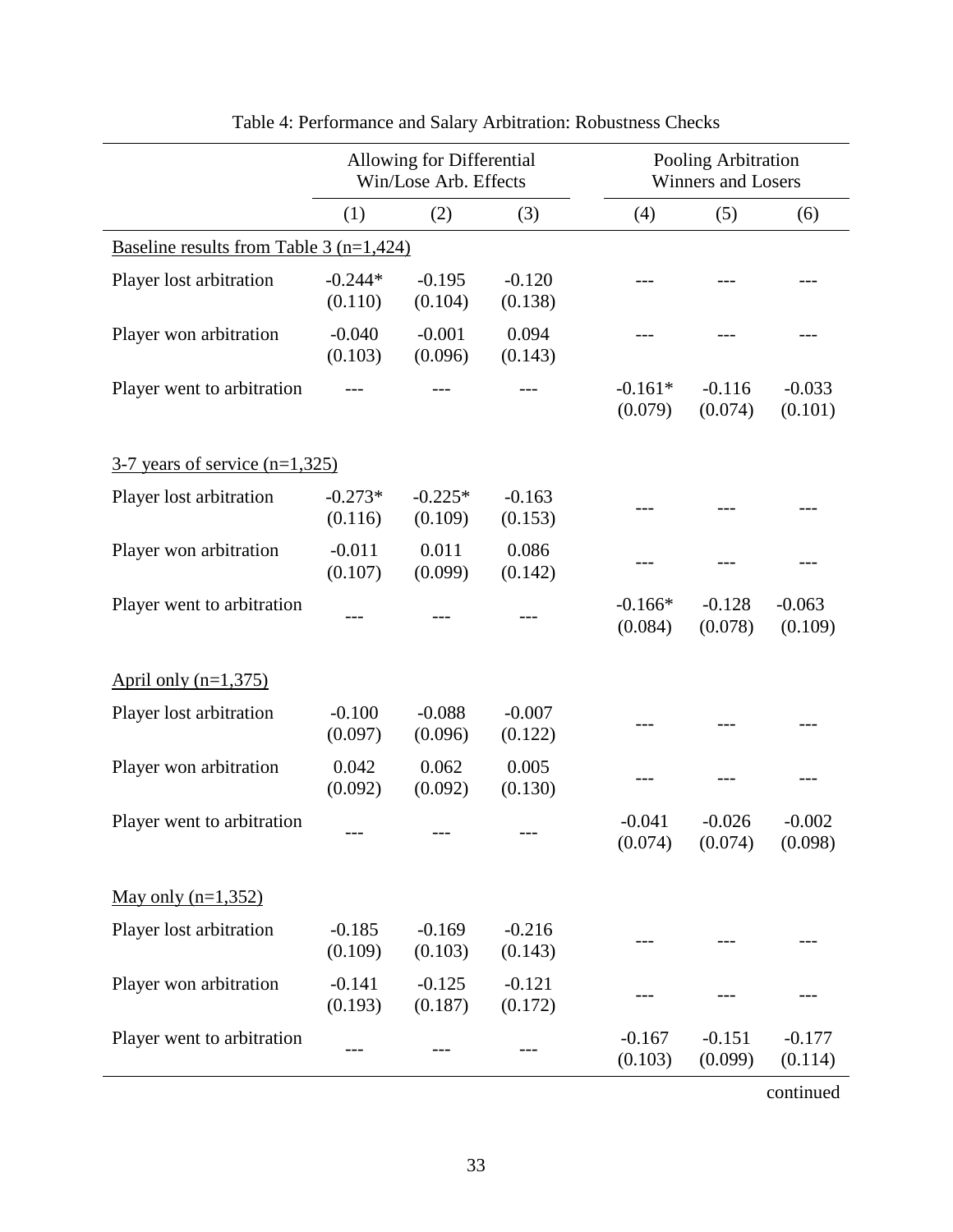|                                           | Allowing for Differential<br>Win/Lose Arb. Effects |                      |                     |                      | Pooling Arbitration<br><b>Winners and Losers</b> |                     |
|-------------------------------------------|----------------------------------------------------|----------------------|---------------------|----------------------|--------------------------------------------------|---------------------|
|                                           | (1)                                                | (2)                  | (3)                 | (4)                  | (5)                                              | (6)                 |
| Baseline results from Table 3 $(n=1,424)$ |                                                    |                      |                     |                      |                                                  |                     |
| Player lost arbitration                   | $-0.244*$<br>(0.110)                               | $-0.195$<br>(0.104)  | $-0.120$<br>(0.138) |                      |                                                  |                     |
| Player won arbitration                    | $-0.040$<br>(0.103)                                | $-0.001$<br>(0.096)  | 0.094<br>(0.143)    | ---                  |                                                  | ---                 |
| Player went to arbitration                |                                                    |                      |                     | $-0.161*$<br>(0.079) | $-0.116$<br>(0.074)                              | $-0.033$<br>(0.101) |
| 3-7 years of service $(n=1,325)$          |                                                    |                      |                     |                      |                                                  |                     |
| Player lost arbitration                   | $-0.273*$<br>(0.116)                               | $-0.225*$<br>(0.109) | $-0.163$<br>(0.153) |                      |                                                  |                     |
| Player won arbitration                    | $-0.011$<br>(0.107)                                | 0.011<br>(0.099)     | 0.086<br>(0.142)    |                      |                                                  |                     |
| Player went to arbitration                |                                                    |                      |                     | $-0.166*$<br>(0.084) | $-0.128$<br>(0.078)                              | $-0.063$<br>(0.109) |
| April only $(n=1,375)$                    |                                                    |                      |                     |                      |                                                  |                     |
| Player lost arbitration                   | $-0.100$<br>(0.097)                                | $-0.088$<br>(0.096)  | $-0.007$<br>(0.122) |                      |                                                  |                     |
| Player won arbitration                    | 0.042<br>(0.092)                                   | 0.062<br>(0.092)     | 0.005<br>(0.130)    |                      |                                                  |                     |
| Player went to arbitration                |                                                    |                      |                     | $-0.041$<br>(0.074)  | $-0.026$<br>(0.074)                              | $-0.002$<br>(0.098) |
| May only $(n=1,352)$                      |                                                    |                      |                     |                      |                                                  |                     |
| Player lost arbitration                   | $-0.185$<br>(0.109)                                | $-0.169$<br>(0.103)  | $-0.216$<br>(0.143) |                      |                                                  |                     |
| Player won arbitration                    | $-0.141$<br>(0.193)                                | $-0.125$<br>(0.187)  | $-0.121$<br>(0.172) |                      |                                                  |                     |
| Player went to arbitration                |                                                    |                      |                     | $-0.167$<br>(0.103)  | $-0.151$<br>(0.099)                              | $-0.177$<br>(0.114) |

| Table 4: Performance and Salary Arbitration: Robustness Checks |  |  |  |
|----------------------------------------------------------------|--|--|--|
|----------------------------------------------------------------|--|--|--|

continued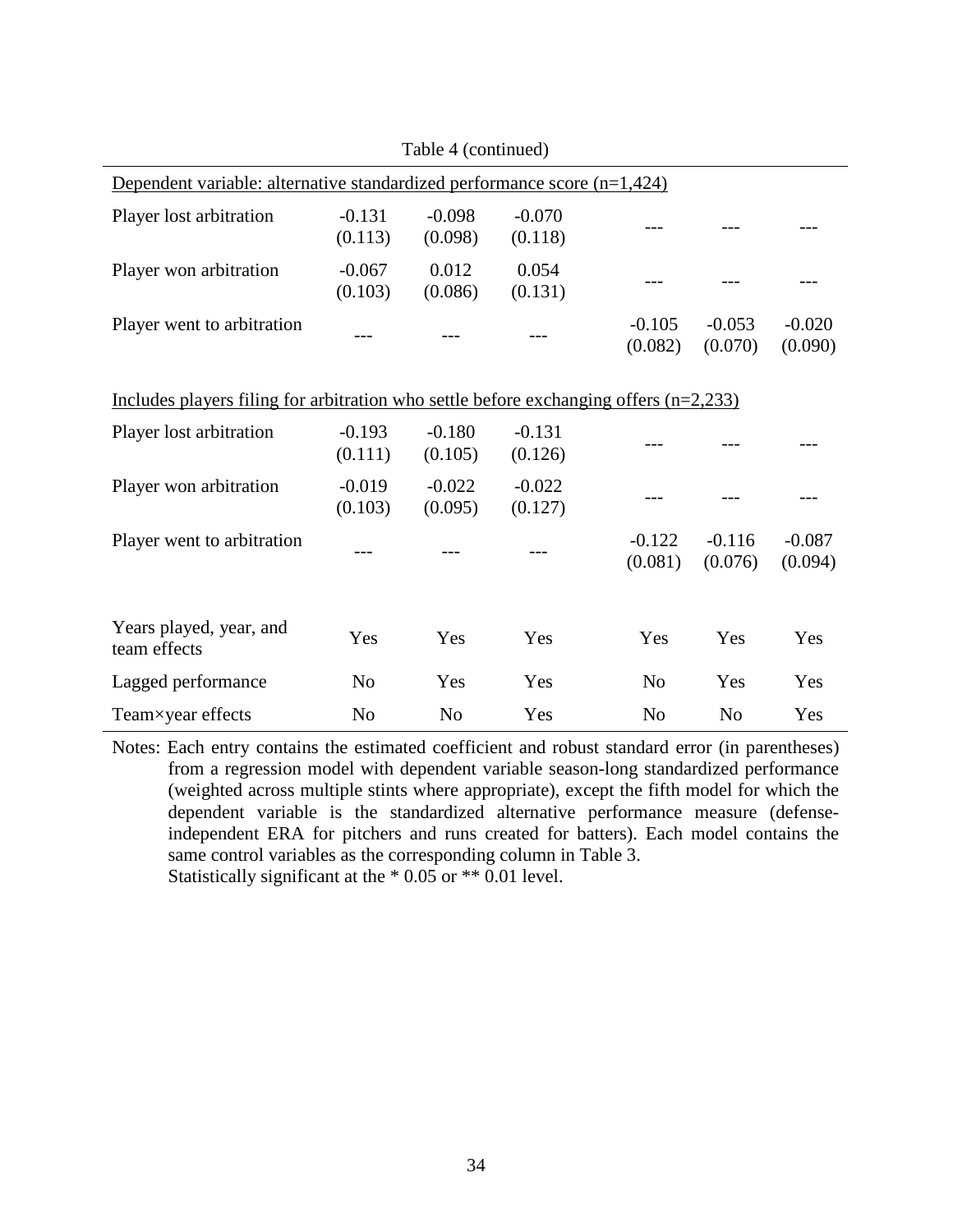| Table 4 (continued)                                                                     |                     |                     |                     |                     |                     |                     |  |  |  |
|-----------------------------------------------------------------------------------------|---------------------|---------------------|---------------------|---------------------|---------------------|---------------------|--|--|--|
| Dependent variable: alternative standardized performance score $(n=1,424)$              |                     |                     |                     |                     |                     |                     |  |  |  |
| Player lost arbitration                                                                 | $-0.131$<br>(0.113) | $-0.098$<br>(0.098) | $-0.070$<br>(0.118) |                     |                     |                     |  |  |  |
| Player won arbitration                                                                  | $-0.067$<br>(0.103) | 0.012<br>(0.086)    | 0.054<br>(0.131)    |                     |                     |                     |  |  |  |
| Player went to arbitration                                                              |                     |                     |                     | $-0.105$<br>(0.082) | $-0.053$<br>(0.070) | $-0.020$<br>(0.090) |  |  |  |
| Includes players filing for arbitration who settle before exchanging offers $(n=2,233)$ |                     |                     |                     |                     |                     |                     |  |  |  |
| Player lost arbitration                                                                 | $-0.193$<br>(0.111) | $-0.180$<br>(0.105) | $-0.131$<br>(0.126) |                     |                     |                     |  |  |  |
| Player won arbitration                                                                  | $-0.019$<br>(0.103) | $-0.022$<br>(0.095) | $-0.022$<br>(0.127) |                     |                     |                     |  |  |  |
| Player went to arbitration                                                              |                     |                     |                     | $-0.122$<br>(0.081) | $-0.116$<br>(0.076) | $-0.087$<br>(0.094) |  |  |  |
| Years played, year, and<br>team effects                                                 | Yes                 | Yes                 | Yes                 | Yes                 | Yes                 | Yes                 |  |  |  |
| Lagged performance                                                                      | N <sub>o</sub>      | Yes                 | Yes                 | N <sub>o</sub>      | Yes                 | Yes                 |  |  |  |
| Team×year effects                                                                       | N <sub>0</sub>      | N <sub>o</sub>      | Yes                 | N <sub>o</sub>      | N <sub>o</sub>      | Yes                 |  |  |  |

Notes: Each entry contains the estimated coefficient and robust standard error (in parentheses) from a regression model with dependent variable season-long standardized performance (weighted across multiple stints where appropriate), except the fifth model for which the dependent variable is the standardized alternative performance measure (defenseindependent ERA for pitchers and runs created for batters). Each model contains the same control variables as the corresponding column in Table 3.

Statistically significant at the  $*$  0.05 or  $**$  0.01 level.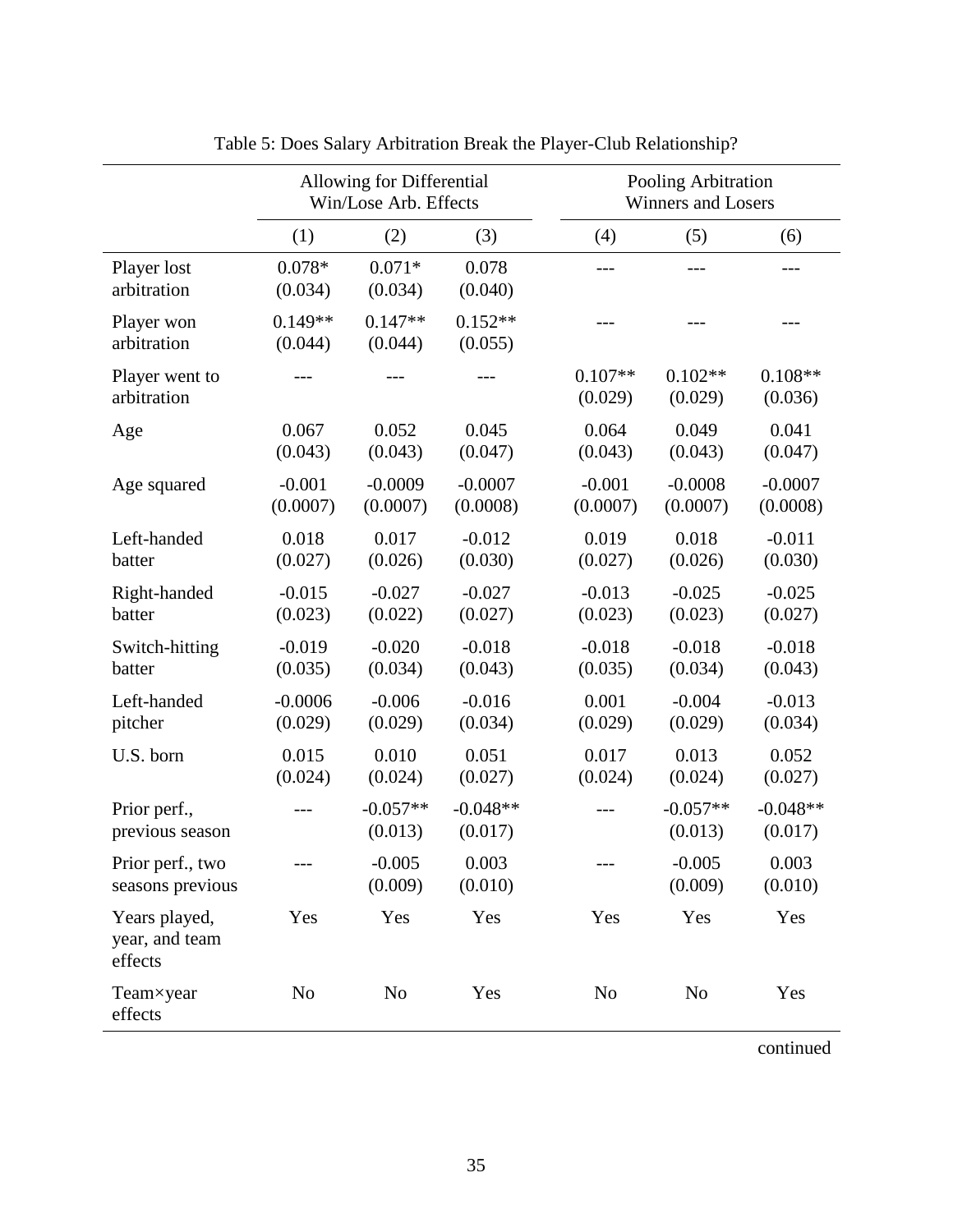|                                            |                      | <b>Allowing for Differential</b><br>Win/Lose Arb. Effects |                       |                      | Pooling Arbitration<br><b>Winners and Losers</b> |                       |
|--------------------------------------------|----------------------|-----------------------------------------------------------|-----------------------|----------------------|--------------------------------------------------|-----------------------|
|                                            | (1)                  | (2)                                                       | (3)                   | (4)                  | (5)                                              | (6)                   |
| Player lost<br>arbitration                 | $0.078*$<br>(0.034)  | $0.071*$<br>(0.034)                                       | 0.078<br>(0.040)      |                      |                                                  |                       |
| Player won<br>arbitration                  | $0.149**$<br>(0.044) | $0.147**$<br>(0.044)                                      | $0.152**$<br>(0.055)  |                      |                                                  |                       |
| Player went to<br>arbitration              |                      |                                                           |                       | $0.107**$<br>(0.029) | $0.102**$<br>(0.029)                             | $0.108**$<br>(0.036)  |
| Age                                        | 0.067<br>(0.043)     | 0.052<br>(0.043)                                          | 0.045<br>(0.047)      | 0.064<br>(0.043)     | 0.049<br>(0.043)                                 | 0.041<br>(0.047)      |
| Age squared                                | $-0.001$<br>(0.0007) | $-0.0009$<br>(0.0007)                                     | $-0.0007$<br>(0.0008) | $-0.001$<br>(0.0007) | $-0.0008$<br>(0.0007)                            | $-0.0007$<br>(0.0008) |
| Left-handed<br>batter                      | 0.018<br>(0.027)     | 0.017<br>(0.026)                                          | $-0.012$<br>(0.030)   | 0.019<br>(0.027)     | 0.018<br>(0.026)                                 | $-0.011$<br>(0.030)   |
| Right-handed<br>batter                     | $-0.015$<br>(0.023)  | $-0.027$<br>(0.022)                                       | $-0.027$<br>(0.027)   | $-0.013$<br>(0.023)  | $-0.025$<br>(0.023)                              | $-0.025$<br>(0.027)   |
| Switch-hitting<br>batter                   | $-0.019$<br>(0.035)  | $-0.020$<br>(0.034)                                       | $-0.018$<br>(0.043)   | $-0.018$<br>(0.035)  | $-0.018$<br>(0.034)                              | $-0.018$<br>(0.043)   |
| Left-handed<br>pitcher                     | $-0.0006$<br>(0.029) | $-0.006$<br>(0.029)                                       | $-0.016$<br>(0.034)   | 0.001<br>(0.029)     | $-0.004$<br>(0.029)                              | $-0.013$<br>(0.034)   |
| U.S. born                                  | 0.015<br>(0.024)     | 0.010<br>(0.024)                                          | 0.051<br>(0.027)      | 0.017<br>(0.024)     | 0.013<br>(0.024)                                 | 0.052<br>(0.027)      |
| Prior perf.,<br>previous season            |                      | $-0.057**$<br>(0.013)                                     | $-0.048**$<br>(0.017) |                      | $-0.057**$<br>(0.013)                            | $-0.048**$<br>(0.017) |
| Prior perf., two<br>seasons previous       |                      | $-0.005$<br>(0.009)                                       | 0.003<br>(0.010)      |                      | $-0.005$<br>(0.009)                              | 0.003<br>(0.010)      |
| Years played,<br>year, and team<br>effects | Yes                  | Yes                                                       | Yes                   | Yes                  | Yes                                              | Yes                   |
| Team×year<br>effects                       | N <sub>o</sub>       | N <sub>0</sub>                                            | Yes                   | N <sub>o</sub>       | N <sub>0</sub>                                   | Yes                   |

Table 5: Does Salary Arbitration Break the Player-Club Relationship?

continued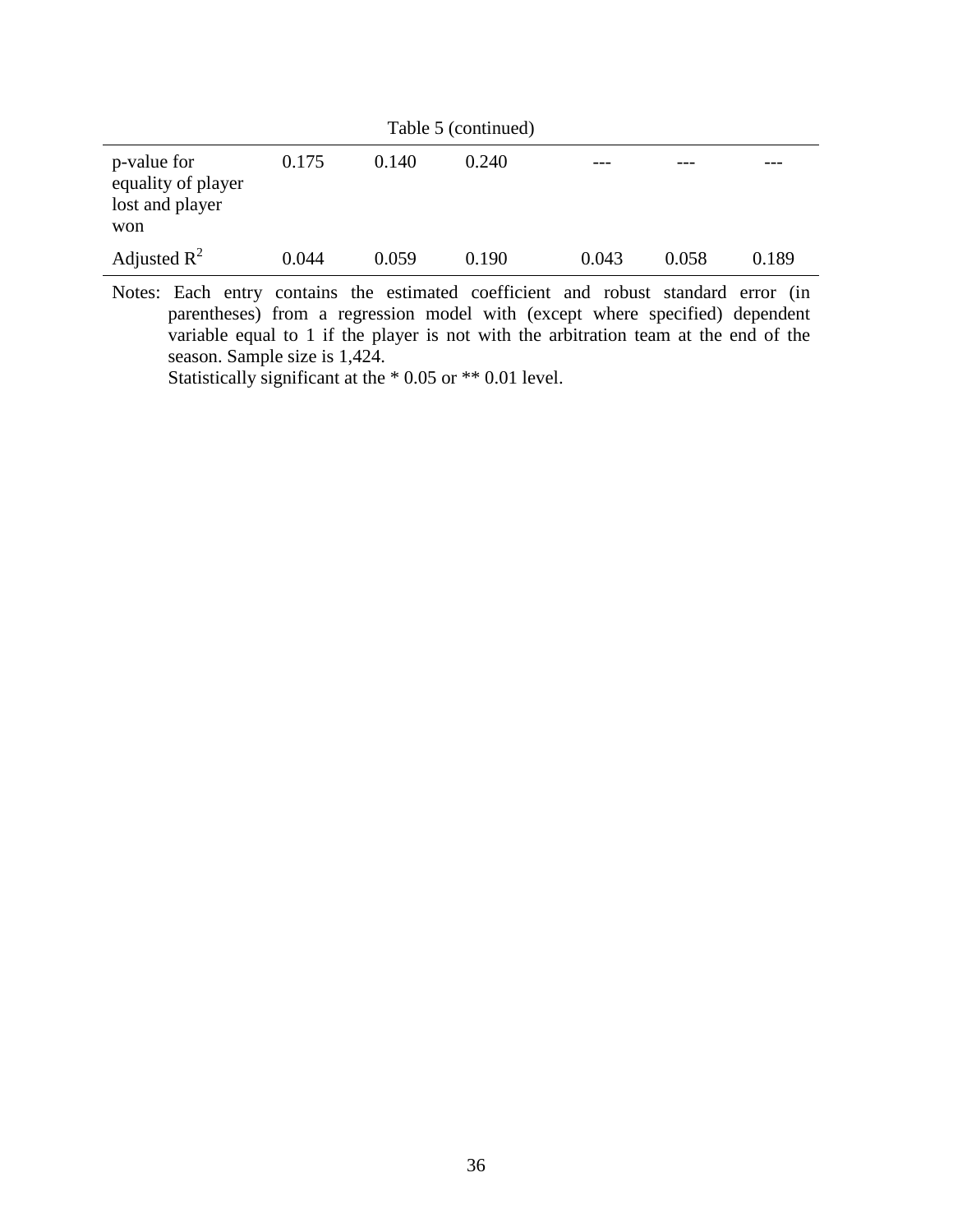| Table 5 (continued)                                         |       |       |       |       |       |       |  |  |  |
|-------------------------------------------------------------|-------|-------|-------|-------|-------|-------|--|--|--|
| p-value for<br>equality of player<br>lost and player<br>won | 0.175 | 0.140 | 0.240 | ---   |       |       |  |  |  |
| Adjusted $R^2$                                              | 0.044 | 0.059 | 0.190 | 0.043 | 0.058 | 0.189 |  |  |  |

Notes: Each entry contains the estimated coefficient and robust standard error (in parentheses) from a regression model with (except where specified) dependent variable equal to 1 if the player is not with the arbitration team at the end of the season. Sample size is 1,424.

Statistically significant at the \* 0.05 or \*\* 0.01 level.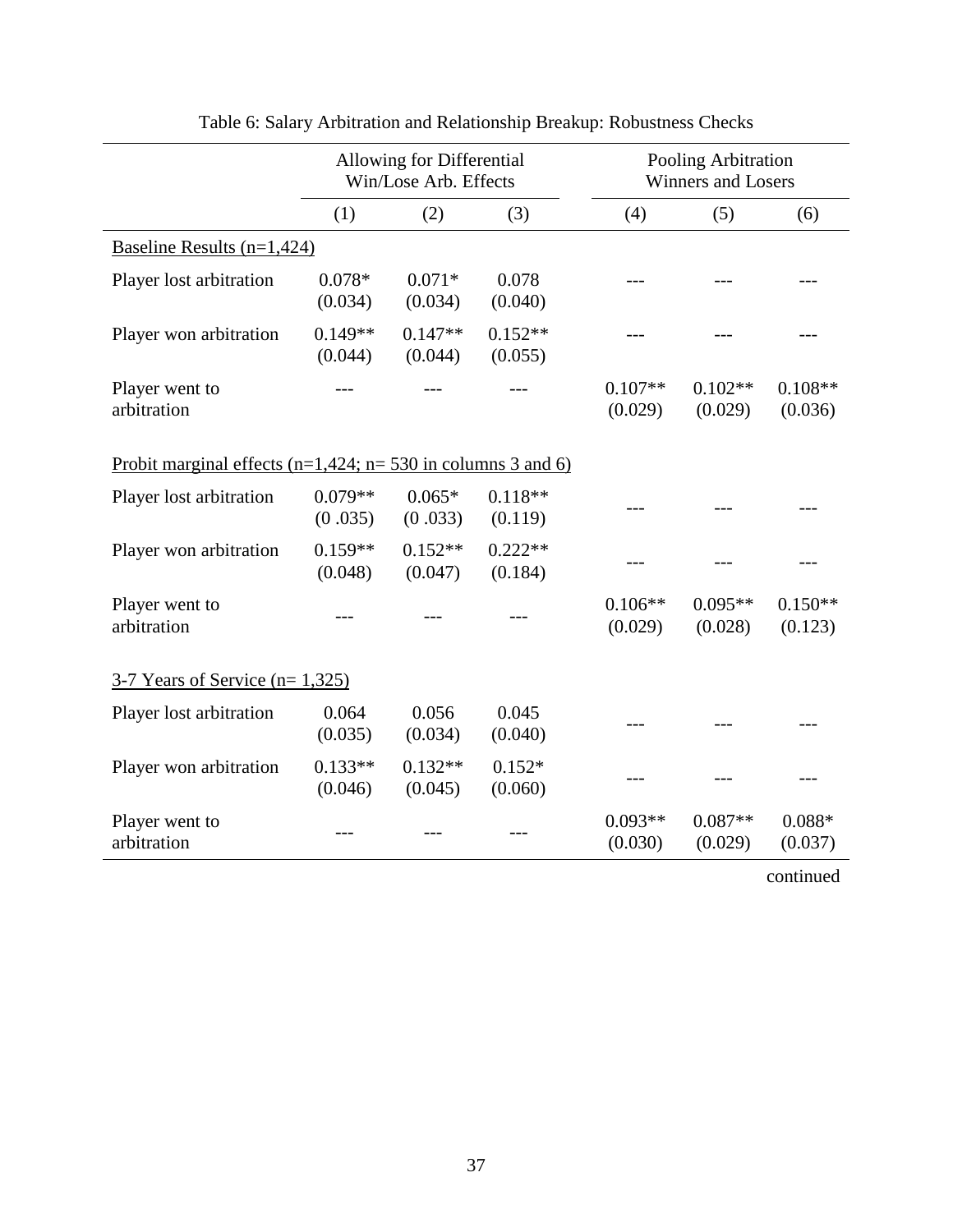|                                                                   | Allowing for Differential<br>Win/Lose Arb. Effects |                      |                      |                      | Pooling Arbitration<br><b>Winners and Losers</b> |                      |
|-------------------------------------------------------------------|----------------------------------------------------|----------------------|----------------------|----------------------|--------------------------------------------------|----------------------|
|                                                                   | (1)                                                | (2)                  | (3)                  | (4)                  | (5)                                              | (6)                  |
| Baseline Results $(n=1,424)$                                      |                                                    |                      |                      |                      |                                                  |                      |
| Player lost arbitration                                           | $0.078*$<br>(0.034)                                | $0.071*$<br>(0.034)  | 0.078<br>(0.040)     |                      |                                                  |                      |
| Player won arbitration                                            | $0.149**$<br>(0.044)                               | $0.147**$<br>(0.044) | $0.152**$<br>(0.055) |                      |                                                  |                      |
| Player went to<br>arbitration                                     |                                                    |                      |                      | $0.107**$<br>(0.029) | $0.102**$<br>(0.029)                             | $0.108**$<br>(0.036) |
| Probit marginal effects ( $n=1,424$ ; $n=530$ in columns 3 and 6) |                                                    |                      |                      |                      |                                                  |                      |
| Player lost arbitration                                           | $0.079**$<br>(0.035)                               | $0.065*$<br>(0.033)  | $0.118**$<br>(0.119) |                      |                                                  |                      |
| Player won arbitration                                            | $0.159**$<br>(0.048)                               | $0.152**$<br>(0.047) | $0.222**$<br>(0.184) |                      |                                                  |                      |
| Player went to<br>arbitration                                     |                                                    |                      |                      | $0.106**$<br>(0.029) | $0.095**$<br>(0.028)                             | $0.150**$<br>(0.123) |
| $3-7$ Years of Service (n= 1,325)                                 |                                                    |                      |                      |                      |                                                  |                      |
| Player lost arbitration                                           | 0.064<br>(0.035)                                   | 0.056<br>(0.034)     | 0.045<br>(0.040)     |                      |                                                  |                      |
| Player won arbitration                                            | $0.133**$<br>(0.046)                               | $0.132**$<br>(0.045) | $0.152*$<br>(0.060)  | ---                  |                                                  |                      |
| Player went to<br>arbitration                                     | $---$                                              |                      |                      | $0.093**$<br>(0.030) | $0.087**$<br>(0.029)                             | $0.088*$<br>(0.037)  |
|                                                                   |                                                    |                      |                      |                      |                                                  | continued            |

Table 6: Salary Arbitration and Relationship Breakup: Robustness Checks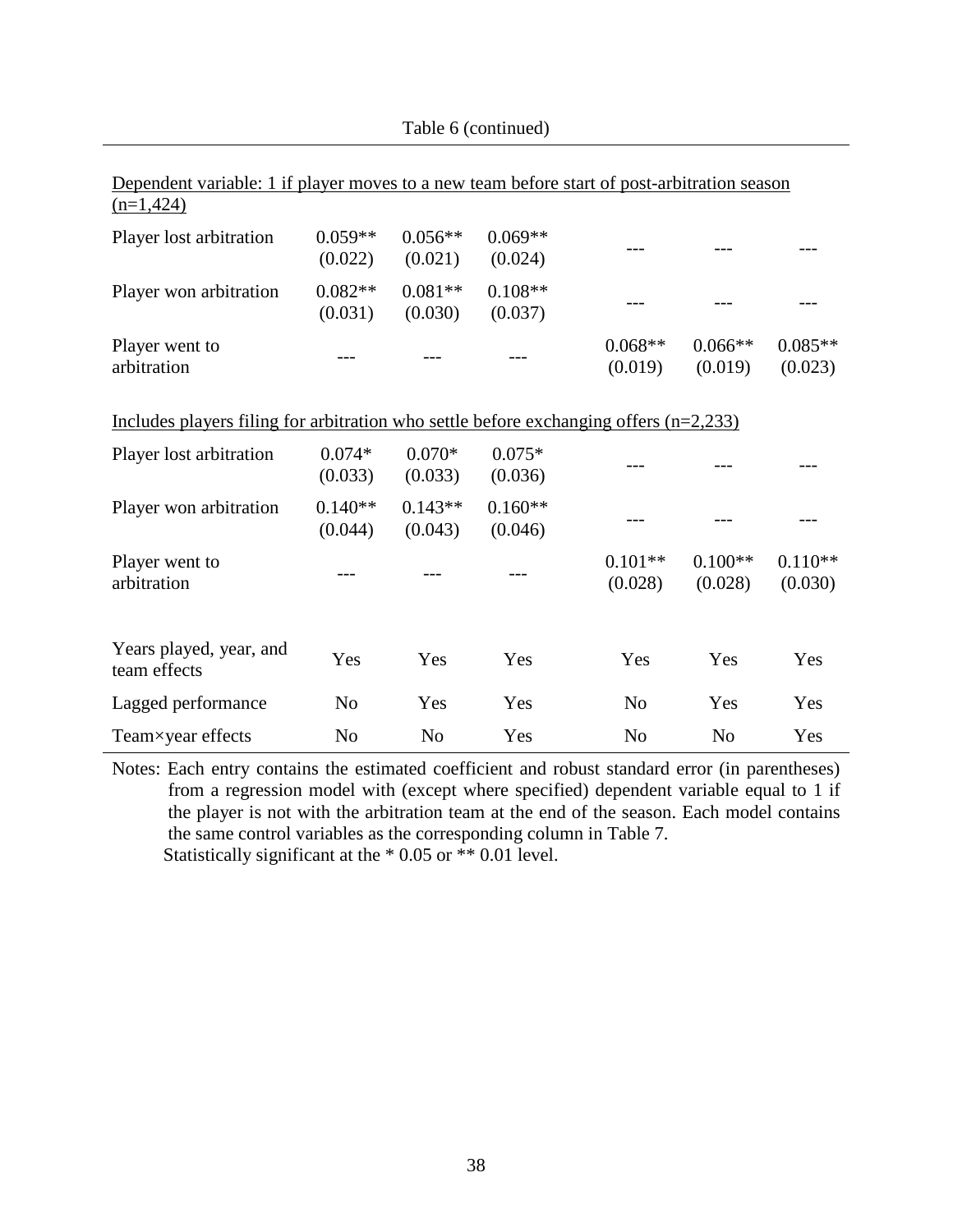| Dependent variable: 1 if player moves to a new team before start of post-arbitration season |                      |                      |                      |                      |                      |                      |
|---------------------------------------------------------------------------------------------|----------------------|----------------------|----------------------|----------------------|----------------------|----------------------|
| $(n=1,424)$                                                                                 |                      |                      |                      |                      |                      |                      |
| Player lost arbitration                                                                     | $0.059**$<br>(0.022) | $0.056**$<br>(0.021) | $0.069**$<br>(0.024) |                      |                      |                      |
| Player won arbitration                                                                      | $0.082**$<br>(0.031) | $0.081**$<br>(0.030) | $0.108**$<br>(0.037) |                      |                      |                      |
| Player went to<br>arbitration                                                               |                      |                      |                      | $0.068**$<br>(0.019) | $0.066**$<br>(0.019) | $0.085**$<br>(0.023) |
| Includes players filing for arbitration who settle before exchanging offers $(n=2,233)$     |                      |                      |                      |                      |                      |                      |
| Player lost arbitration                                                                     | $0.074*$<br>(0.033)  | $0.070*$<br>(0.033)  | $0.075*$<br>(0.036)  |                      |                      |                      |
| Player won arbitration                                                                      | $0.140**$<br>(0.044) | $0.143**$<br>(0.043) | $0.160**$<br>(0.046) |                      |                      |                      |
| Player went to<br>arbitration                                                               |                      |                      |                      | $0.101**$<br>(0.028) | $0.100**$<br>(0.028) | $0.110**$<br>(0.030) |
| Years played, year, and<br>team effects                                                     | Yes                  | Yes                  | Yes                  | Yes                  | Yes                  | Yes                  |
| Lagged performance                                                                          | N <sub>o</sub>       | Yes                  | Yes                  | N <sub>o</sub>       | Yes                  | Yes                  |
| Team×year effects                                                                           | No                   | No                   | Yes                  | N <sub>o</sub>       | N <sub>0</sub>       | Yes                  |

Notes: Each entry contains the estimated coefficient and robust standard error (in parentheses) from a regression model with (except where specified) dependent variable equal to 1 if the player is not with the arbitration team at the end of the season. Each model contains the same control variables as the corresponding column in Table 7. Statistically significant at the \* 0.05 or \*\* 0.01 level.

38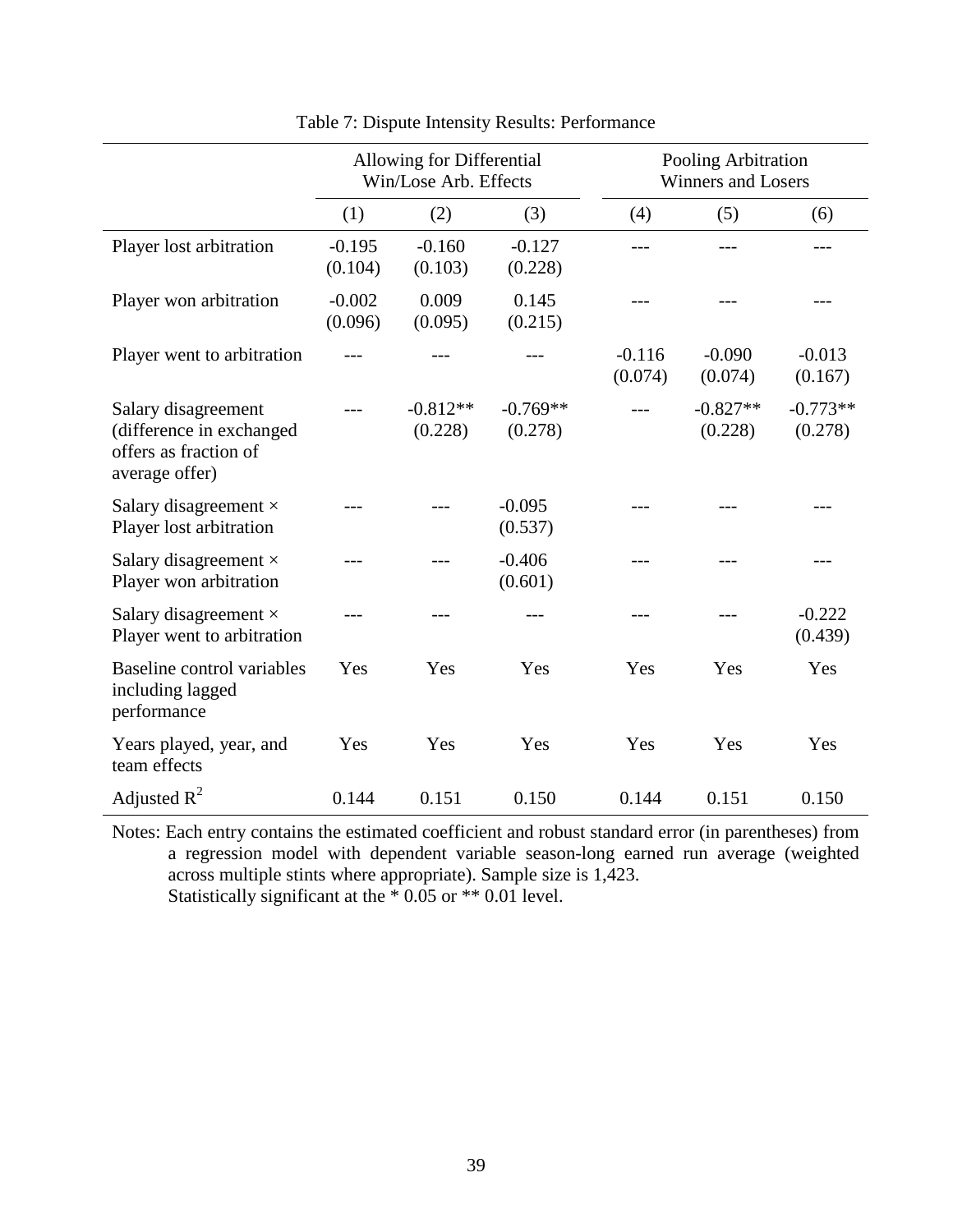|                                                                                            | Allowing for Differential<br>Win/Lose Arb. Effects |                       |                       |                     | Pooling Arbitration<br><b>Winners and Losers</b> |                       |
|--------------------------------------------------------------------------------------------|----------------------------------------------------|-----------------------|-----------------------|---------------------|--------------------------------------------------|-----------------------|
|                                                                                            | (1)                                                | (2)                   | (3)                   | (4)                 | (5)                                              | (6)                   |
| Player lost arbitration                                                                    | $-0.195$<br>(0.104)                                | $-0.160$<br>(0.103)   | $-0.127$<br>(0.228)   | ---                 |                                                  |                       |
| Player won arbitration                                                                     | $-0.002$<br>(0.096)                                | 0.009<br>(0.095)      | 0.145<br>(0.215)      |                     |                                                  |                       |
| Player went to arbitration                                                                 |                                                    |                       |                       | $-0.116$<br>(0.074) | $-0.090$<br>(0.074)                              | $-0.013$<br>(0.167)   |
| Salary disagreement<br>(difference in exchanged<br>offers as fraction of<br>average offer) |                                                    | $-0.812**$<br>(0.228) | $-0.769**$<br>(0.278) |                     | $-0.827**$<br>(0.228)                            | $-0.773**$<br>(0.278) |
| Salary disagreement $\times$<br>Player lost arbitration                                    |                                                    |                       | $-0.095$<br>(0.537)   |                     |                                                  |                       |
| Salary disagreement $\times$<br>Player won arbitration                                     |                                                    |                       | $-0.406$<br>(0.601)   |                     |                                                  |                       |
| Salary disagreement $\times$<br>Player went to arbitration                                 |                                                    |                       |                       |                     |                                                  | $-0.222$<br>(0.439)   |
| Baseline control variables<br>including lagged<br>performance                              | Yes                                                | Yes                   | Yes                   | Yes                 | Yes                                              | Yes                   |
| Years played, year, and<br>team effects                                                    | Yes                                                | Yes                   | Yes                   | Yes                 | Yes                                              | Yes                   |
| Adjusted $R^2$                                                                             | 0.144                                              | 0.151                 | 0.150                 | 0.144               | 0.151                                            | 0.150                 |

Table 7: Dispute Intensity Results: Performance

Notes: Each entry contains the estimated coefficient and robust standard error (in parentheses) from a regression model with dependent variable season-long earned run average (weighted across multiple stints where appropriate). Sample size is 1,423. Statistically significant at the \* 0.05 or \*\* 0.01 level.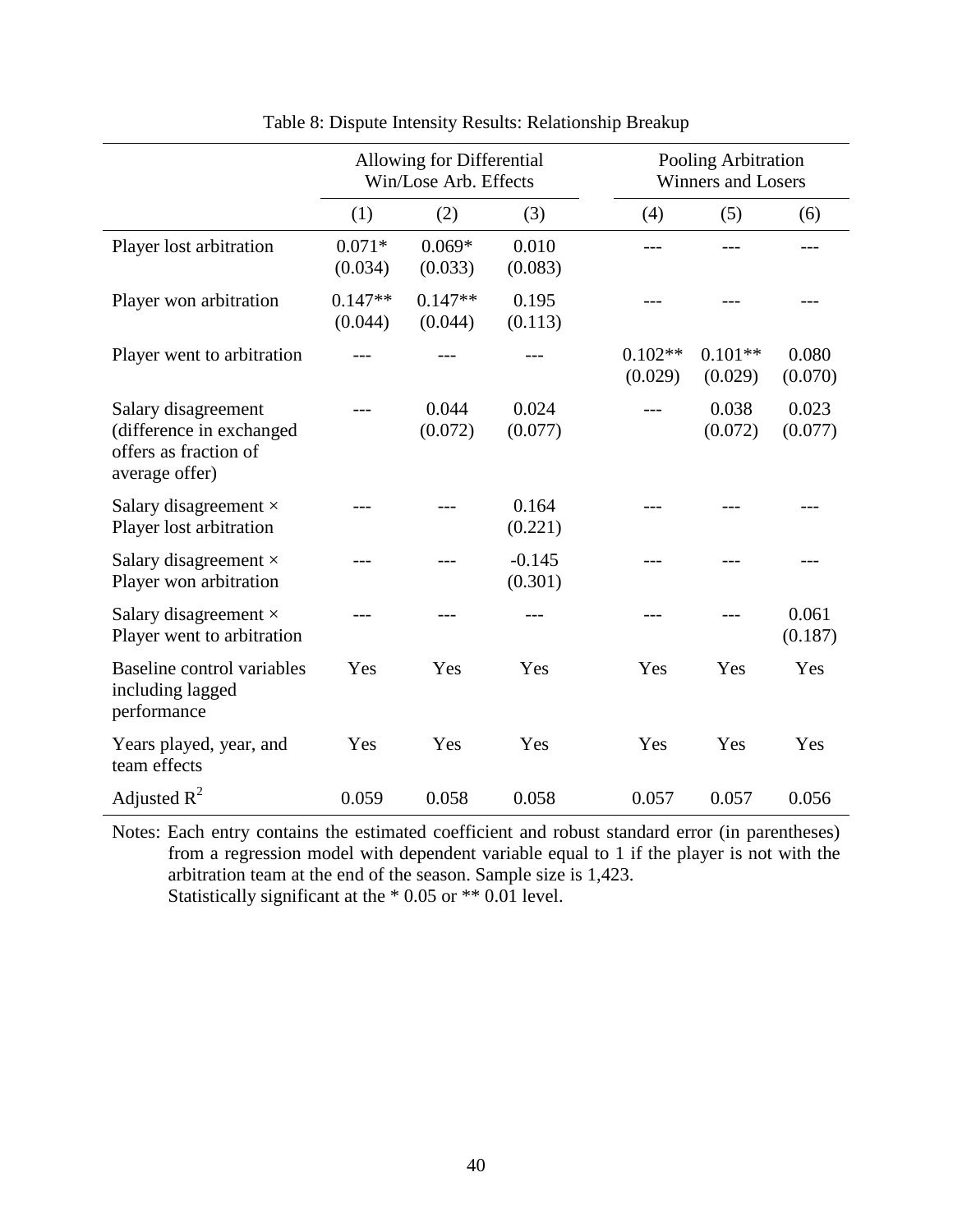|                                                                                            |                      | <b>Allowing for Differential</b><br>Win/Lose Arb. Effects |                     |                      | Pooling Arbitration<br><b>Winners and Losers</b> |                  |
|--------------------------------------------------------------------------------------------|----------------------|-----------------------------------------------------------|---------------------|----------------------|--------------------------------------------------|------------------|
|                                                                                            | (1)                  | (2)                                                       | (3)                 | (4)                  | (5)                                              | (6)              |
| Player lost arbitration                                                                    | $0.071*$<br>(0.034)  | $0.069*$<br>(0.033)                                       | 0.010<br>(0.083)    |                      |                                                  |                  |
| Player won arbitration                                                                     | $0.147**$<br>(0.044) | $0.147**$<br>(0.044)                                      | 0.195<br>(0.113)    |                      |                                                  |                  |
| Player went to arbitration                                                                 |                      |                                                           |                     | $0.102**$<br>(0.029) | $0.101**$<br>(0.029)                             | 0.080<br>(0.070) |
| Salary disagreement<br>(difference in exchanged<br>offers as fraction of<br>average offer) |                      | 0.044<br>(0.072)                                          | 0.024<br>(0.077)    | $---$                | 0.038<br>(0.072)                                 | 0.023<br>(0.077) |
| Salary disagreement $\times$<br>Player lost arbitration                                    |                      |                                                           | 0.164<br>(0.221)    |                      |                                                  |                  |
| Salary disagreement $\times$<br>Player won arbitration                                     |                      | ---                                                       | $-0.145$<br>(0.301) |                      |                                                  |                  |
| Salary disagreement $\times$<br>Player went to arbitration                                 |                      | ---                                                       |                     |                      |                                                  | 0.061<br>(0.187) |
| Baseline control variables<br>including lagged<br>performance                              | Yes                  | Yes                                                       | Yes                 | Yes                  | Yes                                              | Yes              |
| Years played, year, and<br>team effects                                                    | Yes                  | Yes                                                       | Yes                 | Yes                  | Yes                                              | Yes              |
| Adjusted $R^2$                                                                             | 0.059                | 0.058                                                     | 0.058               | 0.057                | 0.057                                            | 0.056            |

Table 8: Dispute Intensity Results: Relationship Breakup

Notes: Each entry contains the estimated coefficient and robust standard error (in parentheses) from a regression model with dependent variable equal to 1 if the player is not with the arbitration team at the end of the season. Sample size is 1,423. Statistically significant at the \* 0.05 or \*\* 0.01 level.